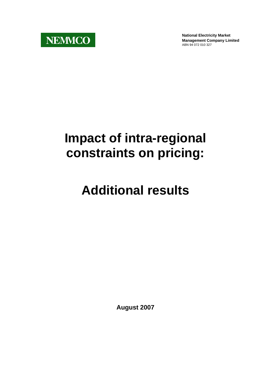

**National Electricity Market Management Company Limited** ABN 94 072 010 327

# **Impact of intra-regional constraints on pricing:**

# **Additional results**

**August 2007**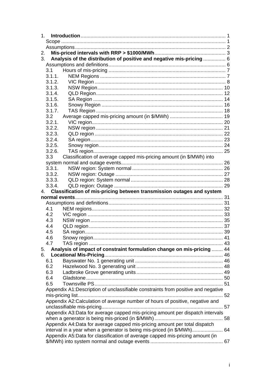| 2. |        |                                                                                                                                                        |  |
|----|--------|--------------------------------------------------------------------------------------------------------------------------------------------------------|--|
| 3. |        | Analysis of the distribution of positive and negative mis-pricing  6                                                                                   |  |
|    |        |                                                                                                                                                        |  |
|    |        |                                                                                                                                                        |  |
|    | 3.1.1. |                                                                                                                                                        |  |
|    | 3.1.2. |                                                                                                                                                        |  |
|    | 3.1.3. |                                                                                                                                                        |  |
|    | 3.1.4. |                                                                                                                                                        |  |
|    | 3.1.5. |                                                                                                                                                        |  |
|    | 3.1.6. |                                                                                                                                                        |  |
|    | 3.1.7. |                                                                                                                                                        |  |
|    | 3.2    |                                                                                                                                                        |  |
|    | 3.2.1. |                                                                                                                                                        |  |
|    | 3.2.2. |                                                                                                                                                        |  |
|    | 3.2.3. |                                                                                                                                                        |  |
|    | 3.2.4. |                                                                                                                                                        |  |
|    | 3.2.5. |                                                                                                                                                        |  |
|    | 3.2.6. |                                                                                                                                                        |  |
|    | 3.3    | Classification of average capped mis-pricing amount (in \$/MWh) into                                                                                   |  |
|    |        |                                                                                                                                                        |  |
|    | 3.3.1. |                                                                                                                                                        |  |
|    | 3.3.2. |                                                                                                                                                        |  |
|    | 3.3.3. |                                                                                                                                                        |  |
|    |        |                                                                                                                                                        |  |
|    | 3.3.4. |                                                                                                                                                        |  |
| 4. |        | Classification of mis-pricing between transmission outages and system                                                                                  |  |
|    |        |                                                                                                                                                        |  |
|    |        |                                                                                                                                                        |  |
|    | 4.1    |                                                                                                                                                        |  |
|    | 4.2    |                                                                                                                                                        |  |
|    | 4.3    |                                                                                                                                                        |  |
|    | 4.4    |                                                                                                                                                        |  |
|    | 4.5    |                                                                                                                                                        |  |
|    | 4.6    |                                                                                                                                                        |  |
|    | 4.7    |                                                                                                                                                        |  |
| 5. |        | Analysis of impact of constraint formulation change on mis-pricing  44                                                                                 |  |
| 6. |        |                                                                                                                                                        |  |
|    | 6.1    |                                                                                                                                                        |  |
|    | 6.2    |                                                                                                                                                        |  |
|    | 6.3    |                                                                                                                                                        |  |
|    | 6.4    |                                                                                                                                                        |  |
|    | 6.5    |                                                                                                                                                        |  |
|    |        | Appendix A1: Description of unclassifiable constraints from positive and negative                                                                      |  |
|    |        |                                                                                                                                                        |  |
|    |        | Appendix A2:Calculation of average number of hours of positive, negative and                                                                           |  |
|    |        |                                                                                                                                                        |  |
|    |        | Appendix A3:Data for average capped mis-pricing amount per dispatch intervals                                                                          |  |
|    |        |                                                                                                                                                        |  |
|    |        | Appendix A4:Data for average capped mis-pricing amount per total dispatch                                                                              |  |
|    |        | interval in a year when a generator is being mis-priced (in \$/MWh) 64<br>Appendix A5:Data for classification of average capped mis-pricing amount (in |  |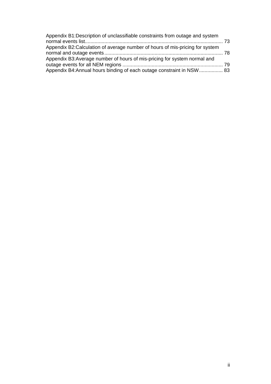| Appendix B1: Description of unclassifiable constraints from outage and system |  |
|-------------------------------------------------------------------------------|--|
|                                                                               |  |
| Appendix B2: Calculation of average number of hours of mis-pricing for system |  |
|                                                                               |  |
| Appendix B3: Average number of hours of mis-pricing for system normal and     |  |
|                                                                               |  |
| Appendix B4: Annual hours binding of each outage constraint in NSW 83         |  |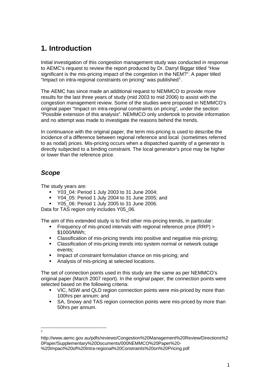# <span id="page-3-0"></span>**1. Introduction**

Initial investigation of this congestion management study was conducted in response to AEMC's request to review the report produced by Dr. Darryl Biggar titled "How significant is the mis-pricing impact of the congestion in the NEM?". A paper titled "Impact on intra-regional constraints on pricing" was published $1$ .

The AEMC has since made an additional request to NEMMCO to provide more results for the last three years of study (mid 2003 to mid 2006) to assist with the congestion management review. Some of the studies were proposed in NEMMCO's original paper "Impact on intra-regional constraints on pricing", under the section "Possible extension of this analysis". NEMMCO only undertook to provide information and no attempt was made to investigate the reasons behind the trends.

In continuance with the original paper, the term mis-pricing is used to describe the incidence of a difference between regional reference and local (sometimes referred to as nodal) prices. Mis-pricing occurs when a dispatched quantity of a generator is directly subjected to a binding constraint. The local generator's price may be higher or lower than the reference price.

## *Scope*

 $\frac{1}{1}$ 

The study years are:

- Y03 04: Period 1 July 2003 to 31 June 2004;
- Y04\_05: Period 1 July 2004 to 31 June 2005; and
- Y05 06: Period 1 July 2005 to 31 June 2006.

Data for TAS region only includes Y05\_06.

The aim of this extended study is to find other mis-pricing trends, in particular:

- Frequency of mis-priced intervals with regional reference price (RRP) > \$1000/MWh;
- Classification of mis-pricing trends into positive and negative mis-pricing;
- Classification of mis-pricing trends into system normal or network outage events;
- **IMPACT OF CONSTAINT FORMIT CONSTANT** Impact of constraint formulation chance on mis-pricing; and
- Analysis of mis-pricing at selected locations.

The set of connection points used in this study are the same as per NEMMCO's original paper (March 2007 report). In the original paper, the connection points were selected based on the following criteria:

- VIC, NSW and QLD region connection points were mis-priced by more than 100hrs per annum; and
- SA, Snowy and TAS region connection points were mis-priced by more than 50hrs per annum.

<span id="page-3-1"></span>http://www.aemc.gov.au/pdfs/reviews/Congestion%20Management%20Review/Directions%2 0Paper/Supplementary%20Documents/000NEMMCO%20Paper%20- %20Impact%20of%20Intra-regional%20Constraints%20on%20Pricing.pdf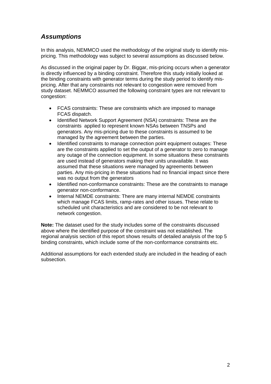## <span id="page-4-0"></span>*Assumptions*

In this analysis, NEMMCO used the methodology of the original study to identify mispricing. This methodology was subject to several assumptions as discussed below.

As discussed in the original paper by Dr. Biggar, mis-pricing occurs when a generator is directly influenced by a binding constraint. Therefore this study initially looked at the binding constraints with generator terms during the study period to identify mispricing. After that any constraints not relevant to congestion were removed from study dataset. NEMMCO assumed the following constraint types are not relevant to congestion:

- FCAS constraints: These are constraints which are imposed to manage FCAS dispatch.
- Identified Network Support Agreement (NSA) constraints: These are the constraints applied to represent known NSAs between TNSPs and generators. Any mis-pricing due to these constraints is assumed to be managed by the agreement between the parties.
- Identified constraints to manage connection point equipment outages: These are the constraints applied to set the output of a generator to zero to manage any outage of the connection equipment. In some situations these constraints are used instead of generators making their units unavailable. It was assumed that these situations were managed by agreements between parties. Any mis-pricing in these situations had no financial impact since there was no output from the generators
- Identified non-conformance constraints: These are the constraints to manage generator non-conformance.
- Internal NEMDE constraints: There are many internal NEMDE constraints which manage FCAS limits, ramp-rates and other issues. These relate to scheduled unit characteristics and are considered to be not relevant to network congestion.

**Note:** The dataset used for the study includes some of the constraints discussed above where the identified purpose of the constraint was not established. The regional analysis section of this report shows results of detailed analysis of the top 5 binding constraints, which include some of the non-conformance constraints etc.

Additional assumptions for each extended study are included in the heading of each subsection.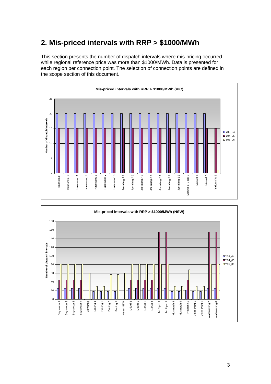# <span id="page-5-0"></span>**2. Mis-priced intervals with RRP > \$1000/MWh**

This section presents the number of dispatch intervals where mis-pricing occurred while regional reference price was more than \$1000/MWh. Data is presented for each region per connection point. The selection of connection points are defined in the scope section of this document.



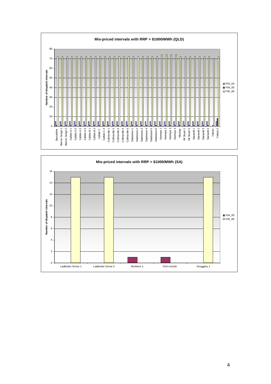

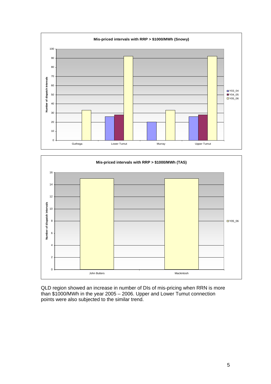



QLD region showed an increase in number of DIs of mis-pricing when RRN is more than \$1000/MWh in the year 2005 – 2006. Upper and Lower Tumut connection points were also subjected to the similar trend.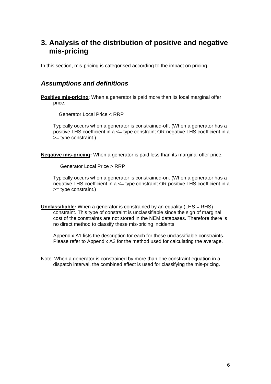# <span id="page-8-0"></span>**3. Analysis of the distribution of positive and negative mis-pricing**

In this section, mis-pricing is categorised according to the impact on pricing.

### *Assumptions and definitions*

**Positive mis-pricing**: When a generator is paid more than its local marginal offer price.

Generator Local Price < RRP

Typically occurs when a generator is constrained-off. (When a generator has a positive LHS coefficient in a <= type constraint OR negative LHS coefficient in a >= type constraint.)

**Negative mis-pricing:** When a generator is paid less than its marginal offer price.

Generator Local Price > RRP

Typically occurs when a generator is constrained-on. (When a generator has a negative LHS coefficient in a <= type constraint OR positive LHS coefficient in a >= type constraint.)

**Unclassifiable:** When a generator is constrained by an equality (LHS = RHS) constraint. This type of constraint is unclassifiable since the sign of marginal cost of the constraints are not stored in the NEM databases. Therefore there is no direct method to classify these mis-pricing incidents.

Appendix A1 lists the description for each for these unclassifiable constraints. Please refer to Appendix A2 for the method used for calculating the average.

Note: When a generator is constrained by more than one constraint equation in a dispatch interval, the combined effect is used for classifying the mis-pricing.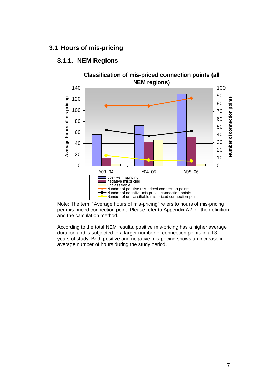### <span id="page-9-0"></span>**3.1 Hours of mis-pricing**



## **3.1.1. NEM Regions**

Note: The term "Average hours of mis-pricing" refers to hours of mis-pricing per mis-priced connection point. Please refer to Appendix A2 for the definition and the calculation method.

According to the total NEM results, positive mis-pricing has a higher average duration and is subjected to a larger number of connection points in all 3 years of study. Both positive and negative mis-pricing shows an increase in average number of hours during the study period.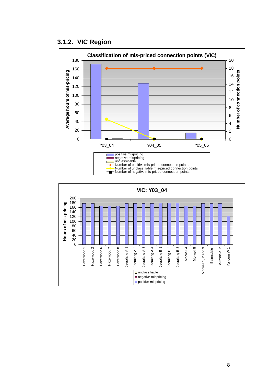<span id="page-10-0"></span>



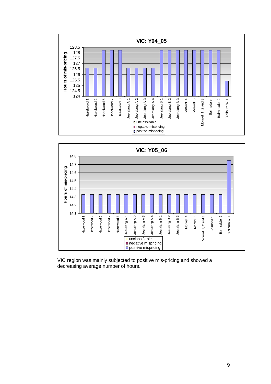



VIC region was mainly subjected to positive mis-pricing and showed a decreasing average number of hours.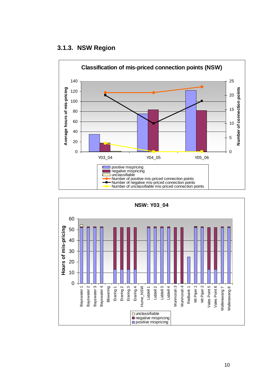#### <span id="page-12-0"></span>**3.1.3. NSW Region**



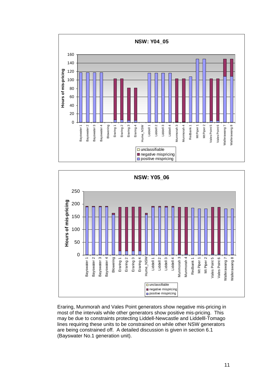



Eraring, Munmorah and Vales Point generators show negative mis-pricing in most of the intervals while other generators show positive mis-pricing. This may be due to constraints protecting Liddell-Newcastle and Liddelll-Tomago lines requiring these units to be constrained on while other NSW generators are being constrained off. A detailed discussion is given in section 6.1 (Bayswater No.1 generation unit).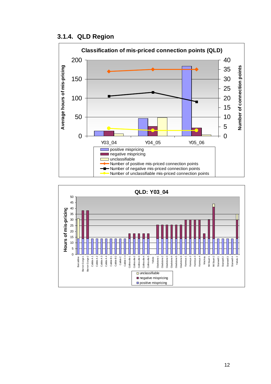#### <span id="page-14-0"></span>**3.1.4. QLD Region**



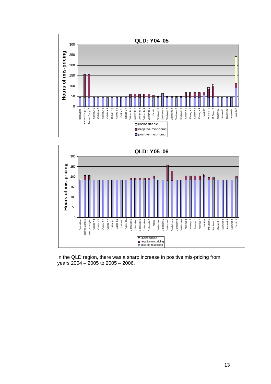



In the QLD region, there was a sharp increase in positive mis-pricing from years 2004 – 2005 to 2005 – 2006.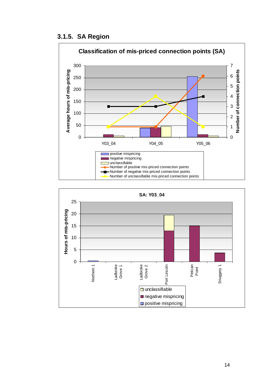#### <span id="page-16-0"></span>**3.1.5. SA Region**



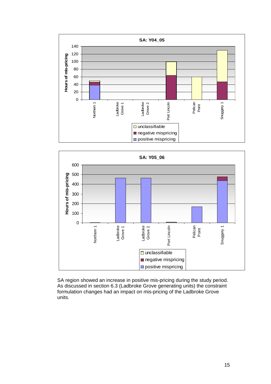



SA region showed an increase in positive mis-pricing during the study period. As discussed in section 6.3 (Ladbroke Grove generating units) the constraint formulation changes had an impact on mis-pricing of the Ladbroke Grove units.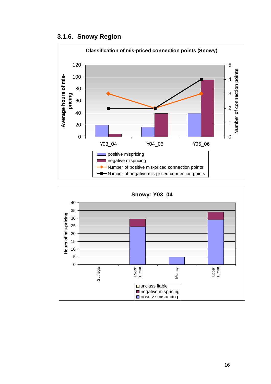<span id="page-18-0"></span>**3.1.6. Snowy Region** 



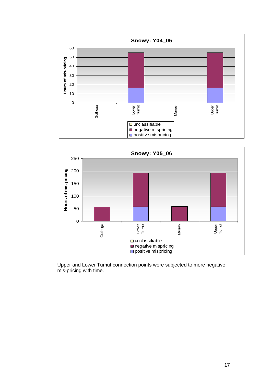



Upper and Lower Tumut connection points were subjected to more negative mis-pricing with time.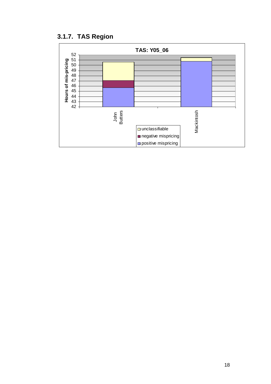<span id="page-20-0"></span>**3.1.7. TAS Region** 

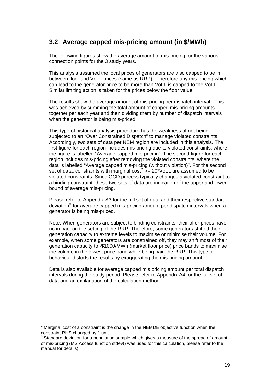## <span id="page-21-0"></span>**3.2 Average capped mis-pricing amount (in \$/MWh)**

The following figures show the average amount of mis-pricing for the various connection points for the 3 study years.

This analysis assumed the local prices of generators are also capped to be in between floor and VoLL prices (same as RRP). Therefore any mis-pricing which can lead to the generator price to be more than VoLL is capped to the VoLL. Similar limiting action is taken for the prices below the floor value.

The results show the average amount of mis-pricing per dispatch interval. This was achieved by summing the total amount of capped mis-pricing amounts together per each year and then dividing them by number of dispatch intervals when the generator is being mis-priced.

This type of historical analysis procedure has the weakness of not being subjected to an "Over Constrained Dispatch" to manage violated constraints. Accordingly, two sets of data per NEM region are included in this analysis. The first figure for each region includes mis-pricing due to violated constraints, where the figure is labelled "Average capped mis-pricing". The second figure for each region includes mis-pricing after removing the violated constraints, where the data is labelled "Average capped mis-pricing (without violation)". For the second set of data, constraints with marginal cost<sup>[2](#page-21-0)</sup> >= 20\*VoLL are assumed to be violated constraints. Since OCD process typically changes a violated constraint to a binding constraint, these two sets of data are indication of the upper and lower bound of average mis-pricing.

Please refer to Appendix A3 for the full set of data and their respective standard deviation<sup>[3](#page-21-0)</sup> for average capped mis-pricing amount per dispatch intervals when a generator is being mis-priced.

Note: When generators are subject to binding constraints, their offer prices have no impact on the setting of the RRP. Therefore, some generators shifted their generation capacity to extreme levels to maximise or minimise their volume. For example, when some generators are constrained off, they may shift most of their generation capacity to -\$1000/MWh (market floor price) price bands to maximise the volume in the lowest price band while being paid the RRP. This type of behaviour distorts the results by exaggerating the mis-pricing amount.

Data is also available for average capped mis pricing amount per total dispatch intervals during the study period. Please refer to Appendix A4 for the full set of data and an explanation of the calculation method.

<sup>1</sup>  $2$  Marginal cost of a constraint is the change in the NEMDE objective function when the constraint RHS changed by 1 unit.

 $3$  Standard deviation for a population sample which gives a measure of the spread of amount of mis-pricing (MS Access function stdev() was used for this calculation, please refer to the manual for details).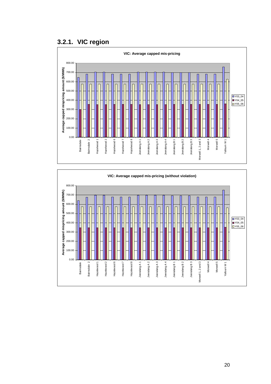## <span id="page-22-0"></span>**3.2.1. VIC region**



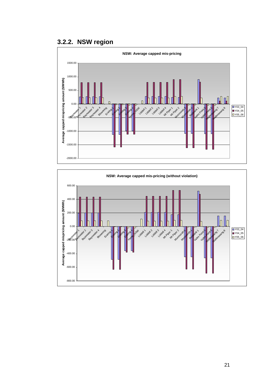<span id="page-23-0"></span>**3.2.2. NSW region** 



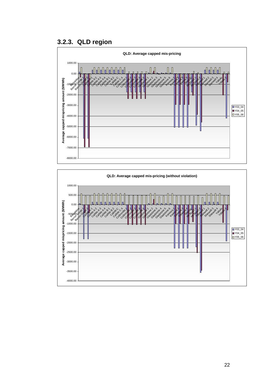## <span id="page-24-0"></span>**3.2.3. QLD region**



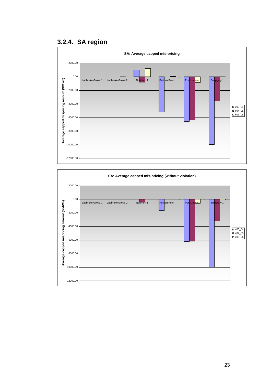## <span id="page-25-0"></span>**3.2.4. SA region**



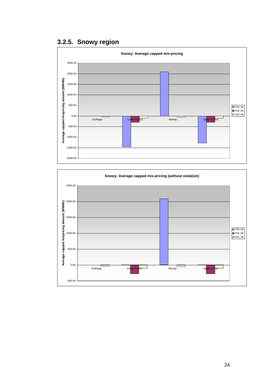<span id="page-26-0"></span>**3.2.5. Snowy region** 



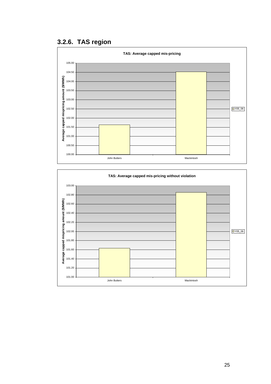<span id="page-27-0"></span>**3.2.6. TAS region** 



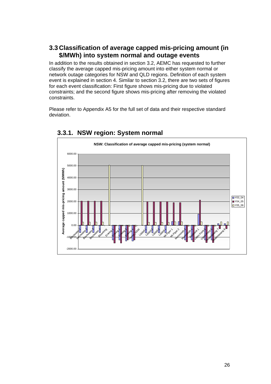## <span id="page-28-0"></span>**3.3 Classification of average capped mis-pricing amount (in \$/MWh) into system normal and outage events**

In addition to the results obtained in section 3.2, AEMC has requested to further classify the average capped mis-pricing amount into either system normal or network outage categories for NSW and QLD regions. Definition of each system event is explained in section 4. Similar to section 3.2, there are two sets of figures for each event classification: First figure shows mis-pricing due to violated constraints; and the second figure shows mis-pricing after removing the violated constraints.

Please refer to Appendix A5 for the full set of data and their respective standard deviation.



## **3.3.1. NSW region: System normal**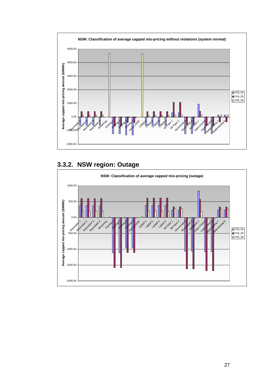<span id="page-29-0"></span>

# **3.3.2. NSW region: Outage**

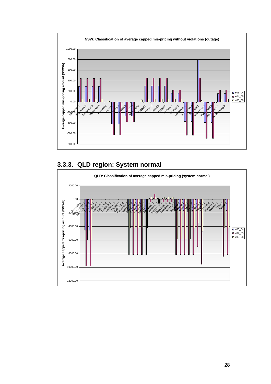<span id="page-30-0"></span>

# **3.3.3. QLD region: System normal**

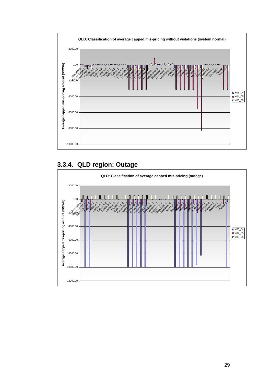<span id="page-31-0"></span>

# **3.3.4. QLD region: Outage**

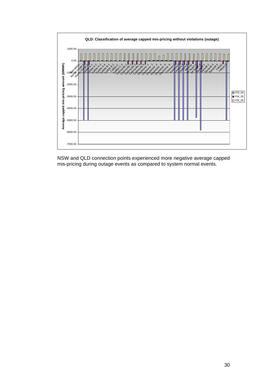

NSW and QLD connection points experienced more negative average capped mis-pricing during outage events as compared to system normal events.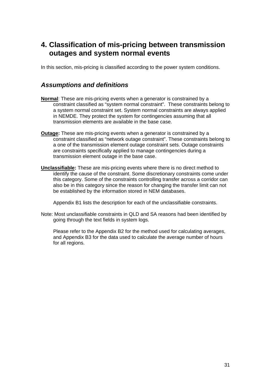# <span id="page-33-0"></span>**4. Classification of mis-pricing between transmission outages and system normal events**

In this section, mis-pricing is classified according to the power system conditions.

#### *Assumptions and definitions*

- **Normal**: These are mis-pricing events when a generator is constrained by a constraint classified as "system normal constraint". These constraints belong to a system normal constraint set. System normal constraints are always applied in NEMDE. They protect the system for contingencies assuming that all transmission elements are available in the base case.
- **Outage:** These are mis-pricing events when a generator is constrained by a constraint classified as "network outage constraint". These constraints belong to a one of the transmission element outage constraint sets. Outage constraints are constraints specifically applied to manage contingencies during a transmission element outage in the base case.
- **Unclassifiable:** These are mis-pricing events where there is no direct method to identify the cause of the constraint. Some discretionary constraints come under this category. Some of the constraints controlling transfer across a corridor can also be in this category since the reason for changing the transfer limit can not be established by the information stored in NEM databases.

Appendix B1 lists the description for each of the unclassifiable constraints.

Note: Most unclassifiable constraints in QLD and SA reasons had been identified by going through the text fields in system logs.

 Please refer to the Appendix B2 for the method used for calculating averages, and Appendix B3 for the data used to calculate the average number of hours for all regions.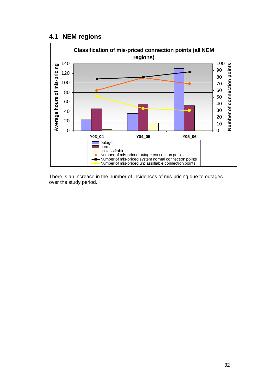#### <span id="page-34-0"></span>**4.1 NEM regions**



There is an increase in the number of incidences of mis-pricing due to outages over the study period.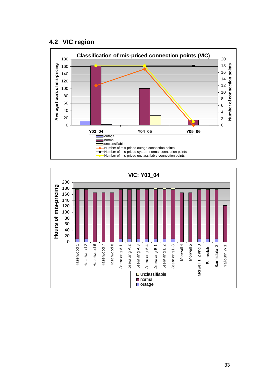### <span id="page-35-0"></span>**4.2 VIC region**



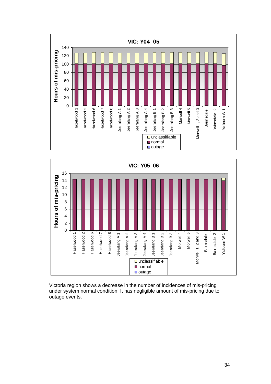



Victoria region shows a decrease in the number of incidences of mis-pricing under system normal condition. It has negligible amount of mis-pricing due to outage events.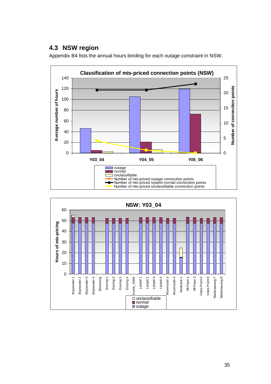## **4.3 NSW region**

Appendix B4 lists the annual hours binding for each outage constraint in NSW.



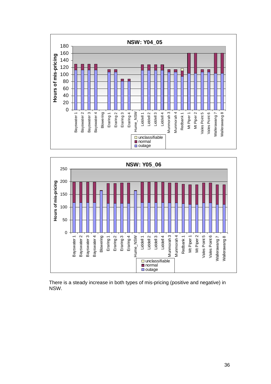



There is a steady increase in both types of mis-pricing (positive and negative) in NSW.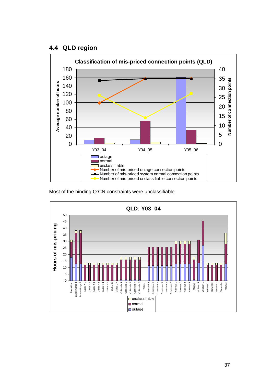## **4.4 QLD region**





Most of the binding Q:CN constraints were unclassifiable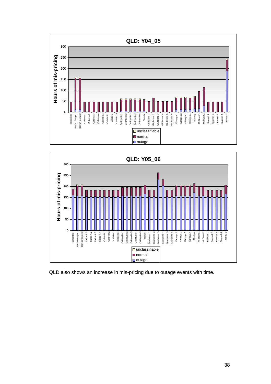



QLD also shows an increase in mis-pricing due to outage events with time.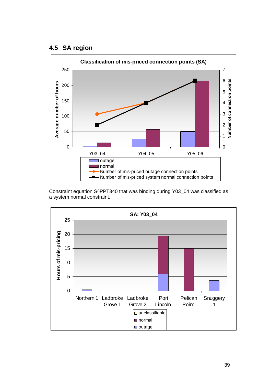### **4.5 SA region**



Constraint equation S^PPT340 that was binding during Y03\_04 was classified as a system normal constraint.

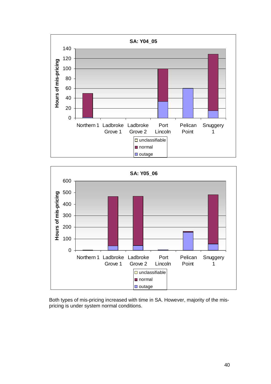



Both types of mis-pricing increased with time in SA. However, majority of the mispricing is under system normal conditions.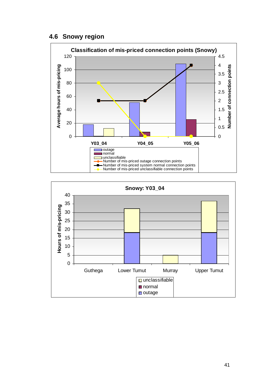### **4.6 Snowy region**



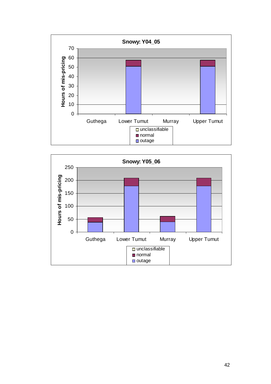

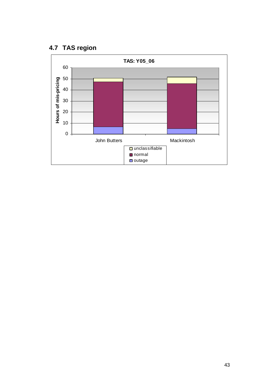# **4.7 TAS region**

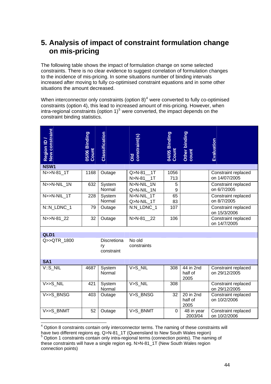# <span id="page-46-0"></span>**5. Analysis of impact of constraint formulation change on mis-pricing**

The following table shows the impact of formulation change on some selected constraints. There is no clear evidence to suggest correlation of formulation changes to the incidence of mis-pricing. In some situations number of binding intervals increased after moving to fully co-optimised constraint equations and in some other situations the amount decreased.

When interconnector only constraints (option  $8)^4$  $8)^4$  were converted to fully co-optimised constraints (option 4), this lead to increased amount of mis-pricing. However, when intra-regional constraints (option  $1)^5$  $1)^5$  were converted, the impact depends on the constraint binding statistics.

| Region ID /<br>New constrair | 05/06 Binding<br>Count | Classification                         | Old<br>constraint(s)                   | 04/05 Binding<br>Count | Other binding<br>count                    | Evaluation                           |
|------------------------------|------------------------|----------------------------------------|----------------------------------------|------------------------|-------------------------------------------|--------------------------------------|
| NSW <sub>1</sub>             |                        |                                        |                                        |                        |                                           |                                      |
| N>>N-81 1T                   | 1168                   | Outage                                 | Q>N-81 1T<br>N>N-81 1T                 | 1056<br>713            |                                           | Constraint replaced<br>on 14/07/2005 |
| N>>N-NIL 1N                  | 632                    | System<br>Normal                       | $\overline{N}$ >N-NIL_1N<br>Q>N-NIL 1N | 5<br>9                 |                                           | Constraint replaced<br>on 6/7/2005   |
| N>>N-NIL 1T                  | 228                    | System<br>Normal                       | N>N-NIL 1T<br>Q>N-NIL_1T               | 65<br>83               |                                           | Constraint replaced<br>on 8/7/2005   |
| N::N_LDNC_1                  | 79                     | Outage                                 | N:N_LDNC_1                             | 107                    |                                           | Constraint replaced<br>on 15/3/2006  |
| N>>N-81 22                   | 32                     | Outage                                 | N>N-81 22                              | 106                    |                                           | Constraint replaced<br>on 14/7/2005  |
|                              |                        |                                        |                                        |                        |                                           |                                      |
| QLD1<br>Q>>QTR 1800          |                        | <b>Discretiona</b><br>ry<br>constraint | No old<br>constraints                  |                        |                                           |                                      |
| <b>SA1</b>                   |                        |                                        |                                        |                        |                                           |                                      |
| V::S NIL                     | 4687                   | System<br>Normal                       | V>S NIL                                | 308                    | 44 in 2nd<br>half of<br>2005              | Constraint replaced<br>on 29/12/2005 |
| $V>>S_NIL$                   | 421                    | System<br>Normal                       | V>S NIL                                | 308                    |                                           | Constraint replaced<br>on 29/12/2005 |
| V>>S BNSG                    | 403                    | Outage                                 | V>S BNSG                               | 32                     | $\overline{20}$ in 2nd<br>half of<br>2005 | Constraint replaced<br>on 10/2/2006  |
| $V >> S_B NMT$               | 52                     | Outage                                 | V>S_BNMT                               | $\Omega$               | 48 in year<br>2003/04                     | Constraint replaced<br>on 10/2/2006  |

<sup>————————————————————&</sup>lt;br><sup>4</sup> Option 8 constraints contain only interconnector terms. The naming of these constraints will

have two different regions eg. Q>N-81\_1T (Queensland to New South Wales region)

<sup>&</sup>lt;sup>5</sup> Option 1 constraints contain only intra-regional terms (connection points). The naming of these constraints will have a single region eg. N>N-81\_1T (New South Wales region connection points)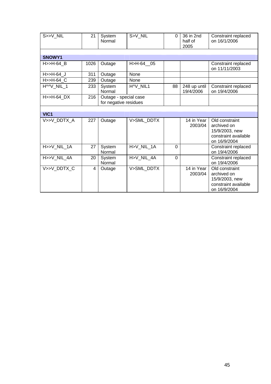| S>>V_NIL         | 21                       | System<br>Normal                               | S>V_NIL    | $\Omega$       | 36 in 2nd<br>half of<br>2005 | Constraint replaced<br>on 16/1/2006                                                     |
|------------------|--------------------------|------------------------------------------------|------------|----------------|------------------------------|-----------------------------------------------------------------------------------------|
|                  |                          |                                                |            |                |                              |                                                                                         |
| SNOWY1           |                          |                                                |            |                |                              |                                                                                         |
| $H>>H-64$ B      | 1026                     | Outage                                         | H>H-64_05  |                |                              | Constraint replaced<br>on 11/11/2003                                                    |
| H>>H-64_J        | 311                      | Outage                                         | None       |                |                              |                                                                                         |
| $H>>H-64_C$      | 239                      | Outage                                         | None       |                |                              |                                                                                         |
| HMV NIL 1        | 233                      | System<br>Normal                               | H^V NIL1   | 88             | 248 up until<br>19/4/2006    | Constraint replaced<br>on 19/4/2006                                                     |
| $H>>H-64$ DX     | 216                      | Outage - special case<br>for negative residues |            |                |                              |                                                                                         |
| VIC <sub>1</sub> |                          |                                                |            |                |                              |                                                                                         |
| V>>V DDTX A      | 227                      | Outage                                         | V>SML DDTX |                | 14 in Year<br>2003/04        | Old constraint<br>archived on<br>15/9/2003, new<br>constraint available<br>on 16/9/2004 |
| H>>V_NIL_1A      | 27                       | System<br>Normal                               | H>V_NIL_1A | $\overline{0}$ |                              | Constraint replaced<br>on 19/4/2006                                                     |
| H>>V_NIL_4A      | 20                       | System<br>Normal                               | H>V_NIL_4A | $\Omega$       |                              | Constraint replaced<br>on 19/4/2006                                                     |
| V>>V_DDTX_C      | $\overline{\mathcal{A}}$ | Outage                                         | V>SML_DDTX |                | 14 in Year<br>2003/04        | Old constraint<br>archived on<br>15/9/2003, new<br>constraint available<br>on 16/9/2004 |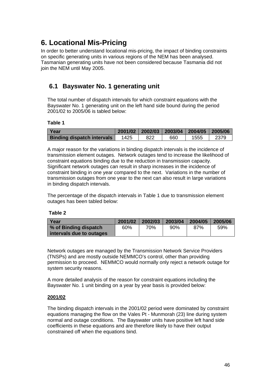# **6. Locational Mis-Pricing**

In order to better understand locational mis-pricing, the impact of binding constraints on specific generating units in various regions of the NEM has been analysed. Tasmanian generating units have not been considered because Tasmania did not join the NEM until May 2005.

## **6.1 Bayswater No. 1 generating unit**

The total number of dispatch intervals for which constraint equations with the Bayswater No. 1 generating unit on the left hand side bound during the period 2001/02 to 2005/06 is tabled below:

#### **Table 1**

| l Year                            |      | $2001/02$   2002/03   2003/04   2004/05   2005/06 |     |      |      |
|-----------------------------------|------|---------------------------------------------------|-----|------|------|
| <b>Binding dispatch intervals</b> | 1425 | 822                                               | 660 | 1555 | 2379 |

A major reason for the variations in binding dispatch intervals is the incidence of transmission element outages. Network outages tend to increase the likelihood of constraint equations binding due to the reduction in transmission capacity. Significant network outages can result in sharp increases in the incidence of constraint binding in one year compared to the next. Variations in the number of transmission outages from one year to the next can also result in large variations in binding dispatch intervals.

The percentage of the dispatch intervals in Table 1 due to transmission element outages has been tabled below:

#### **Table 2**

| Year                     | 2001/02 | 2002/03 | 2003/04 | 2004/05 | 2005/06 |
|--------------------------|---------|---------|---------|---------|---------|
| % of Binding dispatch    | 60%     | 70%     | 90%     | 87%     | 59%     |
| intervals due to outages |         |         |         |         |         |

Network outages are managed by the Transmission Network Service Providers (TNSPs) and are mostly outside NEMMCO's control, other than providing permission to proceed. NEMMCO would normally only reject a network outage for system security reasons.

A more detailed analysis of the reason for constraint equations including the Bayswater No. 1 unit binding on a year by year basis is provided below:

### **2001/02**

The binding dispatch intervals in the 2001/02 period were dominated by constraint equations managing the flow on the Vales Pt - Munmorah (23) line during system normal and outage conditions. The Bayswater units have positive left hand side coefficients in these equations and are therefore likely to have their output constrained off when the equations bind.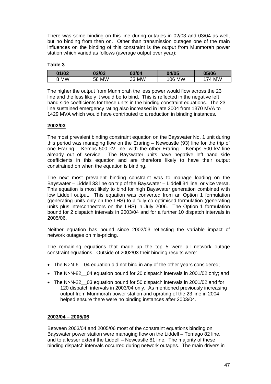There was some binding on this line during outages in 02/03 and 03/04 as well, but no binding from then on. Other than transmission outages one of the main influences on the binding of this constraint is the output from Munmorah power station which varied as follows (average output over year):

#### **Table 3**

| 01/02 | 02/03           | 03/04       | 04/05  | 05/06   |
|-------|-----------------|-------------|--------|---------|
| 8 MW  | <b>MW</b><br>58 | 33 MW<br>۰υ | 106 MW | MW<br>Δ |

The higher the output from Munmorah the less power would flow across the 23 line and the less likely it would be to bind. This is reflected in the negative left hand side coefficients for these units in the binding constraint equations. The 23 line sustained emergency rating also increased in late 2004 from 1370 MVA to 1429 MVA which would have contributed to a reduction in binding instances.

#### **2002/03**

The most prevalent binding constraint equation on the Bayswater No. 1 unit during this period was managing flow on the Eraring – Newcastle (93) line for the trip of one Eraring – Kemps 500 kV line, with the other Eraring – Kemps 500 kV line already out of service. The Bayswater units have negative left hand side coefficients in this equation and are therefore likely to have their output constrained on when the equation is binding.

The next most prevalent binding constraint was to manage loading on the Bayswater – Liddell 33 line on trip of the Bayswater – Liddell 34 line, or vice versa. This equation is most likely to bind for high Bayswater generation combined with low Liddell output. This equation was converted from an Option 1 formulation (generating units only on the LHS) to a fully co-optimised formulation (generating units plus interconnectors on the LHS) in July 2006. The Option 1 formulation bound for 2 dispatch intervals in 2003/04 and for a further 10 dispatch intervals in 2005/06.

Neither equation has bound since 2002/03 reflecting the variable impact of network outages on mis-pricing.

The remaining equations that made up the top 5 were all network outage constraint equations. Outside of 2002/03 their binding results were:

- The N>N-6 \_04 equation did not bind in any of the other years considered;
- The N>N-82 04 equation bound for 20 dispatch intervals in 2001/02 only; and
- The N>N-22 03 equation bound for 50 dispatch intervals in 2001/02 and for 120 dispatch intervals in 2003/04 only. As mentioned previously increasing output from Munmorah power station and uprating of the 23 line in 2004 helped ensure there were no binding instances after 2003/04.

#### **2003/04 – 2005/06**

Between 2003/04 and 2005/06 most of the constraint equations binding on Bayswater power station were managing flow on the Liddell – Tomago 82 line, and to a lesser extent the Liddell – Newcastle 81 line. The majority of these binding dispatch intervals occurred during network outages. The main drivers in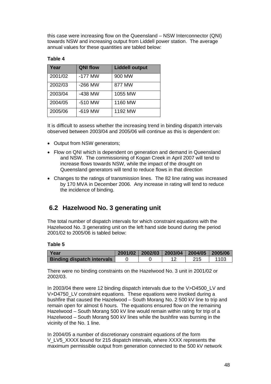this case were increasing flow on the Queensland – NSW Interconnector (QNI) towards NSW and increasing output from Liddell power station. The average annual values for these quantities are tabled below:

### **Table 4**

| Year    | <b>QNI flow</b> | <b>Liddell output</b> |
|---------|-----------------|-----------------------|
| 2001/02 | $-177$ MW       | 900 MW                |
| 2002/03 | $-266$ MW       | 877 MW                |
| 2003/04 | -438 MW         | 1055 MW               |
| 2004/05 | $-510$ MW       | 1160 MW               |
| 2005/06 | $-619$ MW       | 1192 MW               |

It is difficult to assess whether the increasing trend in binding dispatch intervals observed between 2003/04 and 2005/06 will continue as this is dependent on:

- Output from NSW generators:
- Flow on QNI which is dependent on generation and demand in Queensland and NSW. The commissioning of Kogan Creek in April 2007 will tend to increase flows towards NSW, while the impact of the drought on Queensland generators will tend to reduce flows in that direction
- Changes to the ratings of transmission lines. The 82 line rating was increased by 170 MVA in December 2006. Any increase in rating will tend to reduce the incidence of binding.

### **6.2 Hazelwood No. 3 generating unit**

The total number of dispatch intervals for which constraint equations with the Hazelwood No. 3 generating unit on the left hand side bound during the period 2001/02 to 2005/06 is tabled below:

#### **Table 5**

| l Year                            |  | 2001/02 2002/03 2003/04 2004/05 2005/06 |      |
|-----------------------------------|--|-----------------------------------------|------|
| <b>Binding dispatch intervals</b> |  | 215                                     | 1103 |

There were no binding constraints on the Hazelwood No. 3 unit in 2001/02 or 2002/03.

In 2003/04 there were 12 binding dispatch intervals due to the V>D4500\_LV and V>D4750 LV constraint equations. These equations were invoked during a bushfire that caused the Hazelwood – South Morang No. 2 500 kV line to trip and remain open for almost 6 hours. The equations ensured flow on the remaining Hazelwood – South Morang 500 kV line would remain within rating for trip of a Hazelwood – South Morang 500 kV lines while the bushfire was burning in the vicinity of the No. 1 line.

In 2004/05 a number of discretionary constraint equations of the form V\_LV5\_XXXX bound for 215 dispatch intervals, where XXXX represents the maximum permissible output from generation connected to the 500 kV network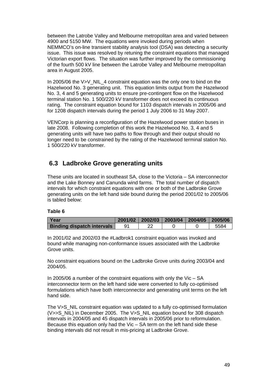between the Latrobe Valley and Melbourne metropolitan area and varied between 4900 and 5150 MW. The equations were invoked during periods when NEMMCO's on-line transient stability analysis tool (DSA) was detecting a security issue. This issue was resolved by retuning the constraint equations that managed Victorian export flows. The situation was further improved by the commissioning of the fourth 500 kV line between the Latrobe Valley and Melbourne metropolitan area in August 2005.

In 2005/06 the V>V\_NIL\_4 constraint equation was the only one to bind on the Hazelwood No. 3 generating unit. This equation limits output from the Hazelwood No. 3, 4 and 5 generating units to ensure pre-contingent flow on the Hazelwood terminal station No. 1 500/220 kV transformer does not exceed its continuous rating. The constraint equation bound for 1103 dispatch intervals in 2005/06 and for 1208 dispatch intervals during the period 1 July 2006 to 31 May 2007.

VENCorp is planning a reconfiguration of the Hazelwood power station buses in late 2008. Following completion of this work the Hazelwood No. 3, 4 and 5 generating units will have two paths to flow through and their output should no longer need to be constrained by the rating of the Hazelwood terminal station No. 1 500/220 kV transformer.

## **6.3 Ladbroke Grove generating units**

These units are located in southeast SA, close to the Victoria – SA interconnector and the Lake Bonney and Canunda wind farms. The total number of dispatch intervals for which constraint equations with one or both of the Ladbroke Grove generating units on the left hand side bound during the period 2001/02 to 2005/06 is tabled below:

#### **Table 6**

| l Year                            |  | $2001/02$   2002/03   2003/04   2004/05   2005/06 |      |
|-----------------------------------|--|---------------------------------------------------|------|
| <b>Binding dispatch intervals</b> |  |                                                   | 5584 |

In 2001/02 and 2002/03 the #Ladbrok1 constraint equation was invoked and bound while managing non-conformance issues associated with the Ladbroke Grove units.

No constraint equations bound on the Ladbroke Grove units during 2003/04 and 2004/05.

In 2005/06 a number of the constraint equations with only the Vic – SA interconnector term on the left hand side were converted to fully co-optimised formulations which have both interconnector and generating unit terms on the left hand side.

The V>S\_NIL constraint equation was updated to a fully co-optimised formulation (V>>S\_NIL) in December 2005. The V>S\_NIL equation bound for 308 dispatch intervals in 2004/05 and 45 dispatch intervals in 2005/06 prior to reformulation. Because this equation only had the Vic – SA term on the left hand side these binding intervals did not result in mis-pricing at Ladbroke Grove.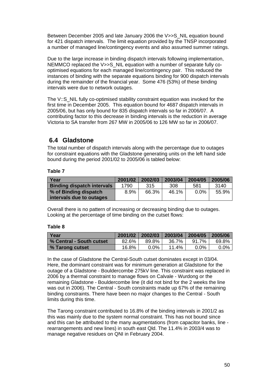Between December 2005 and late January 2006 the V>>S NIL equation bound for 421 dispatch intervals. The limit equation provided by the TNSP incorporated a number of managed line/contingency events and also assumed summer ratings.

Due to the large increase in binding dispatch intervals following implementation, NEMMCO replaced the V>>S\_NIL equation with a number of separate fully cooptimised equations for each managed line/contingency pair. This reduced the instances of binding with the separate equations binding for 900 dispatch intervals during the remainder of the financial year. Some 476 (53%) of these binding intervals were due to network outages.

The V::S\_NIL fully co-optimised stability constraint equation was invoked for the first time in December 2005. This equation bound for 4687 dispatch intervals in 2005/06, but has only bound for 835 dispatch intervals so far in 2006/07. A contributing factor to this decrease in binding intervals is the reduction in average Victoria to SA transfer from 267 MW in 2005/06 to 126 MW so far in 2006/07.

## **6.4 Gladstone**

The total number of dispatch intervals along with the percentage due to outages for constraint equations with the Gladstone generating units on the left hand side bound during the period 2001/02 to 2005/06 is tabled below:

### **Table 7**

| Year                              | 2001/02 | 2002/03 | 2003/04 | 2004/05 | 2005/06 |
|-----------------------------------|---------|---------|---------|---------|---------|
| <b>Binding dispatch intervals</b> | 1790    | 315     | 308     | 581     | 3140    |
| % of Binding dispatch             | 8.9%    | 66.3%   | 46.1%   | 0.0%    | 55.9%   |
| intervals due to outages          |         |         |         |         |         |

Overall there is no pattern of increasing or decreasing binding due to outages. Looking at the percentage of time binding on the cutset flows:

#### **Table 8**

| Year                     | 2001/02 | 2002/03 | 2003/04 | 2004/05  | 2005/06 |
|--------------------------|---------|---------|---------|----------|---------|
| % Central - South cutset | 82.6%   | 89.8%   | 36.7%   | $91.7\%$ | 69.8%   |
| │ % Tarong cutset        | 16.8%   | $0.0\%$ | 11.4%   | $0.0\%$  | $0.0\%$ |

In the case of Gladstone the Central-South cutset dominates except in 03/04. Here, the dominant constraint was for minimum generation at Gladstone for the outage of a Gladstone - Bouldercombe 275kV line. This constraint was replaced in 2006 by a thermal constraint to manage flows on Calvale - Wurdong or the remaining Gladstone - Bouldercombe line (it did not bind for the 2 weeks the line was out in 2006). The Central - South constraints made up 67% of the remaining binding constraints. There have been no major changes to the Central - South limits during this time.

The Tarong constraint contributed to 16.8% of the binding intervals in 2001/2 as this was mainly due to the system normal constraint. This has not bound since and this can be attributed to the many augmentations (from capacitor banks, line rearrangements and new lines) in south east Qld. The 11.4% in 2003/4 was to manage negative residues on QNI in February 2004.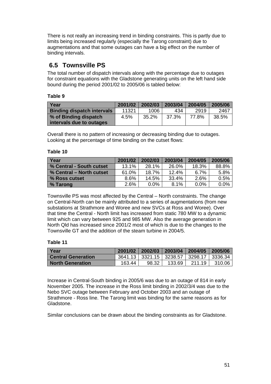There is not really an increasing trend in binding constraints. This is partly due to limits being increased regularly (especially the Tarong constraint) due to augmentations and that some outages can have a big effect on the number of binding intervals.

## **6.5 Townsville PS**

The total number of dispatch intervals along with the percentage due to outages for constraint equations with the Gladstone generating units on the left hand side bound during the period 2001/02 to 2005/06 is tabled below:

### **Table 9**

| Year                              | 2001/02 | 2002/03 | 2003/04 | 2004/05 | 2005/06 |
|-----------------------------------|---------|---------|---------|---------|---------|
| <b>Binding dispatch intervals</b> | 11321   | 1006    | 434     | 2919    | 2467    |
| % of Binding dispatch             | 4.5%    | 35.2%   | 37.3%   | 77.8%   | 38.5%   |
| intervals due to outages          |         |         |         |         |         |

Overall there is no pattern of increasing or decreasing binding due to outages. Looking at the percentage of time binding on the cutset flows:

### **Table 10**

| Year                     | 2001/02  | 2002/03 | 2003/04 | 2004/05 | 2005/06 |
|--------------------------|----------|---------|---------|---------|---------|
| % Central - South cutset | $13.1\%$ | 28.1%   | 26.0%   | 18.3%   | 88.8%   |
| % Central – North cutset | 61.0%    | 18.7%   | 12.4%   | 6.7%    | 5.8%    |
| % Ross cutset            | 8.6%     | 14.5%   | 33.4%   | 2.6%    | 0.5%    |
| │% Tarong                | 2.6%     | $0.0\%$ | 8.1%    | $0.0\%$ | $0.0\%$ |

Townsville PS was most affected by the Central – North constraints. The change on Central-North can be mainly attributed to a series of augmentations (from new substations at Strathmore and Woree and new SVCs at Ross and Woree). Over that time the Central - North limit has increased from static 780 MW to a dynamic limit which can vary between 925 and 985 MW. Also the average generation in North Qld has increased since 2001/2 most of which is due to the changes to the Townsville GT and the addition of the steam turbine in 2004/5.

#### **Table 11**

| Year                      | 2001/02 | 2002/03 | 2003/04                                         | 2004/05 | 2005/06 |
|---------------------------|---------|---------|-------------------------------------------------|---------|---------|
| <b>Central Generation</b> |         |         | 3641.13   3321.15   3238.57   3298.17   3336.34 |         |         |
| <b>North Generation</b>   | 163.44  | 98.32   | 133.69                                          | 211.19  | 310.06  |

Increase in Central-South binding in 2005/6 was due to an outage of 814 in early November 2005. The increase in the Ross limit binding in 2002/3/4 was due to the Nebo SVC outage between February and October 2003 and an outage of Strathmore - Ross line. The Tarong limit was binding for the same reasons as for Gladstone.

Similar conclusions can be drawn about the binding constraints as for Gladstone.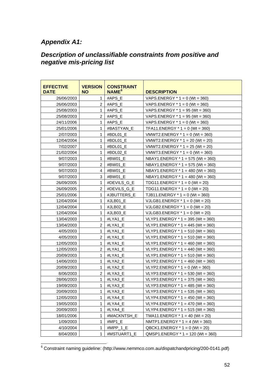## <span id="page-54-0"></span>*Appendix A1:*

## *Description of unclassifiable constraints from positive and negative mis-pricing list*

| <b>EFFECTIVE</b><br><b>DATE</b> | <b>VERSION</b><br><b>NO</b> | <b>CONSTRAINT</b><br>NAME <sup>6</sup> | <b>DESCRIPTION</b>                  |
|---------------------------------|-----------------------------|----------------------------------------|-------------------------------------|
| 26/06/2003                      | 1                           | #APS E                                 | VAPS.ENERGY $*$ 1 = 0 (Wt = 360)    |
| 26/06/2003                      | $\overline{c}$              | #APS_E                                 | VAPS.ENERGY $*$ 1 = 0 (Wt = 360)    |
| 25/08/2003                      | 1                           | #APS E                                 | VAPS.ENERGY $*$ 1 = 95 (Wt = 360)   |
| 25/08/2003                      | 2                           | #APS E                                 | VAPS.ENERGY $*$ 1 = 95 (Wt = 360)   |
| 24/11/2006                      | 1                           | #APS E                                 | VAPS.ENERGY $*$ 1 = 0 (Wt = 360)    |
| 25/01/2006                      | 1                           | #BASTYAN E                             | TFA11.ENERGY $*$ 1 = 0 (Wt = 360)   |
| 2/07/2003                       | 1                           | #BDL01 E                               | VMWT2.ENERGY $*$ 1 = 0 (Wt = 360)   |
| 12/04/2004                      | 1                           | #BDL01 E                               | VMWT2.ENERGY $*$ 1 = 20 (Wt = 20)   |
| 7/02/2007                       | 1                           | #BDL01 E                               | VMWT2.ENERGY $*$ 1 = 25 (Wt = 20)   |
| 21/02/2004                      | 1                           | #BDL02 E                               | VMWT3.ENERGY $*$ 1 = 0 (Wt = 360)   |
| 9/07/2003                       | 1                           | #BW01 E                                | NBAY1.ENERGY $*$ 1 = 575 (Wt = 360) |
| 9/07/2003                       | $\overline{2}$              | #BW01 E                                | NBAY1.ENERGY $*$ 1 = 575 (Wt = 360) |
| 9/07/2003                       | 4                           | #BW01 E                                | NBAY1.ENERGY $*$ 1 = 480 (Wt = 360) |
| 9/07/2003                       | 3                           | #BW01_E                                | NBAY1.ENERGY $*$ 1 = 480 (Wt = 360) |
| 26/09/2005                      | 1                           | #DEVILS G E                            | TDG11.ENERGY $*$ 1 = 0 (Wt = 20)    |
| 26/09/2005                      | 2                           | #DEVILS G E                            | TDG11.ENERGY $*$ 1 = 0 (Wt = 20)    |
| 25/01/2006                      | 1                           | #JBUTTERS E                            | TJB11.ENERGY $*$ 1 = 0 (Wt = 360)   |
| 12/04/2004                      | 1                           | #JLB01 E                               | VJLGB1.ENERGY $*$ 1 = 0 (Wt = 20)   |
| 12/04/2004                      | 1                           | #JLB02 E                               | VJLGB2.ENERGY $*$ 1 = 0 (Wt = 20)   |
| 12/04/2004                      | 1                           | #JLB03 E                               | VJLGB3.ENERGY $*$ 1 = 0 (Wt = 20)   |
| 13/04/2003                      | 1                           | #LYA1 E                                | VLYP1.ENERGY $*$ 1 = 395 (Wt = 360) |
| 13/04/2003                      | 2                           | #LYA1 E                                | VLYP1.ENERGY * 1 = 445 (Wt = 360)   |
| 4/05/2003                       | 1                           | #LYA1 E                                | VLYP1.ENERGY $*$ 1 = 510 (Wt = 360) |
| 4/05/2003                       | 2                           | #LYA1_E                                | VLYP1.ENERGY * 1 = 510 (Wt = 360)   |
| 12/05/2003                      | 1                           | #LYA1_E                                | $VLYP1.ENERGY * 1 = 460 (Wt = 360)$ |
| 12/05/2003                      | 2                           | #LYA1 E                                | $VLYP1.ENERGY * 1 = 440 (Wt = 360)$ |
| 20/09/2003                      | $\mathbf{1}$                | #LYA1 E                                | VLYP1.ENERGY * 1 = 510 (Wt = 360)   |
| 14/06/2003                      | 1                           | #LYA2 E                                | VLYP2.ENERGY $*$ 1 = 460 (Wt = 360) |
| 20/09/2003                      | 1                           | #LYA2 E                                | VLYP2.ENERGY $*$ 1 = 0 (Wt = 360)   |
| 8/06/2003                       | $\overline{2}$              | #LYA3_E                                | VLYP3.ENERGY $*$ 1 = 530 (Wt = 360) |
| 28/06/2003                      | 1                           | #LYA3 E                                | VLYP3.ENERGY $*$ 1 = 375 (Wt = 360) |
| 19/09/2003                      | 1                           | #LYA3_E                                | VLYP3.ENERGY * 1 = 485 (Wt = 360)   |
| 20/09/2003                      | 1                           | #LYA3_E                                | VLYP3.ENERGY $*$ 1 = 535 (Wt = 360) |
| 12/05/2003                      | 1                           | #LYA4_E                                | VLYP4.ENERGY * 1 = 450 (Wt = 360)   |
| 19/05/2003                      | 1                           | #LYA4_E                                | VLYP4.ENERGY * 1 = 470 (Wt = 360)   |
| 20/09/2003                      | 1                           | #LYA4_E                                | VLYP4.ENERGY $*$ 1 = 515 (Wt = 360) |
| 18/01/2006                      | 1                           | #MACKNTSH_E                            | TMA11.ENERGY $*$ 1 = 40 (Wt = 20)   |
| 1/09/2003                       | 1                           | #MP1_E                                 | NMTP1.ENERGY $*$ 1 = 4 (Wt = 360)   |
| 4/10/2004                       | 1                           | #MPP_1_E                               | QBCK1.ENERGY $*$ 1 = 0 (Wt = 20)    |
| 8/04/2003                       | 1                           | #MSTUART1_E                            | QMSP1.ENERGY * 1 = 120 (Wt = 360)   |

 6 Constraint naming guideline: (http://www.nemmco.com.au/dispatchandpricing/200-0141.pdf)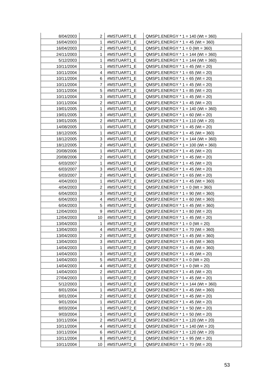| 8/04/2003  | 2              | #MSTUART1_E | $QMSP1.ENERGY * 1 = 140 (Wt = 360)$  |
|------------|----------------|-------------|--------------------------------------|
| 16/04/2003 | 1              | #MSTUART1 E | $QMSP1.ENERGY * 1 = 45 (Wt = 360)$   |
| 16/04/2003 | 2              | #MSTUART1_E | $QMSP1.ENERGY * 1 = 0 (Wt = 360)$    |
| 24/11/2003 | 1              | #MSTUART1 E | $QMSP1.ENERGY * 1 = 144 (Wt = 360)$  |
| 5/12/2003  | 1              | #MSTUART1_E | $QMSP1.ENERGY * 1 = 144 (Wt = 360)$  |
| 10/11/2004 | 1              | #MSTUART1_E | $QMSP1.ENERGY * 1 = 45 (Wt = 20)$    |
| 10/11/2004 | 4              | #MSTUART1_E | $QMSP1.ENERGY * 1 = 65 (Wt = 20)$    |
| 10/11/2004 | 6              | #MSTUART1_E | $QMSP1.ENERGY * 1 = 65 (Wt = 20)$    |
| 10/11/2004 | 7              | #MSTUART1_E | $QMSP1.ENERGY * 1 = 45 (Wt = 20)$    |
| 10/11/2004 | 5              | #MSTUART1_E | $QMSP1.ENERGY * 1 = 85 (Wt = 20)$    |
| 10/11/2004 | 3              | #MSTUART1_E | $QMSP1.ENERGY * 1 = 45 (Wt = 20)$    |
| 10/11/2004 | 2              | #MSTUART1_E | $QMSP1.ENERGY * 1 = 45 (Wt = 20)$    |
| 19/01/2005 | 1              | #MSTUART1_E | $QMSP1.ENERGY * 1 = 140 (Wt = 360)$  |
| 19/01/2005 | 3              | #MSTUART1_E | $QMSP1.ENERGY * 1 = 60 (Wt = 20)$    |
| 19/01/2005 | 2              | #MSTUART1_E | $QMSP1.ENERGY * 1 = 110 (Wt = 20)$   |
| 14/08/2005 | 1              | #MSTUART1 E | $QMSP1.ENERGY * 1 = 45 (Wt = 20)$    |
| 18/12/2005 | 1              | #MSTUART1_E | $QMSP1.ENERGY * 1 = 45 (Wt = 360)$   |
| 18/12/2005 | 3              | #MSTUART1_E | $QMSP1.ENERGY * 1 = 144 (Wt = 360)$  |
| 18/12/2005 | 2              | #MSTUART1_E | $QMSP1.ENERGY * 1 = 100 (Wt = 360)$  |
| 20/08/2006 | 1              | #MSTUART1_E | $QMSP1.ENERGY * 1 = 45 (Wt = 20)$    |
| 20/08/2006 | 2              | #MSTUART1_E | $QMSP1.ENERGY * 1 = 45 (Wt = 20)$    |
| 6/03/2007  | 1              | #MSTUART1 E | $QMSP1.ENERGY * 1 = 45 (Wt = 20)$    |
| 6/03/2007  | 3              | #MSTUART1_E | $QMSP1.ENERGY * 1 = 45 (Wt = 20)$    |
| 6/03/2007  | 2              | #MSTUART1 E | $QMSP1.ENERGY * 1 = 65 (Wt = 20)$    |
| 4/04/2003  | 1              | #MSTUART2_E | $QMSP2.ENERGY * 1 = 45 (Wt = 360)$   |
| 4/04/2003  | 2              | #MSTUART2 E | $QMSP2.ENERGY * 1 = 0 (Wt = 360)$    |
| 6/04/2003  | 3              | #MSTUART2 E | $QMSP2. ENERGY * 1 = 90 (Wt = 360)$  |
| 6/04/2003  | 4              | #MSTUART2_E | $QMSP2.ENERGY * 1 = 60 (Wt = 360)$   |
| 6/04/2003  | 5              | #MSTUART2_E | $QMSP2.ENERGY * 1 = 45 (Wt = 360)$   |
| 12/04/2003 | 9              | #MSTUART2_E | $QMSP2. ENERGY * 1 = 80 (Wt = 20)$   |
| 12/04/2003 | 10             | #MSTUART2_E | $QMSP2. ENERGY * 1 = 45 (Wt = 20)$   |
| 13/04/2003 | 1              | #MSTUART2_E | $QMSP2. ENERGY * 1 = 0 (Wt = 20)$    |
| 13/04/2003 | 4              | #MSTUART2 E | $QMSP2. ENERGY * 1 = 70 (Wt = 360)$  |
| 13/04/2003 | $\overline{2}$ | #MSTUART2 E | $QMSP2.ENERGY * 1 = 45 (Wt = 360)$   |
| 13/04/2003 | 3              | #MSTUART2_E | $QMSP2. ENERGY * 1 = 45 (Wt = 360)$  |
| 14/04/2003 | 1              | #MSTUART2_E | $QMSP2.ENERGY * 1 = 45 (Wt = 360)$   |
| 14/04/2003 | 3              | #MSTUART2_E | $QMSP2.ENERGY * 1 = 45 (Wt = 20)$    |
| 14/04/2003 | 5              | #MSTUART2_E | $QMSP2. ENERGY * 1 = 0 (Wt = 20)$    |
| 14/04/2003 | 4              | #MSTUART2_E | $QMSP2.ENERGY * 1 = 0 (Wt = 20)$     |
| 14/04/2003 | 2              | #MSTUART2 E | $QMSP2. ENERGY * 1 = 45 (Wt = 20)$   |
| 27/04/2003 | 1              | #MSTUART2_E | $QMSP2.ENERGY * 1 = 45 (Wt = 20)$    |
| 5/12/2003  | 1              | #MSTUART2_E | $QMSP2. ENERGY * 1 = 144 (Wt = 360)$ |
| 8/01/2004  | 1              | #MSTUART2_E | $QMSP2. ENERGY * 1 = 45 (Wt = 360)$  |
| 8/01/2004  | 2              | #MSTUART2_E | $QMSP2. ENERGY * 1 = 45 (Wt = 20)$   |
| 9/01/2004  | 1              | #MSTUART2_E | $QMSP2.ENERGY * 1 = 45 (Wt = 20)$    |
| 8/03/2004  | 1              | #MSTUART2_E | $QMSP2.ENERGY * 1 = 50 (Wt = 20)$    |
| 9/03/2004  | 1              | #MSTUART2_E | $QMSP2.ENERGY * 1 = 50 (Wt = 20)$    |
| 10/11/2004 | 2              | #MSTUART2 E | $QMSP2. ENERGY * 1 = 120 (Wt = 20)$  |
| 10/11/2004 | 4              | #MSTUART2_E | $QMSP2.ENERGY * 1 = 140 (Wt = 20)$   |
| 10/11/2004 | 6              | #MSTUART2_E | $QMSP2. ENERGY * 1 = 120 (Wt = 20)$  |
| 10/11/2004 | 8              | #MSTUART2_E | $QMSP2. ENERGY * 1 = 95 (Wt = 20)$   |
| 10/11/2004 | 10             | #MSTUART2_E | $QMSP2.ENERGY * 1 = 70 (Wt = 20)$    |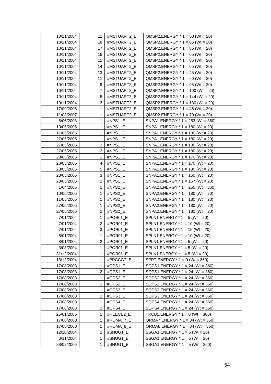| 10/11/2004 | 12             | #MSTUART2_E | $QMSP2. ENERGY * 1 = 50 (Wt = 20)$  |
|------------|----------------|-------------|-------------------------------------|
| 10/11/2004 | 18             | #MSTUART2_E | $QMSP2.ENERGY * 1 = 65 (Wt = 20)$   |
| 10/11/2004 | 17             | #MSTUART2_E | $QMSP2. ENERGY * 1 = 85 (Wt = 20)$  |
| 10/11/2004 | 16             | #MSTUART2 E | $QMSP2. ENERGY * 1 = 65 (Wt = 20)$  |
| 10/11/2004 | 15             | #MSTUART2_E | $QMSP2. ENERGY * 1 = 85 (Wt = 20)$  |
| 10/11/2004 | 14             | #MSTUART2_E | $QMSP2. ENERGY * 1 = 65 (Wt = 20)$  |
| 10/11/2004 | 13             | #MSTUART2_E | $QMSP2. ENERGY * 1 = 45 (Wt = 20)$  |
| 10/11/2004 | 11             | #MSTUART2_E | $QMSP2. ENERGY * 1 = 60 (Wt = 20)$  |
| 10/11/2004 | 9              | #MSTUART2_E | $QMSP2. ENERGY * 1 = 95 (Wt = 20)$  |
| 10/11/2004 | 7              | #MSTUART2_E | $QMSP2. ENERGY * 1 = 100 (Wt = 20)$ |
| 10/11/2004 | 5              | #MSTUART2_E | $QMSP2.ENERGY * 1 = 144 (Wt = 20)$  |
| 10/11/2004 | 3              | #MSTUART2 E | $QMSP2.ENERGY * 1 = 130 (Wt = 20)$  |
| 17/09/2006 | 1              | #MSTUART2_E | $QMSP2. ENERGY * 1 = 45 (Wt = 20)$  |
| 11/03/2007 | 1              | #MSTUART2_E | $QMSP2. ENERGY * 1 = 70 (Wt = 20)$  |
| 8/06/2003  | 1              | #NPS1_E     | SNPA1.ENERGY $*$ 1 = 253 (Wt = 360) |
| 10/05/2005 | 1              | #NPS1_E     | SNPA1.ENERGY $*$ 1 = 180 (Wt = 20)  |
| 11/05/2005 | 1              | #NPS1_E     | SNPA1.ENERGY * 1 = 180 (Wt = 20)    |
| 27/05/2005 | $\mathbf{1}$   | #NPS1_E     | SNPA1.ENERGY $*$ 1 = 180 (Wt = 20)  |
| 27/05/2005 | 3              | #NPS1 E     | SNPA1.ENERGY $*$ 1 = 180 (Wt = 20)  |
| 27/05/2005 | 2              | #NPS1_E     | $SNPA1.ENERGY * 1 = 180 (Wt = 20)$  |
| 28/05/2005 | 1              | #NPS1_E     | $SNPA1.ENERGY * 1 = 170 (Wt = 20)$  |
| 28/05/2005 | 4              | #NPS1 E     | $SNPA1.ENERGY * 1 = 170 (Wt = 20)$  |
| 28/05/2005 | 5              | #NPS1_E     | SNPA1.ENERGY $*$ 1 = 180 (Wt = 20)  |
| 28/05/2005 | 3              | #NPS1_E     | $SNPA1.ENERGY * 1 = 160 (Wt = 20)$  |
| 28/05/2005 | 2              | #NPS1_E     | $SNPA1.ENERGY * 1 = 167 (Wt = 20)$  |
| 1/04/2005  | 1              | #NPS2_E     | SNPA2.ENERGY $*$ 1 = 255 (Wt = 360) |
| 10/05/2005 | 1              | #NPS2_E     | SNPA2.ENERGY $*$ 1 = 180 (Wt = 20)  |
| 11/05/2005 | $\mathbf{1}$   | #NPS2_E     | $SNPA2. ENERGY * 1 = 180 (Wt = 20)$ |
| 27/05/2005 | 1              | #NPS2_E     | SNPA2.ENERGY $*$ 1 = 180 (Wt = 20)  |
| 27/05/2005 | 2              | #NPS2_E     | SNPA2.ENERGY $*$ 1 = 180 (Wt = 20)  |
| 7/01/2004  | 1              | #POR01_E    | $SPLN1.ENERGY * 1 = 5 (Wt = 20)$    |
| 7/01/2004  | $\overline{2}$ | #POR01_E    | $SPLN1.ENERGY * 1 = 10 (Wt = 20)$   |
| 7/01/2004  | 3              | #POR01_E    | $SPLN1.ENERGY * 1 = 15 (Wt = 20)$   |
| 8/01/2004  | $\mathbf{1}$   | #POR01 E    | SPLN1.ENERGY * 1 = 10 (Wt = 20)     |
| 8/01/2004  | 2              | #POR01_E    | $SPLN1.ENERGY * 1 = 5 (Wt = 20)$    |
| 3/03/2004  | 1              | #POR01_E    | SPLN1.ENERGY $*$ 1 = 5 (Wt = 20)    |
| 31/12/2004 | 1              | #POR01_E    | SPLN1.ENERGY $*$ 1 = 5 (Wt = 20)    |
| 13/12/2004 | 1              | #PPCCGT_E   | SPPT.ENERGY * 1 = 0 (Wt = 360)      |
| 17/08/2003 | 1              | #QPS1_E     | SQPS1.ENERGY $*$ 1 = 24 (Wt = 360)  |
| 17/08/2003 | 2              | #QPS1_E     | $SQPS1.ENERGY * 1 = 24 (Wt = 360)$  |
| 17/08/2003 | 1              | #QPS2_E     | SQPS2.ENERGY $*$ 1 = 24 (Wt = 360)  |
| 17/08/2003 | 2              | #QPS2_E     | SQPS2.ENERGY $*$ 1 = 24 (Wt = 360)  |
| 17/08/2003 | 1              | #QPS3_E     | SQPS3.ENERGY $*$ 1 = 24 (Wt = 360)  |
| 17/08/2003 | 2              | #QPS3_E     | SQPS3.ENERGY * 1 = 24 (Wt = 360)    |
| 17/08/2003 | 1              | #QPS4 E     | SQPS4.ENERGY $*$ 1 = 24 (Wt = 360)  |
| 17/08/2003 | 2              | #QPS4_E     | SQPS4.ENERGY * 1 = 24 (Wt = 360)    |
| 25/01/2006 | 1              | #REECE2_E   | TRCB1.ENERGY $*$ 1 = 0 (Wt = 360)   |
| 17/08/2003 | 1              | #ROMA_7_E   | $QRMA7. ENERGY * 1 = 34 (Wt = 360)$ |
| 17/08/2003 | 1              | #ROMA_8_E   | $QRMA8.ENERGY * 1 = 34 (Wt = 360)$  |
| 12/10/2004 | 2              | #SNUG1_E    | SSGA1.ENERGY $*$ 1 = 5 (Wt = 20)    |
| 3/11/2004  | 1              | #SNUG1_E    | SSGA1.ENERGY $*$ 1 = 5 (Wt = 20)    |
| 28/02/2005 | 1              | #SNUG1_E    | $SSGA1.ENERGY * 1 = 5 (Wt = 360)$   |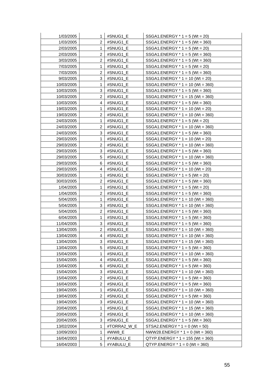| 1/03/2005  | 1              | #SNUG1_E    | $SSGA1.ENERGY * 1 = 5 (Wt = 20)$    |
|------------|----------------|-------------|-------------------------------------|
| 1/03/2005  | 2              | #SNUG1_E    | $SSGA1.ENERGY * 1 = 5 (Wt = 360)$   |
| 2/03/2005  | 1              | #SNUG1_E    | $SSGA1.ENERGY * 1 = 5 (Wt = 20)$    |
| 2/03/2005  | 2              | #SNUG1_E    | $SSGA1.ENERGY * 1 = 5 (Wt = 360)$   |
| 3/03/2005  | 2              | #SNUG1_E    | $SSGA1.ENERGY * 1 = 5 (Wt = 360)$   |
| 7/03/2005  | 1              | #SNUG1_E    | $SSGA1.ENERGY * 1 = 5 (Wt = 20)$    |
| 7/03/2005  | 2              | #SNUG1 E    | $SSGA1.ENERGY * 1 = 5 (Wt = 360)$   |
| 9/03/2005  | 3              | #SNUG1_E    | SSGA1.ENERGY * 1 = 10 (Wt = 20)     |
| 10/03/2005 | 1              | #SNUG1 E    | $SSGA1.ENERGY * 1 = 10 (Wt = 360)$  |
| 10/03/2005 | 3              | #SNUG1_E    | $SSGA1.ENERGY * 1 = 5 (Wt = 360)$   |
| 10/03/2005 | 2              | #SNUG1 E    | $SSGA1.ENERGY * 1 = 15 (Wt = 360)$  |
| 10/03/2005 | 4              | #SNUG1_E    | $SSGA1.ENERGY * 1 = 5 (Wt = 360)$   |
| 19/03/2005 | 1              | #SNUG1_E    | $SSGA1.ENERGY * 1 = 10 (Wt = 20)$   |
| 19/03/2005 | 2              | #SNUG1_E    | $SSGA1.ENERGY * 1 = 10 (Wt = 360)$  |
| 24/03/2005 | 1              | #SNUG1_E    | $SSGA1.ENERGY * 1 = 5 (Wt = 20)$    |
| 24/03/2005 | 2              | #SNUG1 E    | $SSGA1.ENERGY * 1 = 10 (Wt = 360)$  |
| 24/03/2005 | 3              | #SNUG1 E    | $SSGA1.ENERGY * 1 = 5 (Wt = 360)$   |
| 29/03/2005 | 1              | #SNUG1_E    | $SSGA1.ENERGY * 1 = 10 (Wt = 20)$   |
| 29/03/2005 | 2              | #SNUG1_E    | $SSGA1.ENERGY * 1 = 10 (Wt = 360)$  |
| 29/03/2005 | 3              | #SNUG1 E    | $SSGA1.ENERGY * 1 = 5 (Wt = 360)$   |
| 29/03/2005 | 5              | #SNUG1_E    | $SSGA1.ENERGY * 1 = 10 (Wt = 360)$  |
| 29/03/2005 | 6              | #SNUG1_E    | SSGA1.ENERGY $*$ 1 = 5 (Wt = 360)   |
| 29/03/2005 | 4              | #SNUG1_E    | $SSGA1.ENERGY * 1 = 10 (Wt = 20)$   |
| 30/03/2005 | 1              | #SNUG1_E    | $SSGA1.ENERGY * 1 = 5 (Wt = 20)$    |
| 30/03/2005 | 2              | #SNUG1_E    | $SSGA1.ENERGY * 1 = 5 (Wt = 360)$   |
| 1/04/2005  | 1              | #SNUG1_E    | $SSGA1.ENERGY * 1 = 5 (Wt = 20)$    |
| 1/04/2005  | $\overline{2}$ | #SNUG1_E    | SSGA1.ENERGY * 1 = 5 (Wt = 360)     |
| 5/04/2005  | 1              | #SNUG1_E    | $SSGA1.ENERGY * 1 = 10 (Wt = 360)$  |
| 5/04/2005  | 3              | #SNUG1_E    | $SSGA1.ENERGY * 1 = 10 (Wt = 360)$  |
| 5/04/2005  | 2              | #SNUG1 E    | $SSGA1.ENERGY * 1 = 5 (Wt = 360)$   |
| 6/04/2005  | 1              | #SNUG1 E    | $SSGA1.ENERGY * 1 = 5 (Wt = 360)$   |
| 11/04/2005 | 3              | #SNUG1_E    | $SSGA1.ENERGY * 1 = 5 (Wt = 360)$   |
| 13/04/2005 | 2              | #SNUG1_E    | SSGA1.ENERGY * 1 = 10 (Wt = 360)    |
| 13/04/2005 | $\overline{4}$ | #SNUG1 E    | SSGA1.ENERGY * 1 = 10 (Wt = 360)    |
| 13/04/2005 | 3              | #SNUG1_E    | $SSGA1.ENERGY * 1 = 15 (Wt = 360)$  |
| 13/04/2005 | 5              | #SNUG1 E    | SSGA1.ENERGY $*$ 1 = 5 (Wt = 360)   |
| 15/04/2005 | 1              | #SNUG1_E    | $SSGA1.ENERGY * 1 = 10 (Wt = 360)$  |
| 15/04/2005 | 4              | #SNUG1_E    | $SSGA1.ENERGY * 1 = 5 (Wt = 360)$   |
| 15/04/2005 | 6              | #SNUG1_E    | SSGA1.ENERGY $*$ 1 = 5 (Wt = 360)   |
| 15/04/2005 | 3              | #SNUG1_E    | SSGA1.ENERGY $*$ 1 = 10 (Wt = 360)  |
| 15/04/2005 | 2              | #SNUG1 E    | SSGA1.ENERGY $*$ 1 = 5 (Wt = 360)   |
| 16/04/2005 | 2              | #SNUG1 E    | $SSGA1.ENERGY * 1 = 5 (Wt = 360)$   |
| 19/04/2005 | 1              | #SNUG1 E    | $SSGA1.ENERGY * 1 = 10 (Wt = 360)$  |
| 19/04/2005 | 2              | #SNUG1_E    | $SSGA1.ENERGY * 1 = 5 (Wt = 360)$   |
| 19/04/2005 | 3              | #SNUG1 E    | $SSGA1.ENERGY * 1 = 10 (Wt = 360)$  |
| 20/04/2005 | 1              | #SNUG1_E    | SSGA1.ENERGY * 1 = 15 (Wt = 360)    |
| 20/04/2005 | 2              | #SNUG1_E    | $SSGA1.ENERGY * 1 = 10 (Wt = 360)$  |
| 20/04/2005 | 3              | #SNUG1 E    | $SSGA1.ENERGY * 1 = 5 (Wt = 360)$   |
| 13/02/2004 | 1              | #TORRA2 W E | $STSA2. ENERGY * 1 = 0 (Wt = 50)$   |
| 10/09/2003 | 1              | #WW8_E      | NWW28.ENERGY $*$ 1 = 0 (Wt = 360)   |
| 16/04/2003 | 1              | #YABULU_E   | $QTYP. ENERGY * 1 = 155 (Wt = 360)$ |
| 16/04/2003 | 5              | #YABULU_E   | $QTYP.ENERGY * 1 = 0 (Wt = 360)$    |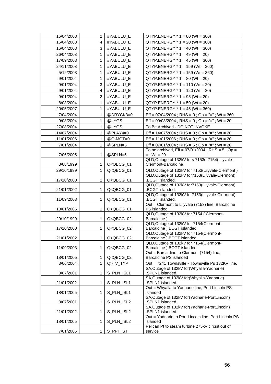| 16/04/2003 | 2              | #YABULU_E                                                                                                    | $QTYP. ENERGY * 1 = 80 (Wt = 360)$                                                                       |
|------------|----------------|--------------------------------------------------------------------------------------------------------------|----------------------------------------------------------------------------------------------------------|
| 16/04/2003 | 4              | #YABULU_E                                                                                                    | $QTYP.ENERGY * 1 = 20 (Wt = 360)$                                                                        |
| 16/04/2003 | 3              | #YABULU_E                                                                                                    | $QTYP.ENERGY * 1 = 40 (Wt = 360)$                                                                        |
| 26/04/2003 | 1              | #YABULU_E                                                                                                    | $QTYP. ENERGY * 1 = 49 (Wt = 20)$                                                                        |
| 17/09/2003 | 1              | #YABULU_E                                                                                                    | $QTYP. ENERGY * 1 = 45 (Wt = 360)$                                                                       |
| 24/11/2003 | 1              | #YABULU_E                                                                                                    | $QTYP. ENERGY * 1 = 159 (Wt = 360)$                                                                      |
| 5/12/2003  | 1              | #YABULU_E                                                                                                    | $QTYP. ENERGY * 1 = 159 (Wt = 360)$                                                                      |
| 9/01/2004  | 1              | #YABULU_E                                                                                                    | $QTYP.ENERGY * 1 = 80 (Wt = 20)$                                                                         |
| 9/01/2004  | 3              | #YABULU_E                                                                                                    | $QTYP. ENERGY * 1 = 110 (Wt = 20)$                                                                       |
| 9/01/2004  | 4              | #YABULU_E                                                                                                    | $QTYP.ENERGY * 1 = 120 (Wt = 20)$                                                                        |
| 9/01/2004  | $\overline{c}$ | #YABULU_E                                                                                                    | $QTYP. ENERGY * 1 = 95 (Wt = 20)$                                                                        |
| 8/03/2004  | 1              | #YABULU_E                                                                                                    | $QTYP. ENERGY * 1 = 50 (Wt = 20)$                                                                        |
| 20/05/2007 | 1              | #YABULU E                                                                                                    | $QTYP.ENERGY * 1 = 45 (Wt = 360)$                                                                        |
| 7/04/2004  | 1              | @DRYCK3=0                                                                                                    | Eff = $07/04/2004$ ; RHS = 0; Op = "="; Wt = 360                                                         |
| 9/08/2004  | 1              | @LYGS                                                                                                        | Eff = $09/08/2004$ ; RHS = 0; Op = "="; Wt = 20                                                          |
| 27/08/2004 | 1              | @LYGS                                                                                                        | To Be Archived - DO NOT INVOKE                                                                           |
| 14/07/2004 | 1              | @PLAY4=0                                                                                                     | Eff = $14/07/2004$ ; RHS = 0; Op = "="; Wt = 20                                                          |
| 11/01/2006 | 1              |                                                                                                              | Eff = $11/01/2006$ ; RHS = 0; Op = "="; Wt = 20                                                          |
| 7/01/2004  | 1              | @Q-MGT=0<br>@SPLN=5                                                                                          |                                                                                                          |
|            |                |                                                                                                              | Eff = $07/01/2004$ ; RHS = $5$ ; Op = "="; Wt = 20<br>To be archived, $Eff = 07/01/2004$ ; RHS = 5; Op = |
| 7/06/2005  | 1              | @SPLN=5                                                                                                      | $=$ : Wt = 20                                                                                            |
|            |                |                                                                                                              | QLD, Outage of 132kV fdrs 7153or7154(Lilyvale-                                                           |
| 3/08/1999  | 1              | Q <qbcg_01< td=""><td>Clermont-Barcaldine</td></qbcg_01<>                                                    | Clermont-Barcaldine                                                                                      |
| 29/10/1999 | 1              | Q <qbcg_01< td=""><td>QLD, Outage of 132kV fdr 7153(Lilyvale-Clermont)</td></qbcg_01<>                       | QLD, Outage of 132kV fdr 7153(Lilyvale-Clermont)                                                         |
|            | 1              |                                                                                                              | QLD, Outage of 132kV fdr7153(Lilyvale-Clermont)<br>.BCGT islanded.                                       |
| 17/10/2000 |                | Q <qbcg_01< td=""><td>QLD, Outage of 132kV fdr7153(Lilyvale-Clermont)</td></qbcg_01<>                        | QLD, Outage of 132kV fdr7153(Lilyvale-Clermont)                                                          |
| 21/01/2002 | 1              | Q <qbcg_01< td=""><td>.BCGT islanded.</td></qbcg_01<>                                                        | .BCGT islanded.                                                                                          |
|            |                |                                                                                                              | QLD, Outage of 132kV fdr7153(Lilyvale-Clermont)                                                          |
| 11/09/2003 | 1              | Q <qbcg_01< td=""><td>.BCGT islanded.</td></qbcg_01<>                                                        | .BCGT islanded.                                                                                          |
| 18/01/2005 | 1              | Q <qbcg_01< td=""><td>Out = Clermont to Lilyvale (7153) line, Barcaldine<br/>PS islanded</td></qbcg_01<>     | Out = Clermont to Lilyvale (7153) line, Barcaldine<br>PS islanded                                        |
|            |                |                                                                                                              | QLD, Outage of 132kV fdr 7154 (Clermont-                                                                 |
| 29/10/1999 | 1              | Q <qbcg_02< td=""><td>Barcaldine</td></qbcg_02<>                                                             | Barcaldine                                                                                               |
|            |                |                                                                                                              | QLD, Outage of 132kV fdr 7154(Clermont-                                                                  |
| 17/10/2000 | 1              | Q <qbcg_02< td=""><td>Barcaldine ).BCGT islanded<br/>QLD, Outage of 132kV fdr 7154(Clermont-</td></qbcg_02<> | Barcaldine ).BCGT islanded<br>QLD, Outage of 132kV fdr 7154(Clermont-                                    |
| 21/01/2002 | 1              | Q <qbcg_02< td=""><td>Barcaldine ).BCGT islanded</td></qbcg_02<>                                             | Barcaldine ).BCGT islanded                                                                               |
|            |                |                                                                                                              | QLD, Outage of 132kV fdr 7154(Clermont-                                                                  |
| 11/09/2003 | 1              | Q <qbcg_02< td=""><td>Barcaldine ).BCGT islanded</td></qbcg_02<>                                             | Barcaldine ).BCGT islanded                                                                               |
|            |                |                                                                                                              | Out = Barcaldine to Clermont (7154) line,                                                                |
| 18/01/2005 | 1              | Q <qbcg_02< td=""><td>Barcaldine PS islanded</td></qbcg_02<>                                                 | Barcaldine PS islanded                                                                                   |
| 3/06/2004  | 1              | Q>TV_TYP                                                                                                     | Out = 7241 Townsville - Townsville Ps 132KV line.<br>SA, Outage of 132kV fdr(Whyalla-Yadnarie)           |
| 3/07/2001  | 1              | S_PLN_ISL1                                                                                                   | .SPLN1 islanded.                                                                                         |
|            |                |                                                                                                              | SA, Outage of 132kV fdr(Whyalla-Yadnarie)                                                                |
| 21/01/2002 | 1              | S_PLN_ISL1                                                                                                   | .SPLN1 islanded.                                                                                         |
|            |                |                                                                                                              | Out = Whyalla to Yadnarie line, Port Lincoln PS                                                          |
| 18/01/2005 | 1              | S_PLN_ISL1                                                                                                   | islanded<br>SA, Outage of 132kV fdr(Yadnarie-PortLincoln)                                                |
| 3/07/2001  | 1              | S_PLN_ISL2                                                                                                   | .SPLN1 islanded.                                                                                         |
|            |                |                                                                                                              | SA, Outage of 132kV fdr (Yadnarie-PortLincoln)                                                           |
| 21/01/2002 | 1              | S_PLN_ISL2                                                                                                   | .SPLN1 islanded.                                                                                         |
|            |                |                                                                                                              | Out = Yadnarie to Port Lincoln line, Port Lincoln PS                                                     |
| 18/01/2005 | 1              | S_PLN_ISL2                                                                                                   | islanded<br>Pelican Pt to steam turbine 275kV circuit out of                                             |
| 7/01/2005  | 1              | S_PPT_ST                                                                                                     | service                                                                                                  |
|            |                |                                                                                                              |                                                                                                          |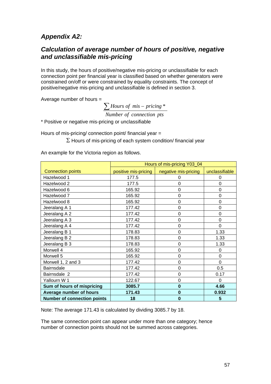## *Appendix A2:*

## *Calculation of average number of hours of positive, negative and unclassifiable mis-pricing*

In this study, the hours of positive/negative mis-pricing or unclassifiable for each connection point per financial year is classified based on whether generators were constrained on/off or were constrained by equality constraints. The concept of positive/negative mis-pricing and unclassifiable is defined in section 3.

Average number of hours =

**Number** of connection pts ∑ *Hours of mis* – *pricing* \*

\* Positive or negative mis-pricing or unclassifiable

Hours of mis-pricing/ connection point/ financial year =

 $\Sigma$  Hours of mis-pricing of each system condition/ financial year

An example for the Victoria region as follows.

|                                    | Hours of mis-pricing Y03_04 |                      |                 |  |  |  |
|------------------------------------|-----------------------------|----------------------|-----------------|--|--|--|
| <b>Connection points</b>           | positive mis-pricing        | negative mis-pricing | unclassifiable  |  |  |  |
| Hazelwood 1                        | 177.5                       | 0                    | 0               |  |  |  |
| Hazelwood 2                        | 177.5                       | 0                    | 0               |  |  |  |
| Hazelwood 6                        | 165.92                      | 0                    | $\overline{0}$  |  |  |  |
| Hazelwood 7                        | 165.92                      | 0                    | 0               |  |  |  |
| Hazelwood 8                        | 165.92                      | 0                    | $\mathbf 0$     |  |  |  |
| Jeeralang A 1                      | 177.42                      | 0                    | 0               |  |  |  |
| Jeeralang A 2                      | 177.42                      | 0                    | $\mathbf 0$     |  |  |  |
| Jeeralang A 3                      | 177.42                      | 0                    | $\Omega$        |  |  |  |
| Jeeralang A 4                      | 177.42                      | 0                    | 0               |  |  |  |
| Jeeralang B 1                      | 178.83                      | 0                    | 1.33            |  |  |  |
| Jeeralang B 2                      | 178.83                      | 0                    | 1.33            |  |  |  |
| Jeeralang B 3                      | 178.83                      | 0                    | 1.33            |  |  |  |
| Morwell 4                          | 165.92                      | 0                    | $\Omega$        |  |  |  |
| Morwell 5                          | 165.92                      | 0                    | $\Omega$        |  |  |  |
| Morwell 1, 2 and 3                 | 177.42                      | 0                    | $\Omega$        |  |  |  |
| <b>Bairnsdale</b>                  | 177.42                      | 0                    | 0.5             |  |  |  |
| Bairnsdale 2                       | 177.42                      | 0                    | 0.17            |  |  |  |
| Yallourn W 1                       | 122.67                      | 0                    | 0               |  |  |  |
| Sum of hours of mispricing         | 3085.7                      | $\bf{0}$             | 4.66            |  |  |  |
| Average number of hours            | 171.43                      | $\bf{0}$             | 0.932           |  |  |  |
| <b>Number of connection points</b> | 18                          | 0                    | $5\phantom{.0}$ |  |  |  |

Note: The average 171.43 is calculated by dividing 3085.7 by 18.

The same connection point can appear under more than one category; hence number of connection points should not be summed across categories.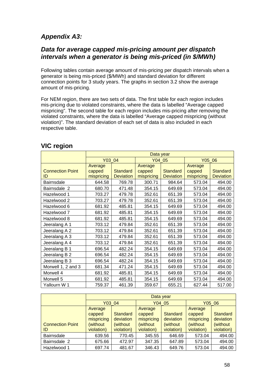## *Appendix A3:*

### *Data for average capped mis-pricing amount per dispatch intervals when a generator is being mis-priced (in \$/MWh)*

Following tables contain average amount of mis-pricing per dispatch intervals when a generator is being mis-priced (\$/MWh) and standard deviation for different connection points for 3 study years. The graphs in section 3.2 show the average amount of mis-pricing.

For NEM region, there are two sets of data. The first table for each region includes mis-pricing due to violated constraints, where the data is labelled "Average capped mispricing". The second table for each region includes mis-pricing after removing the violated constraints, where the data is labelled "Average capped mispricing (without violation)". The standard deviation of each set of data is also included in each respective table.

|                         | Data year  |                  |            |                  |            |                  |  |
|-------------------------|------------|------------------|------------|------------------|------------|------------------|--|
|                         | Y03 04     |                  |            | Y04 05           |            | Y05_06           |  |
|                         | Average    |                  | Average    |                  | Average    |                  |  |
| <b>Connection Point</b> | capped     | <b>Standard</b>  | capped     | <b>Standard</b>  | capped     | <b>Standard</b>  |  |
| ID                      | mispricing | <b>Deviation</b> | mispricing | <b>Deviation</b> | mispricing | <b>Deviation</b> |  |
| Bairnsdale              | 644.58     | 769.78           | 300.71     | 984.64           | 573.04     | 494.00           |  |
| Bairnsdale 2            | 680.70     | 471.48           | 354.15     | 649.69           | 573.04     | 494.00           |  |
| Hazelwood 1             | 703.27     | 479.78           | 352.61     | 651.39           | 573.04     | 494.00           |  |
| Hazelwood 2             | 703.27     | 479.78           | 352.61     | 651.39           | 573.04     | 494.00           |  |
| Hazelwood 6             | 681.92     | 485.81           | 354.15     | 649.69           | 573.04     | 494.00           |  |
| Hazelwood 7             | 681.92     | 485.81           | 354.15     | 649.69           | 573.04     | 494.00           |  |
| Hazelwood 8             | 681.92     | 485.81           | 354.15     | 649.69           | 573.04     | 494.00           |  |
| Jeeralang A 1           | 703.12     | 479.84           | 352.61     | 651.39           | 573.04     | 494.00           |  |
| Jeeralang A 2           | 703.12     | 479.84           | 352.61     | 651.39           | 573.04     | 494.00           |  |
| Jeeralang A 3           | 703.12     | 479.84           | 352.61     | 651.39           | 573.04     | 494.00           |  |
| Jeeralang A 4           | 703.12     | 479.84           | 352.61     | 651.39           | 573.04     | 494.00           |  |
| Jeeralang B 1           | 696.54     | 482.24           | 354.15     | 649.69           | 573.04     | 494.00           |  |
| Jeeralang B 2           | 696.54     | 482.24           | 354.15     | 649.69           | 573.04     | 494.00           |  |
| Jeeralang B 3           | 696.54     | 482.24           | 354.15     | 649.69           | 573.04     | 494.00           |  |
| Morwell 1, 2 and 3      | 681.34     | 471.24           | 354.15     | 649.69           | 573.04     | 494.00           |  |
| Morwell 4               | 681.92     | 485.81           | 354.15     | 649.69           | 573.04     | 494.00           |  |
| Morwell 5               | 681.92     | 485.81           | 354.15     | 649.69           | 573.04     | 494.00           |  |
| Yallourn W 1            | 759.37     | 461.39           | 359.67     | 655.21           | 627.44     | 517.00           |  |

### **VIC region**

|                         |                                 | Data year                    |                                 |                        |                                 |                         |  |  |  |
|-------------------------|---------------------------------|------------------------------|---------------------------------|------------------------|---------------------------------|-------------------------|--|--|--|
|                         | Y03 04                          |                              | Y04 05                          |                        | Y05 06                          |                         |  |  |  |
| <b>Connection Point</b> | Average<br>capped<br>mispricing | <b>Standard</b><br>deviation | Average<br>capped<br>mispricing | Standard<br>deviation  | Average<br>capped<br>mispricing | Standard<br>deviation   |  |  |  |
| ID                      | (without<br>violation)          | (without<br>violation)       | (without)<br>violation)         | (without<br>violation) | (without)<br>violation)         | (without)<br>violation) |  |  |  |
| <b>Bairnsdale</b>       | 639.56                          | 770.45                       | 345.55                          | 646.69                 | 573.04                          | 494.00                  |  |  |  |
| Bairnsdale 2            | 675.66                          | 472.97                       | 347.35                          | 647.89                 | 573.04                          | 494.00                  |  |  |  |
| Hazelwood 1             | 697.74                          | 481.67                       | 346.43                          | 649.76                 | 573.04                          | 494.00                  |  |  |  |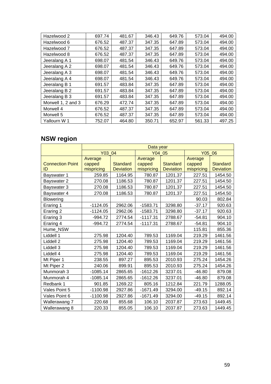| Hazelwood 2        | 697.74 | 481.67 | 346.43 | 649.76 | 573.04 | 494.00 |
|--------------------|--------|--------|--------|--------|--------|--------|
| Hazelwood 6        | 676.52 | 487.37 | 347.35 | 647.89 | 573.04 | 494.00 |
| Hazelwood 7        | 676.52 | 487.37 | 347.35 | 647.89 | 573.04 | 494.00 |
| Hazelwood 8        | 676.52 | 487.37 | 347.35 | 647.89 | 573.04 | 494.00 |
| Jeeralang A 1      | 698.07 | 481.54 | 346.43 | 649.76 | 573.04 | 494.00 |
| Jeeralang A 2      | 698.07 | 481.54 | 346.43 | 649.76 | 573.04 | 494.00 |
| Jeeralang A 3      | 698.07 | 481.54 | 346.43 | 649.76 | 573.04 | 494.00 |
| Jeeralang A 4      | 698.07 | 481.54 | 346.43 | 649.76 | 573.04 | 494.00 |
| Jeeralang B 1      | 691.57 | 483.84 | 347.35 | 647.89 | 573.04 | 494.00 |
| Jeeralang B 2      | 691.57 | 483.84 | 347.35 | 647.89 | 573.04 | 494.00 |
| Jeeralang B 3      | 691.57 | 483.84 | 347.35 | 647.89 | 573.04 | 494.00 |
| Morwell 1, 2 and 3 | 676.29 | 472.74 | 347.35 | 647.89 | 573.04 | 494.00 |
| Morwell 4          | 676.52 | 487.37 | 347.35 | 647.89 | 573.04 | 494.00 |
| Morwell 5          | 676.52 | 487.37 | 347.35 | 647.89 | 573.04 | 494.00 |
| Yallourn W 1       | 752.07 | 464.80 | 350.71 | 652.97 | 561.33 | 497.25 |

# **NSW region**

|                         | Data year  |                  |            |                  |            |                  |  |
|-------------------------|------------|------------------|------------|------------------|------------|------------------|--|
|                         | Y03 04     |                  |            | Y04 05           |            | Y05 06           |  |
|                         | Average    |                  | Average    |                  | Average    |                  |  |
| <b>Connection Point</b> | capped     | <b>Standard</b>  | capped     | <b>Standard</b>  | capped     | <b>Standard</b>  |  |
| ID                      | mispricing | <b>Deviation</b> | mispricing | <b>Deviation</b> | mispricing | <b>Deviation</b> |  |
| Bayswater 1             | 259.85     | 1164.95          | 780.87     | 1201.37          | 227.51     | 1454.50          |  |
| Bayswater 2             | 270.08     | 1186.53          | 780.87     | 1201.37          | 227.51     | 1454.50          |  |
| Bayswater 3             | 270.08     | 1186.53          | 780.87     | 1201.37          | 227.51     | 1454.50          |  |
| Bayswater 4             | 270.08     | 1186.53          | 780.87     | 1201.37          | 227.51     | 1454.50          |  |
| <b>Blowering</b>        |            |                  |            |                  | 90.03      | 802.84           |  |
| Eraring 1               | $-1124.05$ | 2962.06          | $-1583.71$ | 3298.80          | $-37.17$   | 920.63           |  |
| Eraring 2               | $-1124.05$ | 2962.06          | $-1583.71$ | 3298.80          | $-37.17$   | 920.63           |  |
| Eraring 3               | $-994.72$  | 2774.54          | $-1117.31$ | 2788.67          | $-54.81$   | 904.10           |  |
| Eraring 4               | $-994.72$  | 2774.54          | $-1117.31$ | 2788.67          | $-54.81$   | 904.10           |  |
| Hume NSW                |            |                  |            |                  | 115.81     | 855.36           |  |
| Liddell 1               | 275.98     | 1204.40          | 789.53     | 1169.04          | 219.29     | 1461.56          |  |
| Liddell 2               | 275.98     | 1204.40          | 789.53     | 1169.04          | 219.29     | 1461.56          |  |
| Liddell 3               | 275.98     | 1204.40          | 789.53     | 1169.04          | 219.29     | 1461.56          |  |
| Liddell 4               | 275.98     | 1204.40          | 789.53     | 1169.04          | 219.29     | 1461.56          |  |
| Mt Piper 1              | 238.55     | 897.27           | 895.53     | 2010.93          | 275.24     | 1454.26          |  |
| Mt Piper 2              | 240.06     | 899.91           | 895.53     | 2010.93          | 275.24     | 1454.26          |  |
| Munmorah 3              | $-1085.14$ | 2865.65          | $-1612.26$ | 3237.01          | $-46.80$   | 879.08           |  |
| Munmorah 4              | $-1085.14$ | 2865.65          | $-1612.26$ | 3237.01          | $-46.80$   | 879.08           |  |
| Redbank 1               | 901.85     | 1269.22          | 805.16     | 1212.84          | 221.79     | 1288.05          |  |
| Vales Point 5           | $-1100.98$ | 2927.86          | $-1671.49$ | 3294.00          | $-49.15$   | 892.14           |  |
| Vales Point 6           | $-1100.98$ | 2927.86          | $-1671.49$ | 3294.00          | $-49.15$   | 892.14           |  |
| Wallerawang 7           | 220.68     | 855.68           | 106.10     | 2037.87          | 273.63     | 1449.45          |  |
| Wallerawang 8           | 220.33     | 855.05           | 106.10     | 2037.87          | 273.63     | 1449.45          |  |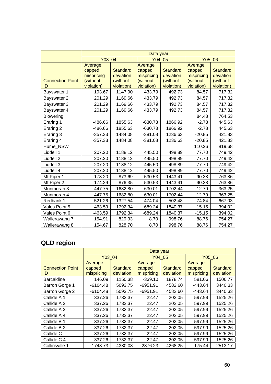|                         | Data year  |                 |            |                 |            |            |  |
|-------------------------|------------|-----------------|------------|-----------------|------------|------------|--|
|                         | Y03 04     |                 |            | Y04 05          |            | Y05 06     |  |
|                         | Average    |                 | Average    |                 | Average    |            |  |
|                         | capped     | <b>Standard</b> | capped     | <b>Standard</b> | capped     | Standard   |  |
|                         | mispricing | deviation       | mispricing | deviation       | mispricing | deviation  |  |
| <b>Connection Point</b> | (without   | (without        | (without   | (without        | (without   | (without   |  |
| ID                      | violation) | violation)      | violation) | violation)      | violation) | violation) |  |
| Bayswater 1             | 193.67     | 1147.90         | 433.79     | 492.73          | 84.57      | 717.32     |  |
| Bayswater 2             | 201.29     | 1169.66         | 433.79     | 492.73          | 84.57      | 717.32     |  |
| Bayswater 3             | 201.29     | 1169.66         | 433.79     | 492.73          | 84.57      | 717.32     |  |
| Bayswater 4             | 201.29     | 1169.66         | 433.79     | 492.73          | 84.57      | 717.32     |  |
| <b>Blowering</b>        |            |                 |            |                 | 84.48      | 764.53     |  |
| Eraring 1               | $-486.66$  | 1855.63         | $-630.73$  | 1866.92         | $-2.78$    | 445.63     |  |
| Eraring 2               | $-486.66$  | 1855.63         | $-630.73$  | 1866.92         | $-2.78$    | 445.63     |  |
| Eraring 3               | $-357.33$  | 1484.08         | $-381.08$  | 1236.63         | $-20.85$   | 421.83     |  |
| Eraring 4               | $-357.33$  | 1484.08         | $-381.08$  | 1236.63         | $-20.85$   | 421.83     |  |
| Hume NSW                |            |                 |            |                 | 110.26     | 819.68     |  |
| Liddell 1               | 207.20     | 1188.12         | 445.50     | 498.89          | 77.70      | 749.42     |  |
| Liddell 2               | 207.20     | 1188.12         | 445.50     | 498.89          | 77.70      | 749.42     |  |
| Liddell 3               | 207.20     | 1188.12         | 445.50     | 498.89          | 77.70      | 749.42     |  |
| Liddell 4               | 207.20     | 1188.12         | 445.50     | 498.89          | 77.70      | 749.42     |  |
| Mt Piper 1              | 173.20     | 873.69          | 530.53     | 1443.41         | 90.38      | 763.86     |  |
| Mt Piper 2              | 174.29     | 876.35          | 530.53     | 1443.41         | 90.38      | 763.86     |  |
| Munmorah 3              | $-447.75$  | 1682.80         | $-630.01$  | 1702.44         | $-12.79$   | 363.25     |  |
| Munmorah 4              | $-447.75$  | 1682.80         | $-630.01$  | 1702.44         | $-12.79$   | 363.25     |  |
| Redbank 1               | 521.26     | 1327.54         | 474.04     | 502.48          | 74.84      | 667.03     |  |
| Vales Point 5           | $-463.59$  | 1792.34         | $-689.24$  | 1840.37         | $-15.15$   | 394.02     |  |
| Vales Point 6           | $-463.59$  | 1792.34         | $-689.24$  | 1840.37         | $-15.15$   | 394.02     |  |
| Wallerawang 7           | 154.91     | 829.33          | 8.70       | 998.76          | 88.76      | 754.27     |  |
| Wallerawang 8           | 154.67     | 828.70          | 8.70       | 998.76          | 88.76      | 754.27     |  |

# **QLD region**

|                         |            | Data year       |            |                 |            |           |  |
|-------------------------|------------|-----------------|------------|-----------------|------------|-----------|--|
|                         | Y03 04     |                 | Y04 05     |                 | Y05 06     |           |  |
|                         | Average    | Average         |            |                 | Average    |           |  |
| <b>Connection Point</b> | capped     | <b>Standard</b> | capped     | <b>Standard</b> | capped     | Standard  |  |
| ID                      | mispricing | deviation       | mispricing | deviation       | mispricing | deviation |  |
| <b>Barcaldine</b>       | 146.09     | 1150.38         | $-339.10$  | 1878.74         | 581.06     | 1506.77   |  |
| Barron Gorge 1          | -6104.48   | 5093.75         | -6951.91   | 4582.60         | -443.64    | 3440.33   |  |
| Barron Gorge 2          | $-6104.48$ | 5093.75         | $-6951.91$ | 4582.60         | -443.64    | 3440.33   |  |
| Callide A 1             | 337.26     | 1732.37         | 22.47      | 202.05          | 597.99     | 1525.26   |  |
| Callide A 2             | 337.26     | 1732.37         | 22.47      | 202.05          | 597.99     | 1525.26   |  |
| Callide A 3             | 337.26     | 1732.37         | 22.47      | 202.05          | 597.99     | 1525.26   |  |
| Callide A 4             | 337.26     | 1732.37         | 22.47      | 202.05          | 597.99     | 1525.26   |  |
| Callide B 1             | 337.26     | 1732.37         | 22.47      | 202.05          | 597.99     | 1525.26   |  |
| Callide B 2             | 337.26     | 1732.37         | 22.47      | 202.05          | 597.99     | 1525.26   |  |
| Callide C               | 337.26     | 1732.37         | 22.47      | 202.05          | 597.99     | 1525.26   |  |
| Callide C 4             | 337.26     | 1732.37         | 22.47      | 202.05          | 597.99     | 1525.26   |  |
| Collinsville 1          | $-1743.73$ | 4380.08         | $-2376.23$ | 4268.25         | 175.44     | 2513.17   |  |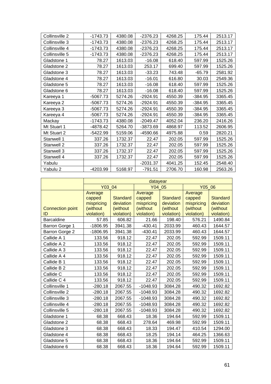| Collinsville 2 | $-1743.73$ | 4380.08 | $-2376.23$ | 4268.25 | 175.44    | 2513.17 |
|----------------|------------|---------|------------|---------|-----------|---------|
| Collinsville 3 | $-1743.73$ | 4380.08 | $-2376.23$ | 4268.25 | 175.44    | 2513.17 |
| Collinsville 4 | $-1743.73$ | 4380.08 | $-2376.23$ | 4268.25 | 175.44    | 2513.17 |
| Collinsville 5 | $-1743.73$ | 4380.08 | $-2376.23$ | 4268.25 | 175.44    | 2513.17 |
| Gladstone 1    | 78.27      | 1613.03 | $-16.08$   | 618.40  | 597.99    | 1525.26 |
| Gladstone 2    | 78.27      | 1613.03 | 253.17     | 699.40  | 597.99    | 1525.26 |
| Gladstone 3    | 78.27      | 1613.03 | $-33.23$   | 743.48  | $-65.79$  | 2581.92 |
| Gladstone 4    | 78.27      | 1613.03 | $-16.01$   | 616.80  | 30.03     | 2549.36 |
| Gladstone 5    | 78.27      | 1613.03 | $-16.08$   | 618.40  | 597.99    | 1525.26 |
| Gladstone 6    | 78.27      | 1613.03 | $-16.08$   | 618.40  | 597.99    | 1525.26 |
| Kareeya 1      | $-5067.73$ | 5274.26 | $-2924.91$ | 4550.39 | $-384.95$ | 3365.45 |
| Kareeya 2      | $-5067.73$ | 5274.26 | $-2924.91$ | 4550.39 | $-384.95$ | 3365.45 |
| Kareeya 3      | -5067.73   | 5274.26 | $-2924.91$ | 4550.39 | $-384.95$ | 3365.45 |
| Kareeya 4      | $-5067.73$ | 5274.26 | $-2924.91$ | 4550.39 | $-384.95$ | 3365.45 |
| Mackay         | $-1743.73$ | 4380.08 | $-2049.47$ | 4052.04 | 236.20    | 2416.26 |
| Mt Stuart 1    | -4878.42   | 5264.70 | -3873.69   | 4868.97 | 113.52    | 2606.95 |
| Mt Stuart 2    | $-5422.99$ | 5159.06 | $-4590.66$ | 4975.88 | 0.59      | 2820.21 |
| Stanwell 1     | 337.26     | 1732.37 | 22.47      | 202.05  | 597.99    | 1525.26 |
| Stanwell 2     | 337.26     | 1732.37 | 22.47      | 202.05  | 597.99    | 1525.26 |
| Stanwell 3     | 337.26     | 1732.37 | 22.47      | 202.05  | 597.99    | 1525.26 |
| Stanwell 4     | 337.26     | 1732.37 | 22.47      | 202.05  | 597.99    | 1525.26 |
| Yabulu         |            |         | $-2031.37$ | 4041.25 | 152.45    | 2548.40 |
| Yabulu 2       | -4203.99   | 5168.97 | $-791.51$  | 2706.70 | 160.98    | 2563.26 |

|                               |                                                           |                                                        | datayear                                                  |                                                        |                                                           |                                                        |
|-------------------------------|-----------------------------------------------------------|--------------------------------------------------------|-----------------------------------------------------------|--------------------------------------------------------|-----------------------------------------------------------|--------------------------------------------------------|
|                               | Y03 04                                                    |                                                        | Y04 05                                                    |                                                        | Y05 06                                                    |                                                        |
| <b>Connection point</b><br>ID | Average<br>capped<br>mispricing<br>(without<br>violation) | <b>Standard</b><br>deviation<br>(without<br>violation) | Average<br>capped<br>mispricing<br>(without<br>violation) | <b>Standard</b><br>deviation<br>(without<br>violation) | Average<br>capped<br>mispricing<br>(without<br>violation) | <b>Standard</b><br>deviation<br>(without<br>violation) |
| <b>Barcaldine</b>             | 57.85                                                     | 606.82                                                 | 21.66                                                     | 198.40                                                 | 576.21                                                    | 1490.84                                                |
| Barron Gorge 1                | $-1806.95$                                                | 3941.38                                                | $-430.41$                                                 | 2033.99                                                | 460.43                                                    | 1644.57                                                |
| Barron Gorge 2                | $-1806.95$                                                | 3941.38                                                | $-430.41$                                                 | 2033.99                                                | 460.43                                                    | 1644.57                                                |
| Callide A 1                   | 133.56                                                    | 918.12                                                 | 22.47                                                     | 202.05                                                 | 592.99                                                    | 1509.11                                                |
| Callide A 2                   | 133.56                                                    | 918.12                                                 | 22.47                                                     | 202.05                                                 | 592.99                                                    | 1509.11                                                |
| Callide A 3                   | 133.56                                                    | 918.12                                                 | 22.47                                                     | 202.05                                                 | 592.99                                                    | 1509.11                                                |
| Callide A 4                   | 133.56                                                    | 918.12                                                 | 22.47                                                     | 202.05                                                 | 592.99                                                    | 1509.11                                                |
| Callide B 1                   | 133.56                                                    | 918.12                                                 | 22.47                                                     | 202.05                                                 | 592.99                                                    | 1509.11                                                |
| Callide B 2                   | 133.56                                                    | 918.12                                                 | 22.47                                                     | 202.05                                                 | 592.99                                                    | 1509.11                                                |
| Callide C                     | 133.56                                                    | 918.12                                                 | 22.47                                                     | 202.05                                                 | 592.99                                                    | 1509.11                                                |
| Callide C 4                   | 133.56                                                    | 918.12                                                 | 22.47                                                     | 202.05                                                 | 592.99                                                    | 1509.11                                                |
| Collinsville 1                | $-280.18$                                                 | 2067.55                                                | $-1048.93$                                                | 3084.28                                                | 490.32                                                    | 1692.82                                                |
| Collinsville 2                | $-280.18$                                                 | 2067.55                                                | $-1048.93$                                                | 3084.28                                                | 490.32                                                    | 1692.82                                                |
| Collinsville 3                | $-280.18$                                                 | 2067.55                                                | $-1048.93$                                                | 3084.28                                                | 490.32                                                    | 1692.82                                                |
| Collinsville 4                | $-280.18$                                                 | 2067.55                                                | $-1048.93$                                                | 3084.28                                                | 490.32                                                    | 1692.82                                                |
| Collinsville 5                | $-280.18$                                                 | 2067.55                                                | $-1048.93$                                                | 3084.28                                                | 490.32                                                    | 1692.82                                                |
| Gladstone 1                   | 68.38                                                     | 668.43                                                 | 18.36                                                     | 194.64                                                 | 592.99                                                    | 1509.11                                                |
| Gladstone 2                   | 68.38                                                     | 668.43                                                 | 278.64                                                    | 469.98                                                 | 592.99                                                    | 1509.11                                                |
| Gladstone 3                   | 68.38                                                     | 668.43                                                 | 18.33                                                     | 194.47                                                 | 410.54                                                    | 1294.00                                                |
| Gladstone 4                   | 68.38                                                     | 668.43                                                 | 18.25                                                     | 194.14                                                 | 464.25                                                    | 1366.63                                                |
| Gladstone 5                   | 68.38                                                     | 668.43                                                 | 18.36                                                     | 194.64                                                 | 592.99                                                    | 1509.11                                                |
| Gladstone 6                   | 68.38                                                     | 668.43                                                 | 18.36                                                     | 194.64                                                 | 592.99                                                    | 1509.11                                                |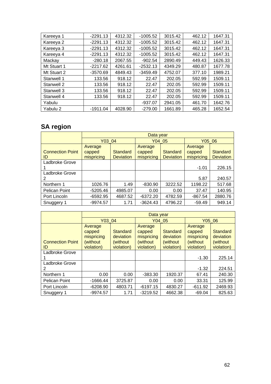| Kareeya 1   | $-2291.13$ | 4312.32 | $-1005.52$ | 3015.42 | 462.12 | 1647.31 |
|-------------|------------|---------|------------|---------|--------|---------|
| Kareeya 2   | $-2291.13$ | 4312.32 | $-1005.52$ | 3015.42 | 462.12 | 1647.31 |
| Kareeya 3   | $-2291.13$ | 4312.32 | $-1005.52$ | 3015.42 | 462.12 | 1647.31 |
| Kareeya 4   | $-2291.13$ | 4312.32 | $-1005.52$ | 3015.42 | 462.12 | 1647.31 |
| Mackay      | $-280.18$  | 2067.55 | $-902.54$  | 2890.49 | 449.43 | 1626.33 |
| Mt Stuart 1 | $-2217.62$ | 4261.61 | $-2532.13$ | 4349.29 | 480.87 | 1677.78 |
| Mt Stuart 2 | $-3570.69$ | 4849.43 | $-3459.49$ | 4752.07 | 377.10 | 1989.21 |
| Stanwell 1  | 133.56     | 918.12  | 22.47      | 202.05  | 592.99 | 1509.11 |
| Stanwell 2  | 133.56     | 918.12  | 22.47      | 202.05  | 592.99 | 1509.11 |
| Stanwell 3  | 133.56     | 918.12  | 22.47      | 202.05  | 592.99 | 1509.11 |
| Stanwell 4  | 133.56     | 918.12  | 22.47      | 202.05  | 592.99 | 1509.11 |
| Yabulu      |            |         | $-937.07$  | 2941.05 | 461.70 | 1642.76 |
| Yabulu 2    | $-1911.04$ | 4028.90 | $-279.00$  | 1661.89 | 465.28 | 1652.54 |

# **SA region**

|                               |                                 | Data year                    |                                 |                              |                                 |                              |  |  |
|-------------------------------|---------------------------------|------------------------------|---------------------------------|------------------------------|---------------------------------|------------------------------|--|--|
|                               | Y03 04                          |                              | Y04 05                          |                              | Y05 06                          |                              |  |  |
| <b>Connection Point</b><br>ID | Average<br>capped<br>mispricing | Standard<br><b>Deviation</b> | Average<br>capped<br>mispricing | Standard<br><b>Deviation</b> | Average<br>capped<br>mispricing | Standard<br><b>Deviation</b> |  |  |
| Ladbroke Grove                |                                 |                              |                                 |                              | $-1.01$                         | 226.15                       |  |  |
| Ladbroke Grove<br>2           |                                 |                              |                                 |                              | 5.87                            | 240.57                       |  |  |
| Northern 1                    | 1026.76                         | 1.49                         | $-830.90$                       | 3222.52                      | 1198.22                         | 517.68                       |  |  |
| Pelican Point                 | $-5205.46$                      | 4985.07                      | 0.00                            | 0.00                         | 37.47                           | 140.95                       |  |  |
| Port Lincoln                  | $-6592.95$                      | 4687.52                      | $-6372.20$                      | 4782.59                      | $-867.54$                       | 2880.76                      |  |  |
| Snuggery 1                    | $-9974.57$                      | 1.71                         | $-3624.43$                      | 4796.22                      | $-59.49$                        | 949.14                       |  |  |

|                         | Data year                                    |                                    |                                             |                                    |                                              |                                   |  |
|-------------------------|----------------------------------------------|------------------------------------|---------------------------------------------|------------------------------------|----------------------------------------------|-----------------------------------|--|
|                         | Y03 04                                       |                                    | Y04 05                                      |                                    | Y05 06                                       |                                   |  |
| <b>Connection Point</b> | Average<br>capped<br>mispricing<br>(without) | Standard<br>deviation<br>(without) | Average<br>capped<br>mispricing<br>(without | Standard<br>deviation<br>(without) | Average<br>capped<br>mispricing<br>(without) | Standard<br>deviation<br>(without |  |
| ID                      | violation)                                   | violation)                         | violation)                                  | violation)                         | violation)                                   | violation)                        |  |
| Ladbroke Grove          |                                              |                                    |                                             |                                    | $-1.30$                                      | 225.14                            |  |
| Ladbroke Grove<br>2     |                                              |                                    |                                             |                                    | $-1.32$                                      | 224.51                            |  |
| Northern 1              | 0.00                                         | 0.00                               | $-383.30$                                   | 1920.37                            | 67.41                                        | 240.30                            |  |
| <b>Pelican Point</b>    | $-1666.44$                                   | 3725.87                            | 0.00                                        | 0.00                               | 33.31                                        | 125.99                            |  |
| Port Lincoln            | $-6208.90$                                   | 4803.71                            | $-6197.15$                                  | 4830.27                            | $-611.92$                                    | 2469.93                           |  |
| Snuggery 1              | $-9974.57$                                   | 1.71                               | $-3219.52$                                  | 4662.38                            | $-69.04$                                     | 825.63                            |  |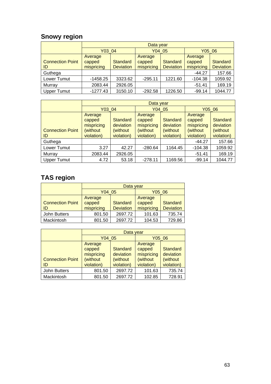# **Snowy region**

|                         |            | Data year        |            |                  |            |                  |  |  |
|-------------------------|------------|------------------|------------|------------------|------------|------------------|--|--|
|                         | Y03 04     |                  | Y04 05     |                  | Y05 06     |                  |  |  |
|                         | Average    |                  | Average    |                  | Average    |                  |  |  |
| <b>Connection Point</b> | capped     | <b>Standard</b>  | capped     | <b>Standard</b>  | capped     | <b>Standard</b>  |  |  |
| ID                      | mispricing | <b>Deviation</b> | mispricing | <b>Deviation</b> | mispricing | <b>Deviation</b> |  |  |
| Guthega                 |            |                  |            |                  | $-44.27$   | 157.66           |  |  |
| Lower Tumut             | $-1458.25$ | 3323.62          | $-295.11$  | 1221.60          | $-104.38$  | 1059.92          |  |  |
| Murray                  | 2083.44    | 2926.05          |            |                  | $-51.41$   | 169.19           |  |  |
| <b>Upper Tumut</b>      | $-1277.43$ | 3150.10          | $-292.58$  | 1226.50          | $-99.14$   | 1044.77          |  |  |

|                               |                                                            | Data year                                               |                                                            |                                                  |                                                            |                                                         |  |  |
|-------------------------------|------------------------------------------------------------|---------------------------------------------------------|------------------------------------------------------------|--------------------------------------------------|------------------------------------------------------------|---------------------------------------------------------|--|--|
|                               | Y03 04                                                     |                                                         | Y04 05                                                     |                                                  | Y05 06                                                     |                                                         |  |  |
| <b>Connection Point</b><br>ID | Average<br>capped<br>mispricing<br>(without)<br>violation) | <b>Standard</b><br>deviation<br>(without)<br>violation) | Average<br>capped<br>mispricing<br>(without)<br>violation) | Standard<br>deviation<br>(without)<br>violation) | Average<br>capped<br>mispricing<br>(without)<br>violation) | <b>Standard</b><br>deviation<br>(without)<br>violation) |  |  |
| Guthega                       |                                                            |                                                         |                                                            |                                                  | $-44.27$                                                   | 157.66                                                  |  |  |
| Lower Tumut                   | 3.27                                                       | 42.27                                                   | $-280.64$                                                  | 1164.45                                          | $-104.38$                                                  | 1059.92                                                 |  |  |
| Murray                        | 2083.44                                                    | 2926.05                                                 |                                                            |                                                  | $-51.41$                                                   | 169.19                                                  |  |  |
| <b>Upper Tumut</b>            | 4.72                                                       | 53.18                                                   | $-278.11$                                                  | 1169.56                                          | $-99.14$                                                   | 1044.77                                                 |  |  |

# **TAS region**

|                         |            | Data year        |            |                  |  |  |  |  |
|-------------------------|------------|------------------|------------|------------------|--|--|--|--|
|                         | Y04 05     |                  | Y05 06     |                  |  |  |  |  |
|                         | Average    |                  | Average    |                  |  |  |  |  |
| <b>Connection Point</b> | capped     | <b>Standard</b>  | capped     | <b>Standard</b>  |  |  |  |  |
| ID                      | mispricing | <b>Deviation</b> | mispricing | <b>Deviation</b> |  |  |  |  |
| <b>John Butters</b>     | 801.50     | 2697.72          | 101.63     | 735.74           |  |  |  |  |
| Mackintosh              | 801.50     | 2697.72          | 104.53     | 729.86           |  |  |  |  |

|                         | Data vear  |                 |            |                 |  |  |  |
|-------------------------|------------|-----------------|------------|-----------------|--|--|--|
|                         | Y04 05     |                 | Y05 06     |                 |  |  |  |
|                         | Average    |                 | Average    |                 |  |  |  |
|                         | capped     | <b>Standard</b> | capped     | <b>Standard</b> |  |  |  |
|                         | mispricing | deviation       | mispricing | deviation       |  |  |  |
| <b>Connection Point</b> | (without   | (without        | (without   | (without        |  |  |  |
| ID                      | violation) | violation)      | violation) | violation)      |  |  |  |
| <b>John Butters</b>     | 801.50     | 2697.72         | 101.63     | 735.74          |  |  |  |
| Mackintosh              | 801.50     | 2697.72         | 102.85     | 728.91          |  |  |  |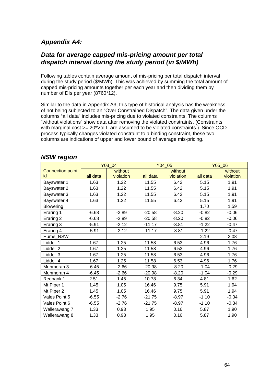## *Appendix A4:*

### *Data for average capped mis-pricing amount per total dispatch interval during the study period (in \$/MWh)*

Following tables contain average amount of mis-pricing per total dispatch interval during the study period (\$/MWh). This was achieved by summing the total amount of capped mis-pricing amounts together per each year and then dividing them by number of DIs per year (8760\*12).

Similar to the data in Appendix A3, this type of historical analysis has the weakness of not being subjected to an "Over Constrained Dispatch". The data given under the columns "all data" includes mis-pricing due to violated constraints. The columns "without violations" show data after removing the violated constraints. (Constraints with marginal cost > = 20\*VoLL are assumed to be violated constraints.) Since OCD process typically changes violated constraint to a binding constraint, these two columns are indications of upper and lower bound of average mis-pricing.

|                         |          | Y03_04    |          | Y04 05    |          | Y05_06    |  |
|-------------------------|----------|-----------|----------|-----------|----------|-----------|--|
| <b>Connection point</b> |          | without   |          | without   |          | without   |  |
| id                      | all data | violation | all data | violation | all data | violation |  |
| Bayswater 1             | 1.63     | 1.22      | 11.55    | 6.42      | 5.15     | 1.91      |  |
| Bayswater 2             | 1.63     | 1.22      | 11.55    | 6.42      | 5.15     | 1.91      |  |
| Bayswater 3             | 1.63     | 1.22      | 11.55    | 6.42      | 5.15     | 1.91      |  |
| Bayswater 4             | 1.63     | 1.22      | 11.55    | 6.42      | 5.15     | 1.91      |  |
| <b>Blowering</b>        |          |           |          |           | 1.70     | 1.59      |  |
| Eraring 1               | $-6.68$  | $-2.89$   | $-20.58$ | $-8.20$   | $-0.82$  | $-0.06$   |  |
| Eraring 2               | $-6.68$  | $-2.89$   | $-20.58$ | $-8.20$   | $-0.82$  | $-0.06$   |  |
| Eraring 3               | $-5.91$  | $-2.12$   | $-11.17$ | $-3.81$   | $-1.22$  | $-0.47$   |  |
| Eraring 4               | $-5.91$  | $-2.12$   | $-11.17$ | $-3.81$   | $-1.22$  | $-0.47$   |  |
| Hume_NSW                |          |           |          |           | 2.19     | 2.08      |  |
| Liddell 1               | 1.67     | 1.25      | 11.58    | 6.53      | 4.96     | 1.76      |  |
| Liddell 2               | 1.67     | 1.25      | 11.58    | 6.53      | 4.96     | 1.76      |  |
| Liddell 3               | 1.67     | 1.25      | 11.58    | 6.53      | 4.96     | 1.76      |  |
| Liddell 4               | 1.67     | 1.25      | 11.58    | 6.53      | 4.96     | 1.76      |  |
| Munmorah 3              | $-6.45$  | $-2.66$   | $-20.98$ | $-8.20$   | $-1.04$  | $-0.29$   |  |
| Munmorah 4              | $-6.45$  | $-2.66$   | $-20.98$ | $-8.20$   | $-1.04$  | $-0.29$   |  |
| Redbank 1               | 2.51     | 1.45      | 10.78    | 6.34      | 4.81     | 1.62      |  |
| Mt Piper 1              | 1.45     | 1.05      | 16.46    | 9.75      | 5.91     | 1.94      |  |
| Mt Piper 2              | 1.45     | 1.05      | 16.46    | 9.75      | 5.91     | 1.94      |  |
| Vales Point 5           | $-6.55$  | $-2.76$   | $-21.75$ | $-8.97$   | $-1.10$  | $-0.34$   |  |
| Vales Point 6           | $-6.55$  | $-2.76$   | $-21.75$ | $-8.97$   | $-1.10$  | $-0.34$   |  |
| Wallerawang 7           | 1.33     | 0.93      | 1.95     | 0.16      | 5.87     | 1.90      |  |
| Wallerawang 8           | 1.33     | 0.93      | 1.95     | 0.16      | 5.87     | 1.90      |  |

### *NSW region*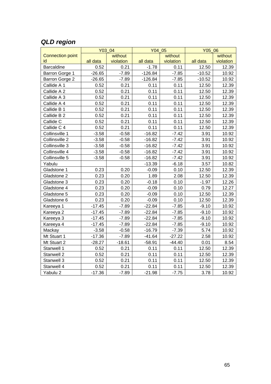## *QLD region*

|                         |          | Y03 04    | Y04 05    |           |          | Y05 06    |  |
|-------------------------|----------|-----------|-----------|-----------|----------|-----------|--|
| <b>Connection point</b> |          | without   |           | without   |          | without   |  |
| id                      | all data | violation | all data  | violation | all data | violation |  |
| <b>Barcaldine</b>       | 0.52     | 0.21      | $-1.78$   | 0.11      | 12.50    | 12.39     |  |
| Barron Gorge 1          | $-26.65$ | $-7.89$   | $-126.84$ | $-7.85$   | $-10.52$ | 10.92     |  |
| Barron Gorge 2          | $-26.65$ | $-7.89$   | $-126.84$ | $-7.85$   | $-10.52$ | 10.92     |  |
| Callide A 1             | 0.52     | 0.21      | 0.11      | 0.11      | 12.50    | 12.39     |  |
| Callide A 2             | 0.52     | 0.21      | 0.11      | 0.11      | 12.50    | 12.39     |  |
| Callide A 3             | 0.52     | 0.21      | 0.11      | 0.11      | 12.50    | 12.39     |  |
| Callide A 4             | 0.52     | 0.21      | 0.11      | 0.11      | 12.50    | 12.39     |  |
| Callide B 1             | 0.52     | 0.21      | 0.11      | 0.11      | 12.50    | 12.39     |  |
| Callide B 2             | 0.52     | 0.21      | 0.11      | 0.11      | 12.50    | 12.39     |  |
| Callide C               | 0.52     | 0.21      | 0.11      | 0.11      | 12.50    | 12.39     |  |
| Callide C 4             | 0.52     | 0.21      | 0.11      | 0.11      | 12.50    | 12.39     |  |
| Collinsville 1          | $-3.58$  | $-0.58$   | $-16.82$  | $-7.42$   | 3.91     | 10.92     |  |
| Collinsville 2          | $-3.58$  | $-0.58$   | $-16.82$  | $-7.42$   | 3.91     | 10.92     |  |
| Collinsville 3          | $-3.58$  | $-0.58$   | $-16.82$  | $-7.42$   | 3.91     | 10.92     |  |
| Collinsville 4          | $-3.58$  | $-0.58$   | $-16.82$  | $-7.42$   | 3.91     | 10.92     |  |
| Collinsville 5          | $-3.58$  | $-0.58$   | $-16.82$  | $-7.42$   | 3.91     | 10.92     |  |
| Yabulu                  |          |           | $-13.39$  | $-6.18$   | 3.57     | 10.82     |  |
| Gladstone 1             | 0.23     | 0.20      | $-0.09$   | 0.10      | 12.50    | 12.39     |  |
| Gladstone 2             | 0.23     | 0.20      | 1.89      | 2.08      | 12.50    | 12.39     |  |
| Gladstone 3             | 0.23     | 0.20      | $-0.18$   | 0.10      | $-1.97$  | 12.26     |  |
| Gladstone 4             | 0.23     | 0.20      | $-0.09$   | 0.10      | 0.79     | 12.27     |  |
| Gladstone 5             | 0.23     | 0.20      | $-0.09$   | 0.10      | 12.50    | 12.39     |  |
| Gladstone 6             | 0.23     | 0.20      | $-0.09$   | 0.10      | 12.50    | 12.39     |  |
| Kareeya 1               | $-17.45$ | $-7.89$   | $-22.84$  | $-7.85$   | $-9.10$  | 10.92     |  |
| Kareeya 2               | $-17.45$ | $-7.89$   | $-22.84$  | $-7.85$   | $-9.10$  | 10.92     |  |
| Kareeya 3               | $-17.45$ | $-7.89$   | $-22.84$  | $-7.85$   | $-9.10$  | 10.92     |  |
| Kareeya 4               | $-17.45$ | $-7.89$   | $-22.84$  | $-7.85$   | $-9.10$  | 10.92     |  |
| Mackay                  | $-3.58$  | $-0.58$   | $-16.79$  | $-7.39$   | 5.74     | 10.92     |  |
| Mt Stuart 1             | $-17.36$ | $-7.89$   | $-41.64$  | $-27.22$  | 2.58     | 10.92     |  |
| Mt Stuart 2             | $-28.27$ | $-18.61$  | $-58.91$  | $-44.40$  | 0.01     | 8.54      |  |
| Stanwell 1              | 0.52     | 0.21      | 0.11      | 0.11      | 12.50    | 12.39     |  |
| Stanwell 2              | 0.52     | 0.21      | 0.11      | 0.11      | 12.50    | 12.39     |  |
| Stanwell 3              | 0.52     | 0.21      | 0.11      | 0.11      | 12.50    | 12.39     |  |
| Stanwell 4              | 0.52     | 0.21      | 0.11      | 0.11      | 12.50    | 12.39     |  |
| Yabulu 2                | $-17.36$ | $-7.89$   | $-21.98$  | $-7.75$   | 3.78     | 10.92     |  |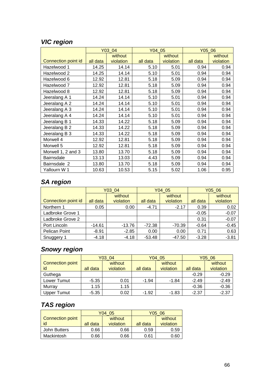# *VIC region*

|                     | Y03_04   |           | Y04 05   |           | Y05 06   |           |  |
|---------------------|----------|-----------|----------|-----------|----------|-----------|--|
|                     |          | without   |          | without   |          | without   |  |
| Connection point id | all data | violation | all data | violation | all data | violation |  |
| Hazelwood 1         | 14.25    | 14.14     | 5.10     | 5.01      | 0.94     | 0.94      |  |
| Hazelwood 2         | 14.25    | 14.14     | 5.10     | 5.01      | 0.94     | 0.94      |  |
| Hazelwood 6         | 12.92    | 12.81     | 5.18     | 5.09      | 0.94     | 0.94      |  |
| Hazelwood 7         | 12.92    | 12.81     | 5.18     | 5.09      | 0.94     | 0.94      |  |
| Hazelwood 8         | 12.92    | 12.81     | 5.18     | 5.09      | 0.94     | 0.94      |  |
| Jeeralang A 1       | 14.24    | 14.14     | 5.10     | 5.01      | 0.94     | 0.94      |  |
| Jeeralang A 2       | 14.24    | 14.14     | 5.10     | 5.01      | 0.94     | 0.94      |  |
| Jeeralang A 3       | 14.24    | 14.14     | 5.10     | 5.01      | 0.94     | 0.94      |  |
| Jeeralang A 4       | 14.24    | 14.14     | 5.10     | 5.01      | 0.94     | 0.94      |  |
| Jeeralang B 1       | 14.33    | 14.22     | 5.18     | 5.09      | 0.94     | 0.94      |  |
| Jeeralang B 2       | 14.33    | 14.22     | 5.18     | 5.09      | 0.94     | 0.94      |  |
| Jeeralang B 3       | 14.33    | 14.22     | 5.18     | 5.09      | 0.94     | 0.94      |  |
| Morwell 4           | 12.92    | 12.81     | 5.18     | 5.09      | 0.94     | 0.94      |  |
| Morwell 5           | 12.92    | 12.81     | 5.18     | 5.09      | 0.94     | 0.94      |  |
| Morwell 1, 2 and 3  | 13.80    | 13.70     | 5.18     | 5.09      | 0.94     | 0.94      |  |
| <b>Bairnsdale</b>   | 13.13    | 13.03     | 4.43     | 5.09      | 0.94     | 0.94      |  |
| Bairnsdale 2        | 13.80    | 13.70     | 5.18     | 5.09      | 0.94     | 0.94      |  |
| Yallourn W 1        | 10.63    | 10.53     | 5.15     | 5.02      | 1.06     | 0.95      |  |

## *SA region*

|                     | Y03_04   |                      |          | Y04 05               | Y05 06   |                      |
|---------------------|----------|----------------------|----------|----------------------|----------|----------------------|
| Connection point id | all data | without<br>violation | all data | without<br>violation | all data | without<br>violation |
| Northern 1          | 0.05     | 0.00                 | $-4.71$  | $-2.17$              | 0.39     | 0.02                 |
| Ladbroke Grove 1    |          |                      |          |                      | $-0.05$  | $-0.07$              |
| Ladbroke Grove 2    |          |                      |          |                      | 0.31     | $-0.07$              |
| Port Lincoln        | $-14.61$ | $-13.76$             | $-72.38$ | $-70.39$             | $-0.64$  | $-0.45$              |
| Pelican Point       | $-8.91$  | $-2.85$              | 0.00     | 0.00                 | 0.71     | 0.63                 |
| Snuggery 1          | $-4.18$  | $-4.18$              | $-53.48$ | $-47.50$             | $-3.28$  | $-3.81$              |

## *Snowy region*

|                  | Y03 04   |           | Y04 05   |           | Y05 06   |           |
|------------------|----------|-----------|----------|-----------|----------|-----------|
| Connection point |          | without   |          | without   |          | without   |
| id               | all data | violation | all data | violation | all data | violation |
| Guthega          |          |           |          |           | $-0.29$  | $-0.29$   |
| Lower Tumut      | $-5.35$  | 0.01      | $-1.94$  | $-1.84$   | $-2.49$  | $-2.49$   |
| Murray           | 1.15     | 1.15      |          |           | $-0.36$  | $-0.36$   |
| Upper Tumut      | $-5.35$  | 0.02      | $-1.92$  | $-1.83$   | $-2.37$  | $-2.37$   |

# *TAS region*

|                         |          | Y04 05    | Y05 06   |           |  |
|-------------------------|----------|-----------|----------|-----------|--|
| <b>Connection point</b> |          | without   |          | without   |  |
| id                      | all data | violation | all data | violation |  |
| John Butters            | 0.66     | 0.66      | 0.59     | 0.59      |  |
| Mackintosh              | 0.66     | 0.66      | 0.61     |           |  |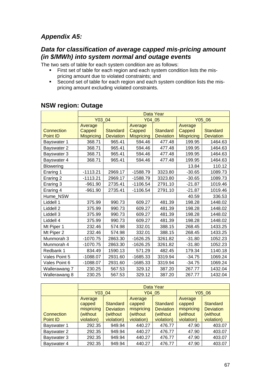## *Appendix A5:*

## *Data for classification of average capped mis-pricing amount (in \$/MWh) into system normal and outage events*

The two sets of table for each system condition are as follows:

- First set of table for each region and each system condition lists the mispricing amount due to violated constraints; and
- Second set of table for each region and each system condition lists the mispricing amount excluding violated constraints.

|                   | Data Year         |                  |                   |                  |                   |                  |  |
|-------------------|-------------------|------------------|-------------------|------------------|-------------------|------------------|--|
|                   | Y03 04            |                  | Y04 05            |                  | Y05 06            |                  |  |
|                   | Average           |                  | Average           |                  | Average           |                  |  |
| <b>Connection</b> | Capped            | <b>Standard</b>  | Capped            | <b>Standard</b>  | Capped            | <b>Standard</b>  |  |
| <b>Point ID</b>   | <b>Mispricing</b> | <b>Deviation</b> | <b>Mispricing</b> | <b>Deviation</b> | <b>Mispricing</b> | <b>Deviation</b> |  |
| Bayswater 1       | 368.71            | 965.41           | 594.46            | 477.48           | 199.95            | 1464.63          |  |
| Bayswater 2       | 368.71            | 965.41           | 594.46            | 477.48           | 199.95            | 1464.63          |  |
| Bayswater 3       | 368.71            | 965.41           | 594.46            | 477.48           | 199.95            | 1464.63          |  |
| Bayswater 4       | 368.71            | 965.41           | 594.46            | 477.48           | 199.95            | 1464.63          |  |
| <b>Blowering</b>  |                   |                  |                   |                  | 13.84             | 110.12           |  |
| Eraring 1         | $-1113.21$        | 2969.17          | $-1588.79$        | 3323.80          | $-30.65$          | 1089.73          |  |
| Eraring 2         | $-1113.21$        | 2969.17          | $-1588.79$        | 3323.80          | $-30.65$          | 1089.73          |  |
| Eraring 3         | $-961.90$         | 2735.41          | $-1106.54$        | 2791.10          | $-21.87$          | 1019.46          |  |
| Eraring 4         | $-961.90$         | 2735.41          | $-1106.54$        | 2791.10          | $-21.87$          | 1019.46          |  |
| Hume NSW          |                   |                  |                   |                  | 40.59             | 336.53           |  |
| Liddell 1         | 375.99            | 990.73           | 609.27            | 481.39           | 198.28            | 1448.02          |  |
| Liddell 2         | 375.99            | 990.73           | 609.27            | 481.39           | 198.28            | 1448.02          |  |
| Liddell 3         | 375.99            | 990.73           | 609.27            | 481.39           | 198.28            | 1448.02          |  |
| Liddell 4         | 375.99            | 990.73           | 609.27            | 481.39           | 198.28            | 1448.02          |  |
| Mt Piper 1        | 232.46            | 574.98           | 332.01            | 388.15           | 268.45            | 1433.25          |  |
| Mt Piper 2        | 232.46            | 574.98           | 332.01            | 388.15           | 268.45            | 1433.25          |  |
| Munmorah 3        | $-1070.75$        | 2863.30          | $-1626.25$        | 3261.82          | $-31.80$          | 1052.23          |  |
| Munmorah 4        | $-1070.75$        | 2863.30          | $-1626.25$        | 3261.82          | $-31.80$          | 1052.23          |  |
| Redbank 1         | 834.49            | 1590.13          | 571.29            | 482.45           | 179.34            | 1140.18          |  |
| Vales Point 5     | $-1088.07$        | 2931.60          | $-1685.33$        | 3319.94          | $-34.75$          | 1069.24          |  |
| Vales Point 6     | $-1088.07$        | 2931.60          | $-1685.33$        | 3319.94          | $-34.75$          | 1069.24          |  |
| Wallerawang 7     | 230.25            | 567.53           | 329.12            | 387.20           | 267.77            | 1432.04          |  |
| Wallerawang 8     | 230.25            | 567.53           | 329.12            | 387.20           | 267.77            | 1432.04          |  |

## **NSW region: Outage**

|             | Data Year  |                  |            |                  |            |                  |  |
|-------------|------------|------------------|------------|------------------|------------|------------------|--|
|             | Y03 04     |                  | Y04 05     |                  | Y05 06     |                  |  |
|             | Average    |                  | Average    |                  | Average    |                  |  |
|             | capped     | <b>Standard</b>  | capped     | <b>Standard</b>  | capped     | Standard         |  |
|             | mispricing | <b>Deviation</b> | mispricing | <b>Deviation</b> | mispricing | <b>Deviation</b> |  |
| Connection  | (without)  | (without)        | (without)  | (without)        | (without   | (without         |  |
| Point ID    | violation) | violation)       | violation) | violation)       | violation) | violation)       |  |
| Bayswater 1 | 292.35     | 949.94           | 440.27     | 476.77           | 47.90      | 403.07           |  |
| Bayswater 2 | 292.35     | 949.94           | 440.27     | 476.77           | 47.90      | 403.07           |  |
| Bayswater 3 | 292.35     | 949.94           | 440.27     | 476.77           | 47.90      | 403.07           |  |
| Bayswater 4 | 292.35     | 949.94           | 440.27     | 476.77           | 47.90      | 403.07           |  |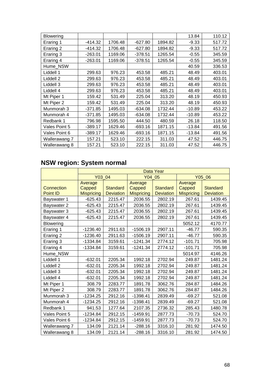| <b>Blowering</b> |           |         |           |         | 13.84    | 110.12 |
|------------------|-----------|---------|-----------|---------|----------|--------|
| Eraring 1        | $-414.32$ | 1706.48 | $-627.80$ | 1894.82 | $-9.33$  | 517.72 |
| Eraring 2        | $-414.32$ | 1706.48 | $-627.80$ | 1894.82 | $-9.33$  | 517.72 |
| Eraring 3        | $-263.01$ | 1169.06 | $-378.51$ | 1265.54 | $-0.55$  | 345.59 |
| Eraring 4        | $-263.01$ | 1169.06 | $-378.51$ | 1265.54 | $-0.55$  | 345.59 |
| Hume NSW         |           |         |           |         | 40.59    | 336.53 |
| Liddell 1        | 299.63    | 976.23  | 453.58    | 485.21  | 48.49    | 403.01 |
| Liddell 2        | 299.63    | 976.23  | 453.58    | 485.21  | 48.49    | 403.01 |
| Liddell 3        | 299.63    | 976.23  | 453.58    | 485.21  | 48.49    | 403.01 |
| Liddell 4        | 299.63    | 976.23  | 453.58    | 485.21  | 48.49    | 403.01 |
| Mt Piper 1       | 159.42    | 531.49  | 225.04    | 313.20  | 48.19    | 450.93 |
| Mt Piper 2       | 159.42    | 531.49  | 225.04    | 313.20  | 48.19    | 450.93 |
| Munmorah 3       | $-371.85$ | 1495.03 | $-634.08$ | 1732.44 | $-10.89$ | 453.22 |
| Munmorah 4       | $-371.85$ | 1495.03 | $-634.08$ | 1732.44 | $-10.89$ | 453.22 |
| Redbank 1        | 796.98    | 1595.50 | 444.50    | 480.59  | 26.18    | 118.50 |
| Vales Point 5    | $-389.17$ | 1629.46 | -693.16   | 1871.15 | -13.84   | 491.56 |
| Vales Point 6    | $-389.17$ | 1629.46 | -693.16   | 1871.15 | $-13.84$ | 491.56 |
| Wallerawang 7    | 157.21    | 523.10  | 222.15    | 311.03  | 47.52    | 446.75 |
| Wallerawang 8    | 157.21    | 523.10  | 222.15    | 311.03  | 47.52    | 446.75 |

# **NSW region: System normal**

|                   | Data Year         |                  |                   |                  |                   |                  |  |
|-------------------|-------------------|------------------|-------------------|------------------|-------------------|------------------|--|
|                   | Y03 04            |                  | Y04 05            |                  | Y05 06            |                  |  |
|                   | Average           |                  | Average           |                  | Average           |                  |  |
| <b>Connection</b> | Capped            | <b>Standard</b>  | Capped            | <b>Standard</b>  | Capped            | <b>Standard</b>  |  |
| <b>Point ID</b>   | <b>Mispricing</b> | <b>Deviation</b> | <b>Mispricing</b> | <b>Deviation</b> | <b>Mispricing</b> | <b>Deviation</b> |  |
| Bayswater 1       | $-625.43$         | 2215.47          | 2036.55           | 2802.19          | 267.61            | 1439.45          |  |
| Bayswater 2       | $-625.43$         | 2215.47          | 2036.55           | 2802.19          | 267.61            | 1439.45          |  |
| Bayswater 3       | $-625.43$         | 2215.47          | 2036.55           | 2802.19          | 267.61            | 1439.45          |  |
| Bayswater 4       | $-625.43$         | 2215.47          | 2036.55           | 2802.19          | 267.61            | 1439.45          |  |
| <b>Blowering</b>  |                   |                  |                   |                  | 5052.12           | 4170.77          |  |
| Eraring 1         | $-1236.40$        | 2911.63          | $-1506.19$        | 2907.11          | $-46.77$          | 590.35           |  |
| Eraring 2         | $-1236.40$        | 2911.63          | $-1506.19$        | 2907.11          | $-46.77$          | 590.35           |  |
| Eraring 3         | $-1334.84$        | 3159.61          | $-1241.34$        | 2774.12          | $-101.71$         | 705.98           |  |
| Eraring 4         | $-1334.84$        | 3159.61          | $-1241.34$        | 2774.12          | $-101.71$         | 705.98           |  |
| Hume NSW          |                   |                  |                   |                  | 5014.97           | 4146.26          |  |
| Liddell 1         | $-632.01$         | 2205.34          | 1992.18           | 2702.94          | 249.87            | 1481.24          |  |
| Liddell 2         | $-632.01$         | 2205.34          | 1992.18           | 2702.94          | 249.87            | 1481.24          |  |
| Liddell 3         | $-632.01$         | 2205.34          | 1992.18           | 2702.94          | 249.87            | 1481.24          |  |
| Liddell 4         | $-632.01$         | 2205.34          | 1992.18           | 2702.94          | 249.87            | 1481.24          |  |
| Mt Piper 1        | 308.79            | 2283.77          | 1891.78           | 3062.76          | 284.87            | 1484.26          |  |
| Mt Piper 2        | 308.79            | 2283.77          | 1891.78           | 3062.76          | 284.87            | 1484.26          |  |
| Munmorah 3        | $-1234.25$        | 2912.16          | $-1398.41$        | 2839.49          | $-69.27$          | 521.08           |  |
| Munmorah 4        | $-1234.25$        | 2912.16          | $-1398.41$        | 2839.49          | $-69.27$          | 521.08           |  |
| Redbank 1         | 941.53            | 1277.64          | 2107.35           | 2736.32          | 285.43            | 1480.78          |  |
| Vales Point 5     | $-1234.84$        | 2912.15          | $-1459.91$        | 2877.73          | $-70.73$          | 524.70           |  |
| Vales Point 6     | $-1234.84$        | 2912.15          | $-1459.91$        | 2877.73          | $-70.73$          | 524.70           |  |
| Wallerawang 7     | 134.09            | 2121.14          | $-288.16$         | 3316.10          | 281.92            | 1474.50          |  |
| Wallerawang 8     | 134.09            | 2121.14          | $-288.16$         | 3316.10          | 281.92            | 1474.50          |  |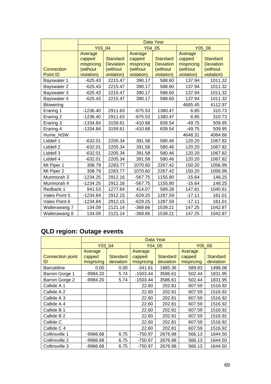|                  | Data Year                                   |                                                 |                                             |                                                 |                                             |                                                 |  |
|------------------|---------------------------------------------|-------------------------------------------------|---------------------------------------------|-------------------------------------------------|---------------------------------------------|-------------------------------------------------|--|
|                  | Y03 04                                      |                                                 | Y04 05                                      |                                                 |                                             | Y05 06                                          |  |
| Connection       | Average<br>capped<br>mispricing<br>(without | <b>Standard</b><br><b>Deviation</b><br>(without | Average<br>capped<br>mispricing<br>(without | <b>Standard</b><br><b>Deviation</b><br>(without | Average<br>capped<br>mispricing<br>(without | <b>Standard</b><br><b>Deviation</b><br>(without |  |
| Point ID         | violation)                                  | violation)                                      | violation)                                  | violation)                                      | violation)                                  | violation)                                      |  |
| Bayswater 1      | $-625.43$                                   | 2215.47                                         | 390.17                                      | 588.60                                          | 137.94                                      | 1011.32                                         |  |
| Bayswater 2      | $-625.43$                                   | 2215.47                                         | 390.17                                      | 588.60                                          | 137.94                                      | 1011.32                                         |  |
| Bayswater 3      | $-625.43$                                   | 2215.47                                         | 390.17                                      | 588.60                                          | 137.94                                      | 1011.32                                         |  |
| Bayswater 4      | $-625.43$                                   | 2215.47                                         | 390.17                                      | 588.60                                          | 137.94                                      | 1011.32                                         |  |
| <b>Blowering</b> |                                             |                                                 |                                             |                                                 | 4685.45                                     | 4112.97                                         |  |
| Eraring 1        | $-1236.40$                                  | 2911.63                                         | $-675.53$                                   | 1380.47                                         | 6.85                                        | 310.73                                          |  |
| Eraring 2        | $-1236.40$                                  | 2911.63                                         | $-675.53$                                   | 1380.47                                         | 6.85                                        | 310.73                                          |  |
| Eraring 3        | $-1334.84$                                  | 3159.61                                         | $-410.68$                                   | 839.54                                          | $-49.75$                                    | 509.95                                          |  |
| Eraring 4        | $-1334.84$                                  | 3159.61                                         | $-410.68$                                   | 839.54                                          | $-49.75$                                    | 509.95                                          |  |
| Hume NSW         |                                             |                                                 |                                             |                                                 | 4648.31                                     | 4084.66                                         |  |
| Liddell 1        | $-632.01$                                   | 2205.34                                         | 391.58                                      | 580.46                                          | 120.20                                      | 1067.82                                         |  |
| Liddell 2        | $-632.01$                                   | 2205.34                                         | 391.58                                      | 580.46                                          | 120.20                                      | 1067.82                                         |  |
| Liddell 3        | $-632.01$                                   | 2205.34                                         | 391.58                                      | 580.46                                          | 120.20                                      | 1067.82                                         |  |
| Liddell 4        | $-632.01$                                   | 2205.34                                         | 391.58                                      | 580.46                                          | 120.20                                      | 1067.82                                         |  |
| Mt Piper 1       | 308.79                                      | 2283.77                                         | 1070.60                                     | 2267.42                                         | 150.20                                      | 1056.99                                         |  |
| Mt Piper 2       | 308.79                                      | 2283.77                                         | 1070.60                                     | 2267.42                                         | 150.20                                      | 1056.99                                         |  |
| Munmorah 3       | $-1234.25$                                  | 2912.16                                         | $-567.75$                                   | 1155.80                                         | $-15.64$                                    | 148.25                                          |  |
| Munmorah 4       | $-1234.25$                                  | 2912.16                                         | $-567.75$                                   | 1155.80                                         | $-15.64$                                    | 148.25                                          |  |
| Redbank 1        | 941.53                                      | 1277.64                                         | 414.07                                      | 589.28                                          | 147.81                                      | 1040.61                                         |  |
| Vales Point 5    | $-1234.84$                                  | 2912.15                                         | $-629.25$                                   | 1287.59                                         | $-17.11$                                    | 161.01                                          |  |
| Vales Point 6    | $-1234.84$                                  | 2912.15                                         | $-629.25$                                   | 1287.59                                         | $-17.11$                                    | 161.01                                          |  |
| Wallerawang 7    | 134.09                                      | 2121.14                                         | $-368.66$                                   | 1539.21                                         | 147.25                                      | 1042.87                                         |  |
| Wallerawang 8    | 134.09                                      | 2121.14                                         | $-368.66$                                   | 1539.21                                         | 147.25                                      | 1042.87                                         |  |

# **QLD region: Outage events**

|                         | Data Year  |                 |            |                 |            |                 |  |  |
|-------------------------|------------|-----------------|------------|-----------------|------------|-----------------|--|--|
|                         | Y03 04     |                 | Y04 05     |                 | Y05 06     |                 |  |  |
|                         | Average    |                 | Average    |                 | Average    |                 |  |  |
| <b>Connection point</b> | capped     | <b>Standard</b> | capped     | <b>Standard</b> | capped     | <b>Standard</b> |  |  |
| ID                      | mispricing | deviation       | mispricing | deviation       | mispricing | deviation       |  |  |
| <b>Barcaldine</b>       | 0.00       | 0.00            | $-341.61$  | 1885.36         | 589.83     | 1498.08         |  |  |
| Barron Gorge 1          | $-9984.20$ | 5.74            | $-1503.44$ | 3586.61         | 502.44     | 1831.95         |  |  |
| Barron Gorge 2          | -9984.20   | 5.74            | $-1503.44$ | 3586.61         | 502.44     | 1831.95         |  |  |
| Callide A 1             |            |                 | 22.60      | 202.81          | 607.59     | 1516.92         |  |  |
| Callide A 2             |            |                 | 22.60      | 202.81          | 607.59     | 1516.92         |  |  |
| Callide A 3             |            |                 | 22.60      | 202.81          | 607.59     | 1516.92         |  |  |
| Callide A 4             |            |                 | 22.60      | 202.81          | 607.59     | 1516.92         |  |  |
| Callide B 1             |            |                 | 22.60      | 202.81          | 607.59     | 1516.92         |  |  |
| Callide B 2             |            |                 | 22.60      | 202.81          | 607.59     | 1516.92         |  |  |
| Callide C               |            |                 | 22.60      | 202.81          | 607.59     | 1516.92         |  |  |
| Callide C 4             |            |                 | 22.60      | 202.81          | 607.59     | 1516.92         |  |  |
| Collinsville 1          | -9966.68   | 6.75            | $-750.97$  | 2676.98         | 566.13     | 1644.50         |  |  |
| Collinsville 2          | -9966.68   | 6.75            | $-750.97$  | 2676.98         | 566.13     | 1644.50         |  |  |
| Collinsville 3          | -9966.68   | 6.75            | $-750.97$  | 2676.98         | 566.13     | 1644.50         |  |  |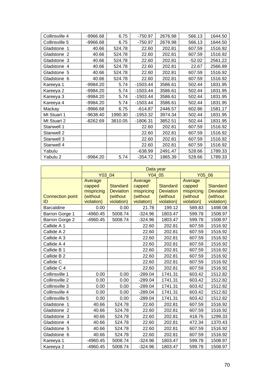| Collinsville 4 | -9966.68   | 6.75    | $-750.97$  | 2676.98 | 566.13   | 1644.50 |
|----------------|------------|---------|------------|---------|----------|---------|
| Collinsville 5 | -9966.68   | 6.75    | $-750.97$  | 2676.98 | 566.13   | 1644.50 |
| Gladstone 1    | 40.66      | 524.78  | 22.60      | 202.81  | 607.59   | 1516.92 |
| Gladstone 2    | 40.66      | 524.78  | 22.60      | 202.81  | 607.59   | 1516.92 |
| Gladstone 3    | 40.66      | 524.78  | 22.60      | 202.81  | $-52.02$ | 2561.22 |
| Gladstone 4    | 40.66      | 524.78  | 22.60      | 202.81  | 22.67    | 2566.89 |
| Gladstone 5    | 40.66      | 524.78  | 22.60      | 202.81  | 607.59   | 1516.92 |
| Gladstone 6    | 40.66      | 524.78  | 22.60      | 202.81  | 607.59   | 1516.92 |
| Kareeya 1      | -9984.20   | 5.74    | $-1503.44$ | 3586.61 | 502.44   | 1831.95 |
| Kareeya 2      | $-9984.20$ | 5.74    | $-1503.44$ | 3586.61 | 502.44   | 1831.95 |
| Kareeya 3      | -9984.20   | 5.74    | $-1503.44$ | 3586.61 | 502.44   | 1831.95 |
| Kareeya 4      | -9984.20   | 5.74    | $-1503.44$ | 3586.61 | 502.44   | 1831.95 |
| Mackay         | -9966.68   | 6.75    | $-614.87$  | 2446.57 | 602.86   | 1581.17 |
| Mt Stuart 1    | -9638.40   | 1990.30 | $-1953.32$ | 3974.34 | 502.44   | 1831.95 |
| Mt Stuart 2    | $-8262.69$ | 3810.05 | $-1806.31$ | 3852.51 | 502.44   | 1831.95 |
| Stanwell 1     |            |         | 22.60      | 202.81  | 607.59   | 1516.92 |
| Stanwell 2     |            |         | 22.60      | 202.81  | 607.59   | 1516.92 |
| Stanwell 3     |            |         | 22.60      | 202.81  | 607.59   | 1516.92 |
| Stanwell 4     |            |         | 22.60      | 202.81  | 607.59   | 1516.92 |
| Yabulu         |            |         | $-638.99$  | 2491.47 | 528.66   | 1789.33 |
| Yabulu 2       | -9984.20   | 5.74    | $-354.72$  | 1865.39 | 528.66   | 1789.33 |

|                         | Data year  |                  |            |                  |            |                  |
|-------------------------|------------|------------------|------------|------------------|------------|------------------|
|                         | Y03 04     |                  | Y04 05     |                  | Y05 06     |                  |
|                         | Average    |                  | Average    |                  | Average    |                  |
|                         | capped     | <b>Standard</b>  | capped     | <b>Standard</b>  | capped     | <b>Standard</b>  |
|                         | mispricing | <b>Deviation</b> | mispricing | <b>Deviation</b> | mispricing | <b>Deviation</b> |
| <b>Connection point</b> | (without   | (without         | (without   | (without         | (without   | (without         |
| ID                      | violation) | violation)       | violation) | violation)       | violation) | violation)       |
| <b>Barcaldine</b>       | 0.00       | 0.00             | 21.78      | 199.12           | 589.83     | 1498.08          |
| Barron Gorge 1          | -4960.45   | 5008.74          | $-324.96$  | 1803.47          | 599.78     | 1508.97          |
| Barron Gorge 2          | -4960.45   | 5008.74          | $-324.96$  | 1803.47          | 599.78     | 1508.97          |
| Callide A 1             |            |                  | 22.60      | 202.81           | 607.59     | 1516.92          |
| Callide A 2             |            |                  | 22.60      | 202.81           | 607.59     | 1516.92          |
| Callide A 3             |            |                  | 22.60      | 202.81           | 607.59     | 1516.92          |
| Callide A 4             |            |                  | 22.60      | 202.81           | 607.59     | 1516.92          |
| Callide B 1             |            |                  | 22.60      | 202.81           | 607.59     | 1516.92          |
| Callide B 2             |            |                  | 22.60      | 202.81           | 607.59     | 1516.92          |
| Callide C               |            |                  | 22.60      | 202.81           | 607.59     | 1516.92          |
| Callide C 4             |            |                  | 22.60      | 202.81           | 607.59     | 1516.92          |
| Collinsville 1          | 0.00       | 0.00             | $-289.04$  | 1741.31          | 603.42     | 1512.82          |
| Collinsville 2          | 0.00       | 0.00             | $-289.04$  | 1741.31          | 603.42     | 1512.82          |
| Collinsville 3          | 0.00       | 0.00             | $-289.04$  | 1741.31          | 603.42     | 1512.82          |
| Collinsville 4          | 0.00       | 0.00             | $-289.04$  | 1741.31          | 603.42     | 1512.82          |
| Collinsville 5          | 0.00       | 0.00             | $-289.04$  | 1741.31          | 603.42     | 1512.82          |
| Gladstone<br>-1         | 40.66      | 524.78           | 22.60      | 202.81           | 607.59     | 1516.92          |
| Gladstone 2             | 40.66      | 524.78           | 22.60      | 202.81           | 607.59     | 1516.92          |
| Gladstone 3             | 40.66      | 524.78           | 22.60      | 202.81           | 418.76     | 1299.33          |
| Gladstone 4             | 40.66      | 524.78           | 22.60      | 202.81           | 472.34     | 1370.43          |
| Gladstone 5             | 40.66      | 524.78           | 22.60      | 202.81           | 607.59     | 1516.92          |
| Gladstone 6             | 40.66      | 524.78           | 22.60      | 202.81           | 607.59     | 1516.92          |
| Kareeya 1               | -4960.45   | 5008.74          | $-324.96$  | 1803.47          | 599.78     | 1508.97          |
| Kareeya 2               | -4960.45   | 5008.74          | $-324.96$  | 1803.47          | 599.78     | 1508.97          |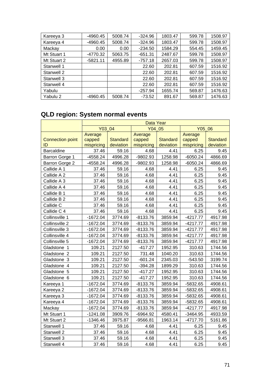| Kareeya 3   | -4960.45   | 5008.74 | $-324.96$ | 1803.47 | 599.78 | 1508.97 |
|-------------|------------|---------|-----------|---------|--------|---------|
| Kareeya 4   | -4960.45   | 5008.74 | $-324.96$ | 1803.47 | 599.78 | 1508.97 |
| Mackay      | 0.00       | 0.00    | $-234.50$ | 1584.29 | 554.45 | 1459.45 |
| Mt Stuart 1 | -4770.32   | 5063.75 | $-651.31$ | 2487.67 | 599.78 | 1508.97 |
| Mt Stuart 2 | $-5821.11$ | 4955.89 | $-757.18$ | 2657.03 | 599.78 | 1508.97 |
| Stanwell 1  |            |         | 22.60     | 202.81  | 607.59 | 1516.92 |
| Stanwell 2  |            |         | 22.60     | 202.81  | 607.59 | 1516.92 |
| Stanwell 3  |            |         | 22.60     | 202.81  | 607.59 | 1516.92 |
| Stanwell 4  |            |         | 22.60     | 202.81  | 607.59 | 1516.92 |
| Yabulu      |            |         | $-257.94$ | 1655.74 | 569.87 | 1476.63 |
| Yabulu 2    | $-4960.45$ | 5008.74 | $-73.52$  | 891.67  | 569.87 | 1476.63 |

# **QLD region: System normal events**

|                         | Data Year  |                 |            |                 |            |                 |
|-------------------------|------------|-----------------|------------|-----------------|------------|-----------------|
|                         | Y03 04     |                 | Y04 05     |                 | Y05 06     |                 |
|                         | Average    |                 | Average    |                 | Average    |                 |
| <b>Connection point</b> | capped     | <b>Standard</b> | capped     | <b>Standard</b> | capped     | <b>Standard</b> |
| ID                      | mispricing | deviation       | mispricing | deviation       | mispricing | deviation       |
| <b>Barcaldine</b>       | 37.46      | 59.16           | 4.68       | 4.41            | 6.25       | 9.45            |
| Barron Gorge 1          | $-4558.24$ | 4996.28         | -9802.93   | 1258.98         | $-6050.24$ | 4866.69         |
| Barron Gorge 2          | $-4558.24$ | 4996.28         | -9802.93   | 1258.98         | $-6050.24$ | 4866.69         |
| Callide A 1             | 37.46      | 59.16           | 4.68       | 4.41            | 6.25       | 9.45            |
| Callide A 2             | 37.46      | 59.16           | 4.68       | 4.41            | 6.25       | 9.45            |
| Callide A 3             | 37.46      | 59.16           | 4.68       | 4.41            | 6.25       | 9.45            |
| Callide A 4             | 37.46      | 59.16           | 4.68       | 4.41            | 6.25       | 9.45            |
| Callide B 1             | 37.46      | 59.16           | 4.68       | 4.41            | 6.25       | 9.45            |
| Callide B 2             | 37.46      | 59.16           | 4.68       | 4.41            | 6.25       | 9.45            |
| Callide C               | 37.46      | 59.16           | 4.68       | 4.41            | 6.25       | 9.45            |
| Callide C 4             | 37.46      | 59.16           | 4.68       | 4.41            | 6.25       | 9.45            |
| Collinsville 1          | $-1672.04$ | 3774.69         | $-8133.76$ | 3859.94         | $-4217.77$ | 4917.98         |
| Collinsville 2          | $-1672.04$ | 3774.69         | $-8133.76$ | 3859.94         | $-4217.77$ | 4917.98         |
| Collinsville 3          | $-1672.04$ | 3774.69         | $-8133.76$ | 3859.94         | $-4217.77$ | 4917.98         |
| Collinsville 4          | $-1672.04$ | 3774.69         | $-8133.76$ | 3859.94         | $-4217.77$ | 4917.98         |
| Collinsville 5          | $-1672.04$ | 3774.69         | $-8133.76$ | 3859.94         | $-4217.77$ | 4917.98         |
| Gladstone 1             | 109.21     | 2127.50         | $-417.27$  | 1952.95         | 310.63     | 1744.56         |
| Gladstone 2             | 109.21     | 2127.50         | 731.48     | 1040.20         | 310.63     | 1744.56         |
| Gladstone 3             | 109.21     | 2127.50         | $-601.24$  | 2345.03         | $-543.50$  | 3199.74         |
| Gladstone 4             | 109.21     | 2127.50         | $-394.28$  | 1899.29         | 310.63     | 1744.56         |
| Gladstone 5             | 109.21     | 2127.50         | $-417.27$  | 1952.95         | 310.63     | 1744.56         |
| Gladstone 6             | 109.21     | 2127.50         | $-417.27$  | 1952.95         | 310.63     | 1744.56         |
| Kareeya 1               | $-1672.04$ | 3774.69         | $-8133.76$ | 3859.94         | -5832.65   | 4908.61         |
| Kareeya 2               | $-1672.04$ | 3774.69         | $-8133.76$ | 3859.94         | -5832.65   | 4908.61         |
| Kareeya 3               | $-1672.04$ | 3774.69         | $-8133.76$ | 3859.94         | -5832.65   | 4908.61         |
| Kareeya 4               | $-1672.04$ | 3774.69         | $-8133.76$ | 3859.94         | -5832.65   | 4908.61         |
| Mackay                  | $-1672.04$ | 3774.69         | $-8133.76$ | 3859.94         | $-4217.77$ | 4917.98         |
| Mt Stuart 1             | $-1241.08$ | 3909.76         | $-6964.92$ | 4580.41         | $-3464.95$ | 4933.59         |
| Mt Stuart 2             | $-1346.46$ | 3975.87         | $-9566.81$ | 1963.14         | $-4717.70$ | 5161.86         |
| Stanwell 1              | 37.46      | 59.16           | 4.68       | 4.41            | 6.25       | 9.45            |
| Stanwell 2              | 37.46      | 59.16           | 4.68       | 4.41            | 6.25       | 9.45            |
| Stanwell 3              | 37.46      | 59.16           | 4.68       | 4.41            | 6.25       | 9.45            |
| Stanwell 4              | 37.46      | 59.16           | 4.68       | 4.41            | 6.25       | 9.45            |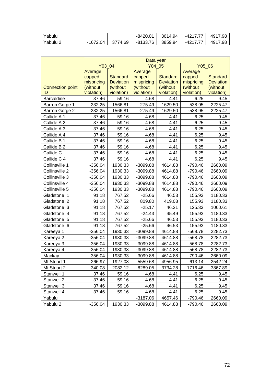| Yabulu   |          |           | $-8420.01$ | 3614.94 | -4217.77 | 4917.98 |
|----------|----------|-----------|------------|---------|----------|---------|
| Yabulu 2 | -1672.04 | 3774.69 I | -8133.76   | 3859.94 | -4217.77 | 4917.98 |

|                         | Data year  |                  |            |                  |            |                  |
|-------------------------|------------|------------------|------------|------------------|------------|------------------|
|                         | Y03 04     |                  | Y04 05     |                  | Y05 06     |                  |
|                         | Average    |                  | Average    |                  | Average    |                  |
|                         | capped     | <b>Standard</b>  | capped     | <b>Standard</b>  | capped     | <b>Standard</b>  |
|                         | mispricing | <b>Deviation</b> | mispricing | <b>Deviation</b> | mispricing | <b>Deviation</b> |
| <b>Connection point</b> | (without   | (without         | (without   | (without         | (without   | (without         |
| ID                      | violation) | violation)       | violation) | violation)       | violation) | violation)       |
| <b>Barcaldine</b>       | 37.46      | 59.16            | 4.68       | 4.41             | 6.25       | 9.45             |
| Barron Gorge 1          | $-232.25$  | 1566.81          | $-275.49$  | 1629.50          | $-538.95$  | 2225.47          |
| Barron Gorge 2          | $-232.25$  | 1566.81          | $-275.49$  | 1629.50          | $-538.95$  | 2225.47          |
| Callide A 1             | 37.46      | 59.16            | 4.68       | 4.41             | 6.25       | 9.45             |
| Callide A 2             | 37.46      | 59.16            | 4.68       | 4.41             | 6.25       | 9.45             |
| Callide A 3             | 37.46      | 59.16            | 4.68       | 4.41             | 6.25       | 9.45             |
| Callide A 4             | 37.46      | 59.16            | 4.68       | 4.41             | 6.25       | 9.45             |
| Callide B 1             | 37.46      | 59.16            | 4.68       | 4.41             | 6.25       | 9.45             |
| Callide B 2             | 37.46      | 59.16            | 4.68       | 4.41             | 6.25       | 9.45             |
| Callide C               | 37.46      | 59.16            | 4.68       | 4.41             | 6.25       | 9.45             |
| Callide C 4             | 37.46      | 59.16            | 4.68       | 4.41             | 6.25       | 9.45             |
| Collinsville 1          | $-356.04$  | 1930.33          | $-3099.88$ | 4614.88          | $-790.46$  | 2660.09          |
| Collinsville 2          | $-356.04$  | 1930.33          | $-3099.88$ | 4614.88          | $-790.46$  | 2660.09          |
| Collinsville 3          | $-356.04$  | 1930.33          | -3099.88   | 4614.88          | $-790.46$  | 2660.09          |
| Collinsville 4          | $-356.04$  | 1930.33          | -3099.88   | 4614.88          | $-790.46$  | 2660.09          |
| Collinsville 5          | $-356.04$  | 1930.33          | -3099.88   | 4614.88          | $-790.46$  | 2660.09          |
| Gladstone 1             | 91.18      | 767.52           | $-25.66$   | 46.53            | 155.93     | 1180.33          |
| Gladstone 2             | 91.18      | 767.52           | 809.80     | 419.08           | 155.93     | 1180.33          |
| Gladstone 3             | 91.18      | 767.52           | $-25.17$   | 46.21            | 125.33     | 1060.61          |
| Gladstone 4             | 91.18      | 767.52           | $-24.43$   | 45.49            | 155.93     | 1180.33          |
| Gladstone 5             | 91.18      | 767.52           | $-25.66$   | 46.53            | 155.93     | 1180.33          |
| Gladstone 6             | 91.18      | 767.52           | $-25.66$   | 46.53            | 155.93     | 1180.33          |
| Kareeya 1               | $-356.04$  | 1930.33          | -3099.88   | 4614.88          | $-568.78$  | 2282.73          |
| Kareeya 2               | $-356.04$  | 1930.33          | -3099.88   | 4614.88          | $-568.78$  | 2282.73          |
| Kareeya 3               | $-356.04$  | 1930.33          | -3099.88   | 4614.88          | $-568.78$  | 2282.73          |
| Kareeya 4               | $-356.04$  | 1930.33          | -3099.88   | 4614.88          | $-568.78$  | 2282.73          |
| Mackay                  | $-356.04$  | 1930.33          | $-3099.88$ | 4614.88          | $-790.46$  | 2660.09          |
| Mt Stuart 1             | $-266.97$  | 1927.08          | $-5559.68$ | 4956.95          | $-613.14$  | 2542.24          |
| Mt Stuart 2             | $-340.08$  | 2082.12          | -8289.05   | 3734.28          | -1716.46   | 3867.89          |
| Stanwell 1              | 37.46      | 59.16            | 4.68       | 4.41             | 6.25       | 9.45             |
| Stanwell 2              | 37.46      | 59.16            | 4.68       | 4.41             | 6.25       | 9.45             |
| Stanwell 3              | 37.46      | 59.16            | 4.68       | 4.41             | 6.25       | 9.45             |
| Stanwell 4              | 37.46      | 59.16            | 4.68       | 4.41             | 6.25       | 9.45             |
| Yabulu                  |            |                  | $-3187.06$ | 4657.46          | $-790.46$  | 2660.09          |
| Yabulu 2                | $-356.04$  | 1930.33          | -3099.88   | 4614.88          | $-790.46$  | 2660.09          |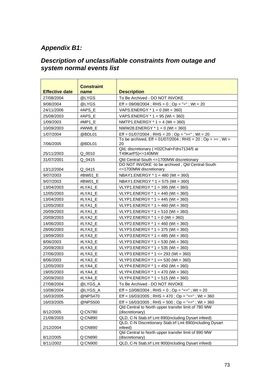# *Appendix B1:*

#### *Description of unclassifiable constraints from outage and system normal events list*

| <b>Effective date</b> | <b>Constraint</b><br>name | <b>Description</b>                                                         |
|-----------------------|---------------------------|----------------------------------------------------------------------------|
| 27/08/2004            | @LYGS                     | To Be Archived - DO NOT INVOKE                                             |
| 9/08/2004             | @LYGS                     | Eff = $09/08/2004$ ; RHS = 0; Op = "="; Wt = 20                            |
| 24/11/2006            | #APS E                    | VAPS.ENERGY $*$ 1 = 0 (Wt = 360)                                           |
| 25/08/2003            | #APS E                    | VAPS.ENERGY $*$ 1 = 95 (Wt = 360)                                          |
| 1/09/2003             | #MP1_E                    | NMTP1.ENERGY $*$ 1 = 4 (Wt = 360)                                          |
| 10/09/2003            | #WW8 E                    | NWW28.ENERGY $*$ 1 = 0 (Wt = 360)                                          |
| 1/07/2004             | @BDL01                    | Eff = $01/07/2004$ ; RHS = $20$ ; Op = ">="; Wt = $20$                     |
| 7/06/2005             | @BDL01                    | To be archived, Eff = $01/07/2004$ ; RHS = $20$ ; Op = >=; Wt =<br>20      |
| 25/11/2003            | $Q_{0010}$                | Qld, discretionary (H32Chal+Fdrs7134/5 at<br>T49KarPS) <= 140MW            |
| 31/07/2001            | Q 0415                    | Qld Central-South <= 1700MW discretionary                                  |
| 13/12/2004            | Q 0415                    | DO NOT INVOKE -to be archived, Qld Central-South<br><=1700MW discretionary |
| 9/07/2003             | #BW01 E                   | NBAY1.ENERGY $*$ 1 = 480 (Wt = 360)                                        |
| 9/07/2003             | #BW01 E                   | NBAY1.ENERGY $*$ 1 = 575 (Wt = 360)                                        |
| 13/04/2003            | #LYA1 E                   | VLYP1.ENERGY * 1 = 395 (Wt = 360)                                          |
| 12/05/2003            | #LYA1_E                   | VLYP1.ENERGY $*$ 1 = 440 (Wt = 360)                                        |
| 13/04/2003            | #LYA1 E                   | VLYP1.ENERGY $*$ 1 = 445 (Wt = 360)                                        |
| 12/05/2003            | #LYA1 E                   | VLYP1.ENERGY $*$ 1 = 460 (Wt = 360)                                        |
| 20/09/2003            | #LYA1 E                   | VLYP1.ENERGY * 1 = 510 (Wt = 360)                                          |
| 20/09/2003            | #LYA2_E                   | VLYP2.ENERGY $*$ 1 = 0 (Wt = 360)                                          |
| 14/06/2003            | #LYA2 E                   | VLYP2.ENERGY $*$ 1 = 460 (Wt = 360)                                        |
| 28/06/2003            | #LYA3 E                   | VLYP3.ENERGY $*$ 1 = 375 (Wt = 360)                                        |
| 19/09/2003            | #LYA3_E                   | VLYP3.ENERGY * 1 = 485 (Wt = 360)                                          |
| 8/06/2003             | #LYA3 E                   | VLYP3.ENERGY * 1 = 530 (Wt = 360)                                          |
| 20/09/2003            | #LYA3_E                   | VLYP3.ENERGY $*$ 1 = 535 (Wt = 360)                                        |
| 27/06/2003            | #LYA3 E                   | VLYP3.ENERGY $*$ 1 <= 293 (Wt = 360)                                       |
| 8/06/2003             | #LYA3 E                   | VLYP3.ENERGY $*$ 1 <= 530 (Wt = 360)                                       |
| 12/05/2003            | #LYA4_E                   | VLYP4.ENERGY $*$ 1 = 450 (Wt = 360)                                        |
| 19/05/2003            | #LYA4 E                   | VLYP4.ENERGY * 1 = 470 (Wt = 360)                                          |
| 20/09/2003            | #LYA4_E                   | VLYP4.ENERGY * 1 = 515 (Wt = 360)                                          |
| 27/08/2004            | @LYGS_A                   | To Be Archived - DO NOT INVOKE                                             |
| 10/08/2004            | @LYGS_A                   | Eff = $10/08/2004$ ; RHS = 0; Op = "<="; Wt = 20                           |
| 16/03/2005            | @NPS470                   | Eff = $16/03/2005$ ; RHS = $470$ ; Op = "<="; Wt = 360                     |
| 16/03/2005            | @NPS500                   | Eff = $16/03/2005$ ; RHS = $500$ ; Op = "<="; Wt = $360$                   |
| 8/12/2005             | Q:CN780                   | Qld Central to North upper transfer limit of 780 MW<br>(discretionary)     |
| 21/08/2003            | Q:CN890                   | QLD, C-N Stab.trf Lmt 890(including Dysart infeed)                         |
| 2/12/2004             | Q:CN890                   | QLD, C-N Discretionary Stab.trf Lmt 890(including Dysart<br>infeed)        |
| 8/12/2005             | Q:CN890                   | Qld Central to North upper transfer limit of 890 MW<br>(discretionary)     |
| 8/11/2002             | Q:CN900                   | QLD, C-N Stab.trf Lmt 900(including Dysart infeed)                         |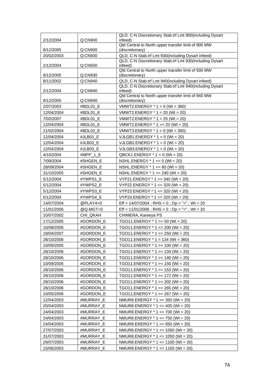|                         |                      | QLD, C-N Discretionary Stab.trf Lmt 900(including Dysart                 |
|-------------------------|----------------------|--------------------------------------------------------------------------|
| 2/12/2004               | Q:CN900              | infeed)<br>Qld Central to North upper transfer limit of 900 MW           |
| 8/12/2005               | Q:CN900              | (discretionary)                                                          |
| 20/02/2003              | Q:CN930              | QLD, C-N Stab.trf Lmt 930(including Dysart infeed)                       |
|                         |                      | QLD, C-N Discretionary Stab.trf Lmt 930(including Dysart                 |
| 2/12/2004               | Q:CN930              | infeed)                                                                  |
| 8/12/2005               | Q:CN930              | Qld Central to North upper transfer limit of 930 MW<br>(discretionary)   |
| 8/11/2002               | Q:CN940              | QLD, C-N Stab.trf Lmt 940(including Dysart infeed)                       |
|                         |                      | QLD, C-N Discretionary Stab.trf Lmt 940(including Dysart                 |
| 2/12/2004               | Q:CN940              | infeed)                                                                  |
|                         |                      | Qld Central to North upper transfer limit of 940 MW                      |
| 8/12/2005               | Q:CN940              | (discretionary)                                                          |
| 2/07/2003               | #BDL01 E             | VMWT2.ENERGY * 1 = 0 (Wt = 360)                                          |
| 12/04/2004              | #BDL01_E             | VMWT2.ENERGY $*$ 1 = 20 (Wt = 20)                                        |
| 7/02/2007               | #BDL01 E<br>#BDL01 E | VMWT2.ENERGY $*$ 1 = 25 (Wt = 20)                                        |
| 12/04/2004              |                      | VMWT2.ENERGY * 1 > = 20 (Wt = 20)                                        |
| 21/02/2004              | #BDL02 E             | VMWT3.ENERGY $*$ 1 = 0 (Wt = 360)                                        |
| 12/04/2004              | #JLB01_E             | VJLGB1.ENERGY $*$ 1 = 0 (Wt = 20)                                        |
| 12/04/2004              | #JLB02 E             | VJLGB2.ENERGY $*$ 1 = 0 (Wt = 20)                                        |
| 12/04/2004              | #JLB03 E             | VJLGB3.ENERGY $*$ 1 = 0 (Wt = 20)                                        |
| 4/10/2004<br>7/09/2004  | #MPP $1 E$           | QBCK1.ENERGY $*$ 1 = 0 (Wt = 20)<br>NSHL.ENERGY $* 1 \le 0$ (Wt = 20)    |
|                         | #SHGEN_E             |                                                                          |
| 28/09/2004              | #SHGEN_E             | NSHL.ENERGY * 1 <= 80 (Wt = 20)                                          |
| 31/10/2005<br>5/12/2004 | #SHGEN E             | NSHL.ENERGY $*$ 1 > = 240 (Wt = 20)<br>VYP21.ENERGY * 1 <= 340 (Wt = 20) |
| 5/12/2004               | #YWPS1 E<br>#YWPS2_E | VYP22.ENERGY $*$ 1 <= 320 (Wt = 20)                                      |
| 5/12/2004               | #YWPS3_E             | VYP23.ENERGY * 1 <= 320 (Wt = 20)                                        |
| 5/12/2004               | #YWPS4_E             | VYP24.ENERGY * 1 <= 320 (Wt = 20)                                        |
| 14/07/2004              | @PLAY4=0             | Eff = $14/07/2004$ ; RHS = 0; Op = "="; Wt = 20                          |
| 11/01/2006              | @Q-MGT=0             | Eff = $11/01/2006$ ; RHS = 0; Op = "="; Wt = 20                          |
| 10/07/2002              | CHI_QKAH             | CHIMERA, Kareeya PS                                                      |
| 17/12/2005              | #GORDON_E            | TGO11.ENERGY $*$ 1 >= 50 (Wt = 20)                                       |
| 10/08/2005              | #GORDON_E            | TGO11.ENERGY $*$ 1 <= 200 (Wt = 20)                                      |
| 18/04/2007              | #GORDON E            | TGO11.ENERGY * 1 <= 250 (Wt = 20)                                        |
| 28/10/2006              | #GORDON_E            | TGO11.ENERGY * 1 = 134 (Wt = 360)                                        |
| 10/09/2005              | #GORDON_E            | TGO11.ENERGY $*$ 1 >= 100 (Wt = 20)                                      |
| 28/10/2006              | #GORDON_E            | TGO11.ENERGY $*$ 1 >= 134 (Wt = 20)                                      |
| 28/10/2006              | #GORDON_E            | TGO11.ENERGY $*$ 1 >= 140 (Wt = 20)                                      |
| 10/09/2005              | #GORDON_E            | TGO11.ENERGY $*$ 1 >= 150 (Wt = 20)                                      |
| 28/10/2006              | #GORDON_E            | TGO11.ENERGY * 1 >= 153 (Wt = 20)                                        |
| 28/10/2006              | #GORDON_E            | TGO11.ENERGY * 1 >= 172 (Wt = 20)                                        |
| 28/10/2006              | #GORDON_E            | TGO11.ENERGY $*$ 1 >= 202 (Wt = 20)                                      |
| 28/10/2006              | #GORDON_E            | TGO11.ENERGY $*$ 1 >= 265 (Wt = 20)                                      |
| 10/05/2006              | #GORDON_E            | TGO11.ENERGY $*$ 1 >= 267 (Wt = 20)                                      |
| 12/04/2003              | #MURRAY_E            | NMUR8.ENERGY * 1 <= 350 (Wt = 20)                                        |
| 20/04/2003              | #MURRAY_E            | NMUR8.ENERGY $*$ 1 <= 400 (Wt = 20)                                      |
| 24/04/2003              | #MURRAY_E            | NMUR8.ENERGY * 1 <= 700 (Wt = 20)                                        |
| 24/04/2003              | #MURRAY_E            | NMUR8.ENERGY * 1 <= 750 (Wt = 20)                                        |
| 24/04/2003              | #MURRAY_E            | NMUR8.ENERGY $*$ 1 <= 850 (Wt = 20)                                      |
| 27/07/2003              | #MURRAY_E            | NMUR8.ENERGY $*$ 1 <= 1000 (Wt = 20)                                     |
| 31/07/2003              | #MURRAY_E            | NMUR8.ENERGY * 1 <= 1050 (Wt = 20)                                       |
| 29/07/2003              | #MURRAY_E            | NMUR8.ENERGY $*$ 1 <= 1100 (Wt = 20)                                     |
| 15/06/2003              | #MURRAY_E            | NMUR8.ENERGY * 1 <= 1150 (Wt = 20)                                       |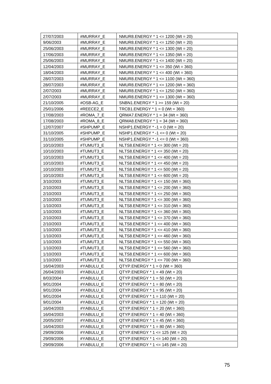| 27/07/2003 | #MURRAY_E | NMUR8.ENERGY $*$ 1 <= 1200 (Wt = 20)  |
|------------|-----------|---------------------------------------|
| 9/06/2003  | #MURRAY_E | NMUR8.ENERGY * 1 <= 1250 (Wt = 20)    |
| 25/06/2003 | #MURRAY_E | NMUR8.ENERGY $*$ 1 <= 1300 (Wt = 20)  |
| 17/06/2003 | #MURRAY_E | NMUR8.ENERGY $*$ 1 <= 1350 (Wt = 20)  |
| 25/06/2003 | #MURRAY_E | NMUR8.ENERGY $*$ 1 <= 1400 (Wt = 20)  |
| 12/04/2003 | #MURRAY_E | NMUR8.ENERGY $*$ 1 <= 350 (Wt = 360)  |
| 18/04/2003 | #MURRAY_E | NMUR8.ENERGY $*$ 1 <= 400 (Wt = 360)  |
| 28/07/2003 | #MURRAY_E | NMUR8.ENERGY * 1 <= 1100 (Wt = 360)   |
| 28/07/2003 | #MURRAY_E | NMUR8.ENERGY $*$ 1 <= 1200 (Wt = 360) |
| 2/07/2003  | #MURRAY_E | NMUR8.ENERGY $*$ 1 <= 1250 (Wt = 360) |
| 2/07/2003  | #MURRAY E | NMUR8.ENERGY $*$ 1 <= 1300 (Wt = 360) |
| 21/10/2005 | #OSB-AG_E | SNBN1.ENERGY $*$ 1 >= 159 (Wt = 20)   |
| 25/01/2006 | #REECE2_E | TRCB1.ENERGY $*$ 1 = 0 (Wt = 360)     |
| 17/08/2003 | #ROMA 7 E | $QRMA7. ENERGY * 1 = 34 (Wt = 360)$   |
| 17/08/2003 | #ROMA_8_E | $QRMA8.ENERGY * 1 = 34 (Wt = 360)$    |
| 12/07/2007 | #SHPUMP_E | NSHP1.ENERGY $* -1 = 0$ (Wt = 20)     |
| 31/10/2005 | #SHPUMP E | NSHP1.ENERGY * -1 <= 0 (Wt = 20)      |
| 31/10/2005 | #SHPUMP_E | NSHP1.ENERGY $* -1 \le 0$ (Wt = 360)  |
| 10/10/2003 | #TUMUT3_E | NLTS8.ENERGY $*$ 1 <= 300 (Wt = 20)   |
| 10/10/2003 | #TUMUT3 E | NLTS8.ENERGY $*$ 1 <= 350 (Wt = 20)   |
| 10/10/2003 | #TUMUT3_E | NLTS8.ENERGY $*$ 1 <= 400 (Wt = 20)   |
| 10/10/2003 | #TUMUT3_E | NLTS8.ENERGY * 1 <= 450 (Wt = 20)     |
| 10/10/2003 | #TUMUT3_E | NLTS8.ENERGY $*$ 1 <= 500 (Wt = 20)   |
| 10/10/2003 | #TUMUT3_E | NLTS8.ENERGY $*$ 1 <= 600 (Wt = 20)   |
| 3/10/2003  | #TUMUT3_E | NLTS8.ENERGY $*$ 1 <= 150 (Wt = 360)  |
| 2/10/2003  | #TUMUT3_E | NLTS8.ENERGY * 1 <= 200 (Wt = 360)    |
| 2/10/2003  | #TUMUT3_E | NLTS8.ENERGY * 1 <= 250 (Wt = 360)    |
| 2/10/2003  | #TUMUT3_E | NLTS8.ENERGY $*$ 1 <= 300 (Wt = 360)  |
| 1/10/2003  | #TUMUT3 E | NLTS8.ENERGY $*$ 1 <= 310 (Wt = 360)  |
| 1/10/2003  | #TUMUT3_E | NLTS8.ENERGY * 1 <= 360 (Wt = 360)    |
| 2/10/2003  | #TUMUT3_E | NLTS8.ENERGY $*$ 1 <= 370 (Wt = 360)  |
| 2/10/2003  | #TUMUT3_E | NLTS8.ENERGY $*$ 1 <= 400 (Wt = 360)  |
| 1/10/2003  | #TUMUT3 E | NLTS8.ENERGY $*$ 1 <= 410 (Wt = 360)  |
| 1/10/2003  | #TUMUT3_E | NLTS8.ENERGY $*$ 1 <= 460 (Wt = 360)  |
| 1/10/2003  | #TUMUT3 E | NLTS8.ENERGY $*$ 1 <= 550 (Wt = 360)  |
| 1/10/2003  | #TUMUT3_E | NLTS8.ENERGY $*$ 1 <= 560 (Wt = 360)  |
| 1/10/2003  | #TUMUT3_E | NLTS8.ENERGY $*$ 1 <= 600 (Wt = 360)  |
| 1/10/2003  | #TUMUT3_E | NLTS8.ENERGY * 1 <= 700 (Wt = 360)    |
| 16/04/2003 | #YABULU_E | $QTYP. ENERGY * 1 = 0 (Wt = 360)$     |
| 26/04/2003 | #YABULU_E | $QTYP.ENERGY * 1 = 49 (Wt = 20)$      |
| 8/03/2004  | #YABULU E | $QTYP.ENERGY * 1 = 50 (Wt = 20)$      |
| 9/01/2004  | #YABULU_E | $QTYP.ENERGY * 1 = 80 (Wt = 20)$      |
| 9/01/2004  | #YABULU_E | $QTYP. ENERGY * 1 = 95 (Wt = 20)$     |
| 9/01/2004  | #YABULU_E | $QTYP. ENERGY * 1 = 110 (Wt = 20)$    |
| 9/01/2004  | #YABULU_E | $QTYP.ENERGY * 1 = 120 (Wt = 20)$     |
| 16/04/2003 | #YABULU_E | $QTYP. ENERGY * 1 = 20 (Wt = 360)$    |
| 16/04/2003 | #YABULU_E | $QTYP. ENERGY * 1 = 40 (Wt = 360)$    |
| 20/05/2007 | #YABULU_E | $QTYP. ENERGY * 1 = 45 (Wt = 360)$    |
| 16/04/2003 | #YABULU_E | $QTYP. ENERGY * 1 = 80 (Wt = 360)$    |
| 29/09/2006 | #YABULU_E | QTYP.ENERGY $*$ 1 <= 125 (Wt = 20)    |
| 29/09/2006 | #YABULU_E | QTYP.ENERGY $*$ 1 <= 140 (Wt = 20)    |
| 29/09/2006 | #YABULU_E | $QTYP. ENERGY * 1 \le 145 (Wt = 20)$  |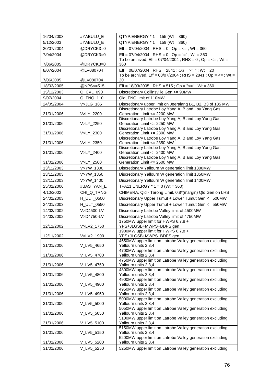| 16/04/2003 | #YABULU_E                       | $QTYP. ENERGY * 1 = 155 (Wt = 360)$                                                                                 |
|------------|---------------------------------|---------------------------------------------------------------------------------------------------------------------|
| 5/12/2003  | #YABULU_E                       | $QTYP.ENERGY * 1 = 159 (Wt = 360)$                                                                                  |
| 20/07/2004 | @DRYCK3=0                       | Eff = $07/04/2004$ ; RHS = 0; Op = <= ; Wt = 360                                                                    |
| 7/04/2004  | @DRYCK3=0                       | Eff = $07/04/2004$ ; RHS = 0; Op = "="; Wt = 360                                                                    |
|            |                                 | To be archived, Eff = $07/04/2004$ ; RHS = 0; Op = <=; Wt =                                                         |
| 7/06/2005  | @DRYCK3=0                       | 360                                                                                                                 |
| 8/07/2004  | @LV080704                       | Eff = $08/07/2004$ ; RHS = $2841$ ; Op = "<="; Wt = 20                                                              |
| 7/06/2005  | @LV080704                       | To be archived, Eff = $08/07/2004$ ; RHS = $2841$ ; Op = <=; Wt =<br>20                                             |
| 18/03/2005 | @NPS<=515                       |                                                                                                                     |
|            |                                 | Eff = $18/03/2005$ ; RHS = $515$ ; Op = "<="; Wt = 360                                                              |
| 15/12/2003 | Q_CVL_090                       | Discretionary Collinsville Gen >= 90MW                                                                              |
| 9/07/2004  | Q_FNQ_110                       | Qld, FNQ limit of 110MW                                                                                             |
| 24/05/2004 | V>JLG_185                       | Discretionary upper limit on Jeeralang B1, B2, B3 of 185 MW<br>Discretionary Latrobe Loy Yang A, B and Loy Yang Gas |
| 31/01/2006 | V>LY_2200                       | Generation Limit <= 2200 MW                                                                                         |
|            |                                 | Discretionary Latrobe Loy Yang A, B and Loy Yang Gas                                                                |
| 31/01/2006 | V>LY_2250                       | Generation Limit <= 2250 MW                                                                                         |
|            |                                 | Discretionary Latrobe Loy Yang A, B and Loy Yang Gas<br>Generation Limit <= 2300 MW                                 |
| 31/01/2006 | V>LY_2300                       | Discretionary Latrobe Loy Yang A, B and Loy Yang Gas                                                                |
| 31/01/2006 | V>LY_2350                       | Generation Limit <= 2350 MW                                                                                         |
|            |                                 | Discretionary Latrobe Loy Yang A, B and Loy Yang Gas                                                                |
| 31/01/2006 | V>LY_2400                       | Generation Limit <= 2400 MW                                                                                         |
| 31/01/2006 | V>LY_2500                       | Discretionary Latrobe Loy Yang A, B and Loy Yang Gas<br>Generation Limit <= 2500 MW                                 |
| 13/11/2003 | V>YW_1300                       | Discretionary Yallourn W generation limit 1300MW                                                                    |
| 13/11/2003 | V>YW_1350                       | Discretionary Yallourn W generation limit 1350MW                                                                    |
| 13/11/2003 | V>YW_1400                       | Discretionary Yallourn W generation limit 1400MW                                                                    |
| 25/01/2006 |                                 |                                                                                                                     |
|            | #BASTYAN_E                      | TFA11.ENERGY $*$ 1 = 0 (Wt = 360)                                                                                   |
| 4/10/2002  | CHI_Q_TRNG<br><b>H_ULT_0500</b> | CHIMERA, Qld - Tarong Limit, 0.8*(margin) Qld Gen on LHS                                                            |
| 24/01/2003 |                                 | Discretionary Upper Tumut + Lower Tumut Gen <= 500MW                                                                |
| 24/01/2003 | <b>H_ULT_0550</b>               | Discretionary Upper Tumut + Lower Tumut Gen <= 550MW                                                                |
| 14/03/2002 | V>D4500-LV                      | Discretionary Latrobe Valley limit of 4500MW<br>Discretionary Latrobe Valley limit of 4750MW                        |
| 14/03/2002 | V>D4750-LV                      | 1750MW upper limit for HWPS 6,7,8 +                                                                                 |
| 12/11/2002 | V>LV2_1750                      | YPS+JLGSB+MWPS+BDPS gen                                                                                             |
|            |                                 | 1900MW upper limit for HWPS 6,7,8 +                                                                                 |
| 12/11/2002 | V>LV2 1900                      | YPS+JLGSB+MWPS+BDPS gen                                                                                             |
| 31/01/2006 | V_LV5_4650                      | 4650MW upper limit on Latrobe Valley generation excluding<br>Yallourn units 2,3,4                                   |
|            |                                 | 4700MW upper limit on Latrobe Valley generation excluding                                                           |
| 31/01/2006 | V_LV5_4700                      | Yallourn units 2,3,4                                                                                                |
|            |                                 | 4750MW upper limit on Latrobe Valley generation excluding                                                           |
| 31/01/2006 | V_LV5_4750                      | Yallourn units 2,3,4<br>4800MW upper limit on Latrobe Valley generation excluding                                   |
| 31/01/2006 | V_LV5_4800                      | Yallourn units 2,3,4                                                                                                |
|            |                                 | 4900MW upper limit on Latrobe Valley generation excluding                                                           |
| 31/01/2006 | V_LV5_4900                      | Yallourn units 2,3,4                                                                                                |
|            | V_LV5_4950                      | 4950MW upper limit on Latrobe Valley generation excluding<br>Yallourn units 2,3,4                                   |
| 31/01/2006 |                                 | 5000MW upper limit on Latrobe Valley generation excluding                                                           |
| 31/01/2006 | V_LV5_5000                      | Yallourn units 2,3,4                                                                                                |
|            |                                 | 5050MW upper limit on Latrobe Valley generation excluding                                                           |
| 31/01/2006 | V_LV5_5050                      | Yallourn units 2,3,4                                                                                                |
| 31/01/2006 | V_LV5_5100                      | 5100MW upper limit on Latrobe Valley generation excluding<br>Yallourn units 2,3,4                                   |
|            |                                 | 5150MW upper limit on Latrobe Valley generation excluding                                                           |
| 31/01/2006 | V_LV5_5150                      | Yallourn units 2,3,4                                                                                                |
|            |                                 | 5200MW upper limit on Latrobe Valley generation excluding                                                           |
| 31/01/2006 | V_LV5_5200                      | Yallourn units 2,3,4                                                                                                |
| 31/01/2006 | V_LV5_5250                      | 5250MW upper limit on Latrobe Valley generation excluding                                                           |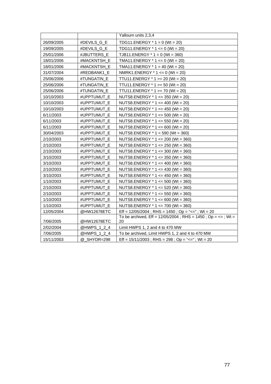|            |             | Yallourn units 2,3,4                                                     |
|------------|-------------|--------------------------------------------------------------------------|
| 26/09/2005 | #DEVILS G E | TDG11.ENERGY $*$ 1 = 0 (Wt = 20)                                         |
| 19/09/2005 | #DEVILS_G_E | TDG11.ENERGY $*$ 1 <= 0 (Wt = 20)                                        |
| 25/01/2006 | #JBUTTERS_E | TJB11.ENERGY $*$ 1 = 0 (Wt = 360)                                        |
| 18/01/2006 | #MACKNTSH_E | TMA11.ENERGY $*$ 1 <= 0 (Wt = 20)                                        |
| 18/01/2006 | #MACKNTSH E | TMA11.ENERGY $*$ 1 = 40 (Wt = 20)                                        |
| 31/07/2004 | #REDBANK1 E | NMRK1.ENERGY $*$ 1 <= 0 (Wt = 20)                                        |
| 25/06/2006 | #TUNGATIN_E | TTU11.ENERGY * 1 >= 20 (Wt = 20)                                         |
| 25/06/2006 | #TUNGATIN_E | TTU11.ENERGY $*$ 1 >= 50 (Wt = 20)                                       |
| 25/06/2006 | #TUNGATIN_E | TTU11.ENERGY * 1 >= 70 (Wt = 20)                                         |
| 10/10/2003 | #UPPTUMUT E | NUTS8.ENERGY $*$ 1 <= 350 (Wt = 20)                                      |
| 10/10/2003 | #UPPTUMUT E | NUTS8.ENERGY $*$ 1 <= 400 (Wt = 20)                                      |
| 10/10/2003 | #UPPTUMUT E | NUTS8.ENERGY $*$ 1 <= 450 (Wt = 20)                                      |
| 6/11/2003  | #UPPTUMUT_E | NUTS8.ENERGY * 1 <= 500 (Wt = 20)                                        |
| 6/11/2003  | #UPPTUMUT_E | NUTS8.ENERGY $*$ 1 <= 550 (Wt = 20)                                      |
| 6/11/2003  | #UPPTUMUT E | NUTS8.ENERGY $*$ 1 <= 600 (Wt = 20)                                      |
| 30/04/2003 | #UPPTUMUT_E | NUTS8.ENERGY $*$ 1 = 590 (Wt = 360)                                      |
| 2/10/2003  | #UPPTUMUT E | NUTS8.ENERGY $*$ 1 <= 200 (Wt = 360)                                     |
| 2/10/2003  | #UPPTUMUT_E | NUTS8.ENERGY * 1 <= 250 (Wt = 360)                                       |
| 2/10/2003  | #UPPTUMUT_E | NUTS8.ENERGY * 1 <= 300 (Wt = 360)                                       |
| 3/10/2003  | #UPPTUMUT E | NUTS8.ENERGY * 1 <= 350 (Wt = 360)                                       |
| 3/10/2003  | #UPPTUMUT E | NUTS8.ENERGY $*$ 1 <= 400 (Wt = 360)                                     |
| 2/10/2003  | #UPPTUMUT_E | NUTS8.ENERGY $*$ 1 <= 430 (Wt = 360)                                     |
| 3/10/2003  | #UPPTUMUT E | NUTS8.ENERGY * 1 <= 450 (Wt = 360)                                       |
| 1/10/2003  | #UPPTUMUT_E | NUTS8.ENERGY * 1 <= 500 (Wt = 360)                                       |
| 2/10/2003  | #UPPTUMUT E | NUTS8.ENERGY * 1 <= 520 (Wt = 360)                                       |
| 2/10/2003  | #UPPTUMUT E | NUTS8.ENERGY * 1 <= 550 (Wt = 360)                                       |
| 1/10/2003  | #UPPTUMUT_E | NUTS8.ENERGY * 1 <= 600 (Wt = 360)                                       |
| 1/10/2003  | #UPPTUMUT_E | NUTS8.ENERGY * 1 <= 700 (Wt = 360)                                       |
| 12/05/2004 | @HW12678ETC | Eff = $12/05/2004$ ; RHS = $1450$ ; Op = "<="; Wt = 20                   |
|            |             | To be archived, Eff = $12/05/2004$ ; RHS = $1450$ ; Op = $\leq$ = ; Wt = |
| 7/06/2005  | @HW12678ETC | 20                                                                       |
| 2/02/2004  | @HWPS_1_2_4 | Limit HWPS 1, 2 and 4 to 470 MW                                          |
| 7/06/2005  | @HWPS_1_2_4 | To be archived, Limit HWPS 1, 2 and 4 to 470 MW                          |
| 15/11/2003 | @ SHYDR=298 | Eff = $15/11/2003$ ; RHS = $298$ ; Op = "<="; Wt = $20$                  |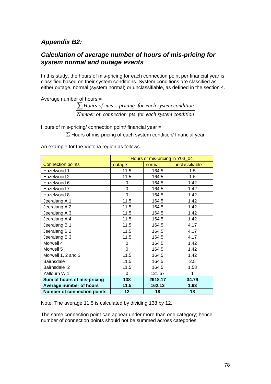#### *Appendix B2:*

#### *Calculation of average number of hours of mis-pricing for system normal and outage events*

In this study, the hours of mis-pricing for each connection point per financial year is classified based on their system conditions. System conditions are classified as either outage, normal (system normal) or unclassifiable, as defined in the section 4.

Average number of hours = *Number of connection pts for each system condition* ∑ *Hours* of mis – pricing for each system condition

Hours of mis-pricing/ connection point/ financial year =

 $\Sigma$  Hours of mis-pricing of each system condition/ financial year

An example for the Victoria region as follows.

|                                    | Hours of mis-pricing in Y03_04 |         |                |  |
|------------------------------------|--------------------------------|---------|----------------|--|
| <b>Connection points</b>           | outage                         | normal  | unclassifiable |  |
| Hazelwood 1                        | 11.5                           | 164.5   | 1.5            |  |
| Hazelwood 2                        | 11.5                           | 164.5   | 1.5            |  |
| Hazelwood 6                        | 0                              | 164.5   | 1.42           |  |
| Hazelwood 7                        | 0                              | 164.5   | 1.42           |  |
| Hazelwood 8                        | 0                              | 164.5   | 1.42           |  |
| Jeeralang A 1                      | 11.5                           | 164.5   | 1.42           |  |
| Jeeralang A 2                      | 11.5                           | 164.5   | 1.42           |  |
| Jeeralang A 3                      | 11.5                           | 164.5   | 1.42           |  |
| Jeeralang A 4                      | 11.5                           | 164.5   | 1.42           |  |
| Jeeralang B 1                      | 11.5                           | 164.5   | 4.17           |  |
| Jeeralang B 2                      | 11.5                           | 164.5   | 4.17           |  |
| Jeeralang B 3                      | 11.5                           | 164.5   | 4.17           |  |
| Morwell 4                          | 0                              | 164.5   | 1.42           |  |
| Morwell 5                          | 0                              | 164.5   | 1.42           |  |
| Morwell 1, 2 and 3                 | 11.5                           | 164.5   | 1.42           |  |
| <b>Bairnsdale</b>                  | 11.5                           | 164.5   | 2.5            |  |
| Bairnsdale 2                       | 11.5                           | 164.5   | 1.58           |  |
| Yallourn W 1                       | $\Omega$                       | 121.67  |                |  |
| Sum of hours of mis-pricing        | 138                            | 2918.17 | 34.79          |  |
| Average number of hours            | 11.5                           | 162.12  | 1.93           |  |
| <b>Number of connection points</b> | 12                             | 18      | 18             |  |

Note: The average 11.5 is calculated by dividing 138 by 12.

The same connection point can appear under more than one category; hence number of connection points should not be summed across categories.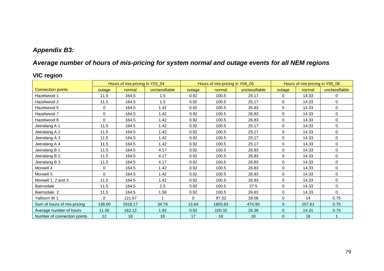## *Appendix B3:*

## *Average number of hours of mis-pricing for system normal and outage events for all NEM regions*

## **VIC region**

|                             |             | Hours of mis-pricing in Y03_04 |                | Hours of mis-pricing in Y04_05 |         |                | Hours of mis-pricing in Y05_06 |        |                |
|-----------------------------|-------------|--------------------------------|----------------|--------------------------------|---------|----------------|--------------------------------|--------|----------------|
| <b>Connection points</b>    | outage      | normal                         | unclassifiable | outage                         | normal  | unclassifiable | outage                         | normal | unclassifiable |
| Hazelwood 1                 | 11.5        | 164.5                          | 1.5            | 0.92                           | 100.5   | 25.17          | $\Omega$                       | 14.33  | $\Omega$       |
| Hazelwood 2                 | 11.5        | 164.5                          | 1.5            | 0.92                           | 100.5   | 25.17          | 0                              | 14.33  | $\Omega$       |
| Hazelwood 6                 | $\mathbf 0$ | 164.5                          | 1.42           | 0.92                           | 100.5   | 26.83          | 0                              | 14.33  | $\Omega$       |
| Hazelwood 7                 | $\mathbf 0$ | 164.5                          | 1.42           | 0.92                           | 100.5   | 26.83          | $\mathbf 0$                    | 14.33  | $\mathbf 0$    |
| Hazelwood 8                 | $\Omega$    | 164.5                          | 1.42           | 0.92                           | 100.5   | 26.83          | 0                              | 14.33  | $\mathbf{0}$   |
| Jeeralang A 1               | 11.5        | 164.5                          | 1.42           | 0.92                           | 100.5   | 25.17          | 0                              | 14.33  | $\mathbf{0}$   |
| Jeeralang A 2               | 11.5        | 164.5                          | 1.42           | 0.92                           | 100.5   | 25.17          | 0                              | 14.33  | 0              |
| Jeeralang A 3               | 11.5        | 164.5                          | 1.42           | 0.92                           | 100.5   | 25.17          | 0                              | 14.33  | $\Omega$       |
| Jeeralang A 4               | 11.5        | 164.5                          | 1.42           | 0.92                           | 100.5   | 25.17          | 0                              | 14.33  | $\mathbf{0}$   |
| Jeeralang B 1               | 11.5        | 164.5                          | 4.17           | 0.92                           | 100.5   | 26.83          | $\mathbf 0$                    | 14.33  | $\mathbf{0}$   |
| Jeeralang B 2               | 11.5        | 164.5                          | 4.17           | 0.92                           | 100.5   | 26.83          | 0                              | 14.33  | $\Omega$       |
| Jeeralang B 3               | 11.5        | 164.5                          | 4.17           | 0.92                           | 100.5   | 26.83          | $\mathbf 0$                    | 14.33  | $\mathbf{0}$   |
| Morwell 4                   | 0           | 164.5                          | 1.42           | 0.92                           | 100.5   | 26.83          | 0                              | 14.33  | 0              |
| Morwell 5                   | $\Omega$    | 164.5                          | 1.42           | 0.92                           | 100.5   | 26.83          | 0                              | 14.33  | $\mathbf{0}$   |
| Morwell 1, 2 and 3          | 11.5        | 164.5                          | 1.42           | 0.92                           | 100.5   | 26.83          | 0                              | 14.33  | $\Omega$       |
| Bairnsdale                  | 11.5        | 164.5                          | 2.5            | 0.92                           | 100.5   | 27.5           | 0                              | 14.33  | $\Omega$       |
| Bairnsdale 2                | 11.5        | 164.5                          | 1.58           | 0.92                           | 100.5   | 26.83          | 0                              | 14.33  | $\Omega$       |
| Yallourn W 1                | $\Omega$    | 121.67                         |                | $\Omega$                       | 97.33   | 28.08          | 0                              | 14     | 0.75           |
| Sum of hours of mis-pricing | 138.00      | 2918.17                        | 34.79          | 15.64                          | 1805.83 | 474.90         | $\overline{0}$                 | 257.61 | 0.75           |
| Average number of hours     | 11.50       | 162.12                         | 1.93           | 0.92                           | 100.32  | 26.38          | $\mathbf{0}$                   | 14.31  | 0.75           |
| Number of connection points | 12          | 18                             | 18             | 17                             | 18      | 18             | 0                              | 18     |                |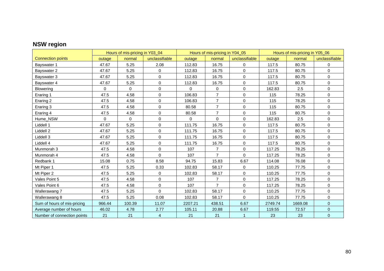## **NSW region**

|                             |          | Hours of mis-pricing in Y03_04 |                | Hours of mis-pricing in Y04_05 |                |                | Hours of mis-pricing in Y05_06 |         |                |
|-----------------------------|----------|--------------------------------|----------------|--------------------------------|----------------|----------------|--------------------------------|---------|----------------|
| <b>Connection points</b>    | outage   | normal                         | unclassifiable | outage                         | normal         | unclassifiable | outage                         | normal  | unclassifiable |
| Bayswater 1                 | 47.67    | 5.25                           | 2.08           | 112.83                         | 16.75          | 0              | 117.5                          | 80.75   | $\mathbf 0$    |
| Bayswater 2                 | 47.67    | 5.25                           | $\mathbf 0$    | 112.83                         | 16.75          | 0              | 117.5                          | 80.75   | $\mathbf 0$    |
| Bayswater 3                 | 47.67    | 5.25                           | $\pmb{0}$      | 112.83                         | 16.75          | 0              | 117.5                          | 80.75   | $\mathsf 0$    |
| Bayswater 4                 | 47.67    | 5.25                           | $\mathbf 0$    | 112.83                         | 16.75          | 0              | 117.5                          | 80.75   | $\mathbf 0$    |
| Blowering                   | 0        | $\mathbf{0}$                   | $\mathbf 0$    | $\Omega$                       | $\mathbf 0$    | 0              | 162.83                         | 2.5     | $\mathbf 0$    |
| Eraring 1                   | 47.5     | 4.58                           | 0              | 106.83                         | $\overline{7}$ | 0              | 115                            | 78.25   | 0              |
| Eraring 2                   | 47.5     | 4.58                           | $\mathbf 0$    | 106.83                         | $\overline{7}$ | 0              | 115                            | 78.25   | $\mathbf 0$    |
| Eraring 3                   | 47.5     | 4.58                           | $\mathbf 0$    | 80.58                          | $\overline{7}$ | 0              | 115                            | 80.75   | $\mathbf 0$    |
| Eraring 4                   | 47.5     | 4.58                           | 0              | 80.58                          | $\overline{7}$ | 0              | 115                            | 80.75   | $\mathsf 0$    |
| Hume_NSW                    | $\Omega$ | $\mathbf 0$                    | $\mathbf 0$    | 0                              | $\Omega$       | $\mathbf 0$    | 162.83                         | 2.5     | $\mathbf 0$    |
| Liddell 1                   | 47.67    | 5.25                           | $\mathbf 0$    | 111.75                         | 16.75          | 0              | 117.5                          | 80.75   | $\mathbf 0$    |
| Liddell 2                   | 47.67    | 5.25                           | $\mathbf 0$    | 111.75                         | 16.75          | 0              | 117.5                          | 80.75   | $\mathbf 0$    |
| Liddell 3                   | 47.67    | 5.25                           | $\mathbf 0$    | 111.75                         | 16.75          | 0              | 117.5                          | 80.75   | $\mathbf 0$    |
| Liddell 4                   | 47.67    | 5.25                           | $\mathbf 0$    | 111.75                         | 16.75          | 0              | 117.5                          | 80.75   | $\mathbf 0$    |
| Munmorah 3                  | 47.5     | 4.58                           | $\mathbf 0$    | 107                            | $\overline{7}$ | 0              | 117.25                         | 78.25   | $\mathbf 0$    |
| Munmorah 4                  | 47.5     | 4.58                           | $\Omega$       | 107                            | $\overline{7}$ | $\Omega$       | 117.25                         | 78.25   | $\mathbf 0$    |
| Redbank 1                   | 15.08    | 0.75                           | 8.58           | 94.75                          | 15.83          | 6.67           | 114.08                         | 76.08   | $\mathbf 0$    |
| Mt Piper 1                  | 47.5     | 5.25                           | 0.33           | 102.83                         | 58.17          | 0              | 110.25                         | 77.75   | $\mathsf 0$    |
| Mt Piper 2                  | 47.5     | 5.25                           | $\mathbf 0$    | 102.83                         | 58.17          | 0              | 110.25                         | 77.75   | 0              |
| Vales Point 5               | 47.5     | 4.58                           | $\Omega$       | 107                            | 7              | 0              | 117.25                         | 78.25   | $\mathbf 0$    |
| Vales Point 6               | 47.5     | 4.58                           | $\mathbf 0$    | 107                            | $\overline{7}$ | 0              | 117.25                         | 78.25   | $\mathbf 0$    |
| Wallerawang 7               | 47.5     | 5.25                           | $\Omega$       | 102.83                         | 58.17          | 0              | 110.25                         | 77.75   | $\mathbf 0$    |
| Wallerawang 8               | 47.5     | 5.25                           | 0.08           | 102.83                         | 58.17          | $\Omega$       | 110.25                         | 77.75   | $\mathbf 0$    |
| Sum of hours of mis-pricing | 966.44   | 100.39                         | 11.07          | 2207.21                        | 438.51         | 6.67           | 2749.74                        | 1669.08 | $\mathbf{0}$   |
| Average number of hours     | 46.02    | 4.78                           | 2.77           | 105.11                         | 20.88          | 6.67           | 119.55                         | 72.57   | $\mathbf{0}$   |
| Number of connection points | 21       | 21                             | $\overline{4}$ | 21                             | 21             | 1              | 23                             | 23      | $\mathbf{0}$   |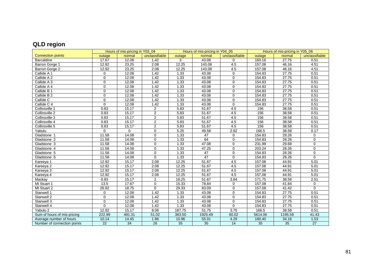# **QLD region**

|                             |             | Hours of mis-pricing in Y03 04 |                |        | Hours of mis-pricing in Y04_05 |                |         | Hours of mis-pricing in Y05_06 |                |
|-----------------------------|-------------|--------------------------------|----------------|--------|--------------------------------|----------------|---------|--------------------------------|----------------|
| <b>Connection points</b>    | outage      | normal                         | unclassifiable | outage | normal                         | unclassifiable | outage  | normal                         | unclassifiable |
| <b>Barcaldine</b>           | 17.67       | 12.08                          | 1.42           | 3      | 43.08                          | $\Omega$       | 160.16  | 27.75                          | 0.51           |
| Barron Gorge 1              | 12.92       | 23.25                          | 2.08           | 12.25  | 143.08                         | 4.5            | 157.08  | 46.16                          | 4.51           |
| Barron Gorge 2              | 12.92       | 23.25                          | 2.08           | 12.25  | 143.08                         | 4.5            | 157.08  | 46.16                          | 4.51           |
| Callide A 1                 | 0           | 12.08                          | 1.42           | 1.33   | 43.08                          | $\mathbf 0$    | 154.83  | 27.75                          | 0.51           |
| Callide A 2                 | $\Omega$    | 12.08                          | 1.42           | 1.33   | 43.08                          | $\Omega$       | 154.83  | 27.75                          | 0.51           |
| Callide A 3                 | 0           | 12.08                          | 1.42           | 1.33   | 43.08                          | $\Omega$       | 154.83  | 27.75                          | 0.51           |
| Callide A 4                 | $\Omega$    | 12.08                          | 1.42           | 1.33   | 43.08                          | $\Omega$       | 154.83  | 27.75                          | 0.51           |
| Callide B 1                 | $\Omega$    | 12.08                          | 1.42           | 1.33   | 43.08                          | $\Omega$       | 154.83  | 27.75                          | 0.51           |
| Callide B 2                 | 0           | 12.08                          | 1.42           | 1.33   | 43.08                          | $\Omega$       | 154.83  | 27.75                          | 0.51           |
| Callide C                   | $\mathbf 0$ | 12.08                          | 1.42           | 1.33   | 43.08                          | $\Omega$       | 154.83  | 27.75                          | 0.51           |
| Callide C 4                 | $\Omega$    | 12.08                          | 1.42           | 1.33   | 43.08                          | $\Omega$       | 154.83  | 27.75                          | 0.51           |
| Collinsville 1              | 0.83        | 15.17                          | $\overline{2}$ | 5.83   | 51.67                          | 4.5            | 156     | 38.58                          | 0.51           |
| Collinsville 2              | 0.83        | 15.17                          | $\overline{2}$ | 5.83   | 51.67                          | 4.5            | 156     | 38.58                          | 0.51           |
| Collinsville 3              | 0.83        | 15.17                          | $\overline{2}$ | 5.83   | 51.67                          | 4.5            | 156     | 38.58                          | 0.51           |
| Collinsville 4              | 0.83        | 15.17                          | $\overline{2}$ | 5.83   | 51.67                          | 4.5            | 156     | 38.58                          | 0.51           |
| Collinsville 5              | 0.83        | 15.17                          | $\overline{2}$ | 5.83   | 51.67                          | 4.5            | 156     | 38.58                          | 0.51           |
| Yabulu                      | 0           | 0                              | $\Omega$       | 5.25   | 49.58                          | 2.92           | 166.5   | 38.58                          | 0.17           |
| Gladstone 1                 | 11.58       | 14.08                          | 0              | 1.33   | 47                             | 0              | 154.83  | 28.26                          | $\Omega$       |
| Gladstone 2                 | 11.58       | 14.08                          | 0              | 1.33   | 64                             | $\Omega$       | 154.83  | 28.26                          | $\Omega$       |
| Gladstone 3                 | 11.58       | 14.08                          | 0              | 1.33   | 47.08                          | $\Omega$       | 231.99  | 29.68                          | $\mathbf 0$    |
| Gladstone 4                 | 11.58       | 14.08                          | $\overline{0}$ | 1.33   | 47.25                          | $\Omega$       | 203.24  | 28.26                          | $\Omega$       |
| Gladstone 5                 | 11.58       | 14.08                          | $\Omega$       | 1.33   | 47                             | $\Omega$       | 154.83  | 28.26                          | $\Omega$       |
| Gladstone 6                 | 11.58       | 14.08                          | $\Omega$       | 1.33   | 47                             | $\Omega$       | 154.83  | 28.26                          | $\Omega$       |
| Kareeya 1                   | 12.92       | 15.17                          | 2.08           | 12.25  | 51.67                          | 4.5            | 157.08  | 44.91                          | 5.01           |
| Kareeya 2                   | 12.92       | 15.17                          | 2.08           | 12.25  | 51.67                          | 4.5            | 157.08  | 44.91                          | 5.01           |
| Kareeya 3                   | 12.92       | 15.17                          | 2.08           | 12.25  | 51.67                          | 4.5            | 157.08  | 44.91                          | 5.01           |
| Kareeya 4                   | 12.92       | 15.17                          | 2.08           | 12.25  | 51.67                          | 4.5            | 157.08  | 44.91                          | 5.01           |
| Mackay                      | 0.83        | 15.17                          | $\overline{2}$ | 16.25  | 51.67                          | 3.84           | 171.75  | 38.58                          | 2.51           |
| Mt Stuart 1                 | 13.5        | 17.67                          | $\Omega$       | 15.33  | 78.84                          | $\Omega$       | 157.08  | 41.84                          | $\mathbf 0$    |
| Mt Stuart 2                 | 26.92       | 18.75                          | $\Omega$       | 29.33  | 83.09                          | $\Omega$       | 157.08  | 41.42                          | $\Omega$       |
| Stanwell 1                  | 0           | 12.08                          | 1.42           | 1.33   | 43.08                          | $\Omega$       | 154.83  | 27.75                          | 0.51           |
| Stanwell 2                  | 0           | 12.08                          | 1.42           | 1.33   | 43.08                          | $\Omega$       | 154.83  | 27.75                          | 0.51           |
| Stanwell 3                  | 0           | 12.08                          | 1.42           | 1.33   | 43.08                          | $\Omega$       | 154.83  | 27.75                          | 0.51           |
| Stanwell 4                  | 0           | 12.08                          | 1.42           | 1.33   | 43.08                          | $\mathbf 0$    | 154.83  | 27.75                          | 0.51           |
| Yabulu 2                    | 12.92       | 15.17                          | 8.08           | 187.75 | 51.75                          | 3.76           | 166.5   | 38.58                          | 0.51           |
| Sum of hours of mis-pricing | 222.99      | 491.31                         | 51.02          | 383.50 | 1925.49                        | 60.02          | 5614.06 | 1195.59                        | 41.43          |
| Average number of hours     | 10.14       | 14.45                          | 1.96           | 10.96  | 55.01                          | 4.29           | 160.40  | 34.16                          | 1.53           |
| Number of connection points | 22          | 34                             | 26             | 35     | 35                             | 14             | 35      | 35                             | 27             |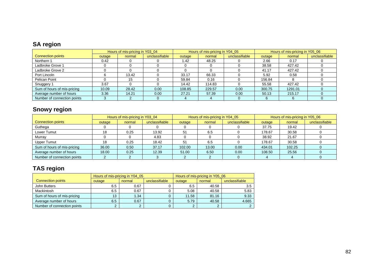## **SA region**

|                             | Hours of mis-pricing in Y03_04 |        |                | Hours of mis-pricing in Y04_05 |        |                | Hours of mis-pricing in Y05_06 |         |                |
|-----------------------------|--------------------------------|--------|----------------|--------------------------------|--------|----------------|--------------------------------|---------|----------------|
| <b>Connection points</b>    | outage                         | normal | unclassifiable | outage                         | normal | unclassifiable | outage                         | normal  | unclassifiable |
| Northern 1                  | 0.42                           |        |                | 1.42                           | 48.25  |                | 2.66                           | 0.17    |                |
| Ladbroke Grove 1            |                                |        |                |                                |        |                | 38.58                          | 427.42  |                |
| Ladbroke Grove 2            |                                |        |                |                                |        |                | 41.17                          | 427.42  |                |
| Port Lincoln                |                                | 13.42  |                | 33.17                          | 66.33  |                | 5.92                           | 0.58    |                |
| Pelican Point               |                                | 15     |                | 59.84                          | 0.16   |                | 156.84                         |         |                |
| Snuggery 1                  | 3.67                           |        |                | 14.42                          | 114.83 |                | 55.58                          | 427.42  |                |
| Sum of hours of mis-pricing | 10.09                          | 28.42  | 0.00           | 108.85                         | 229.57 | 0.00           | 300.75                         | 1291.01 |                |
| Average number of hours     | 3.36                           | 14.21  | 0.00           | 27.21                          | 57.39  | 0.00           | 50.13                          | 215.17  |                |
| Number of connection points |                                |        |                |                                |        |                |                                |         |                |

## **Snowy region**

|                             | Hours of mis-pricing in Y03 04 |        |                | Hours of mis-pricing in Y04 05 |        |                | Hours of mis-pricing in Y05_06 |        |                |
|-----------------------------|--------------------------------|--------|----------------|--------------------------------|--------|----------------|--------------------------------|--------|----------------|
| <b>Connection points</b>    | outage                         | normal | unclassifiable | outage                         | normal | unclassifiable | outage                         | normal | unclassifiable |
| Guthega                     |                                |        |                |                                |        |                | 37.75                          | 19.42  |                |
| Lower Tumut                 | 18                             | 0.25   | 13.92          | 51                             | 6.5    |                | 178.67                         | 30.58  |                |
| Murray                      |                                |        | 4.83           |                                |        |                | 38.92                          | 21.67  |                |
| <b>Upper Tumut</b>          | 18                             | 0.25   | 18.42          | 51                             | 6.5    |                | 178.67                         | 30.58  |                |
| Sum of hours of mis-pricing | 36.00                          | 0.50   | 37.17          | 102.00                         | 13.00  | 0.00           | 434.01                         | 102.25 |                |
| Average number of hours     | 18.00                          | 0.25   | 12.39          | 51.00                          | 6.50   | 0.00           | 108.50                         | 25.56  |                |
| Number of connection points |                                |        |                |                                |        |                |                                |        |                |

#### **TAS region**

|                             | Hours of mis-pricing in Y04 05 |               |                | Hours of mis-pricing in Y05_06 |        |                |  |
|-----------------------------|--------------------------------|---------------|----------------|--------------------------------|--------|----------------|--|
| <b>Connection points</b>    | outage                         | normal        | unclassifiable | outage                         | normal | unclassifiable |  |
| John Butters                | 6.5                            | 0.67          |                | 6.5                            | 40.58  | 3.5            |  |
| Mackintosh                  | 6.5                            | 0.67          |                | 5.08                           | 40.58  | 5.83           |  |
| Sum of hours of mis-pricing | 13                             | 1.34          |                | 11.58                          | 81.16  | 9.33           |  |
| Average number of hours     | 6.5                            | 0.67          |                | 5.79                           | 40.58  | 4.665          |  |
| Number of connection points |                                | $\Omega$<br>∠ |                | $\sim$<br>∠                    |        |                |  |